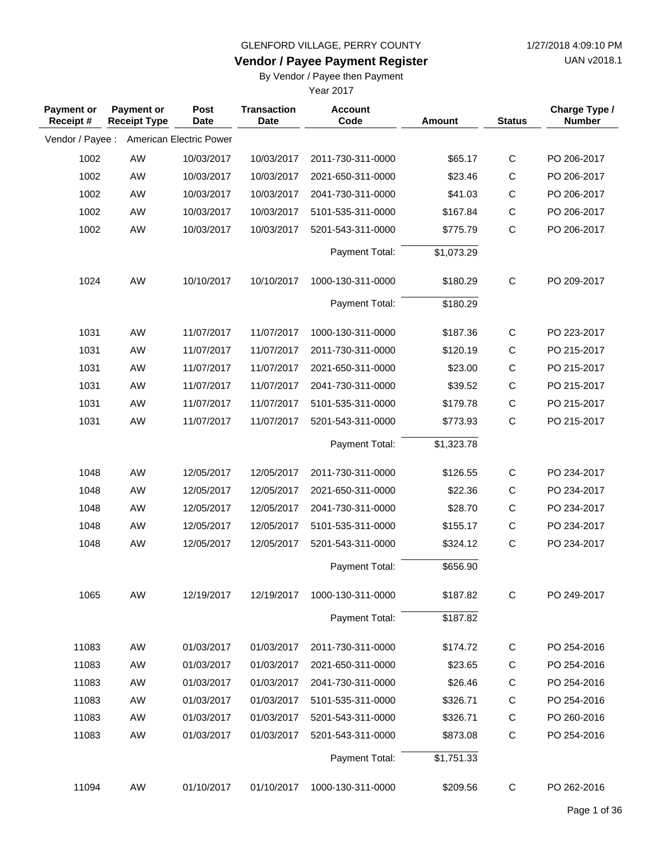**Vendor / Payee Payment Register**

UAN v2018.1

## By Vendor / Payee then Payment

| <b>Payment or</b><br>Receipt# | <b>Payment or</b><br><b>Receipt Type</b> | Post<br><b>Date</b>     | <b>Transaction</b><br><b>Date</b> | <b>Account</b><br>Code | Amount     | <b>Status</b> | Charge Type /<br><b>Number</b> |
|-------------------------------|------------------------------------------|-------------------------|-----------------------------------|------------------------|------------|---------------|--------------------------------|
| Vendor / Payee :              |                                          | American Electric Power |                                   |                        |            |               |                                |
| 1002                          | AW                                       | 10/03/2017              | 10/03/2017                        | 2011-730-311-0000      | \$65.17    | C             | PO 206-2017                    |
| 1002                          | AW                                       | 10/03/2017              | 10/03/2017                        | 2021-650-311-0000      | \$23.46    | C             | PO 206-2017                    |
| 1002                          | AW                                       | 10/03/2017              | 10/03/2017                        | 2041-730-311-0000      | \$41.03    | $\mathsf C$   | PO 206-2017                    |
| 1002                          | AW                                       | 10/03/2017              | 10/03/2017                        | 5101-535-311-0000      | \$167.84   | $\mathsf C$   | PO 206-2017                    |
| 1002                          | AW                                       | 10/03/2017              | 10/03/2017                        | 5201-543-311-0000      | \$775.79   | $\mathsf C$   | PO 206-2017                    |
|                               |                                          |                         |                                   | Payment Total:         | \$1,073.29 |               |                                |
| 1024                          | AW                                       | 10/10/2017              | 10/10/2017                        | 1000-130-311-0000      | \$180.29   | $\mathsf C$   | PO 209-2017                    |
|                               |                                          |                         |                                   | Payment Total:         | \$180.29   |               |                                |
| 1031                          | AW                                       | 11/07/2017              | 11/07/2017                        | 1000-130-311-0000      | \$187.36   | C             | PO 223-2017                    |
| 1031                          | AW                                       | 11/07/2017              | 11/07/2017                        | 2011-730-311-0000      | \$120.19   | $\mathsf C$   | PO 215-2017                    |
| 1031                          | AW                                       | 11/07/2017              | 11/07/2017                        | 2021-650-311-0000      | \$23.00    | $\mathsf C$   | PO 215-2017                    |
| 1031                          | AW                                       | 11/07/2017              | 11/07/2017                        | 2041-730-311-0000      | \$39.52    | $\mathsf C$   | PO 215-2017                    |
| 1031                          | AW                                       | 11/07/2017              | 11/07/2017                        | 5101-535-311-0000      | \$179.78   | $\mathsf C$   | PO 215-2017                    |
| 1031                          | AW                                       | 11/07/2017              | 11/07/2017                        | 5201-543-311-0000      | \$773.93   | $\mathsf C$   | PO 215-2017                    |
|                               |                                          |                         |                                   | Payment Total:         | \$1,323.78 |               |                                |
| 1048                          | AW                                       | 12/05/2017              | 12/05/2017                        | 2011-730-311-0000      | \$126.55   | $\mathsf C$   | PO 234-2017                    |
| 1048                          | AW                                       | 12/05/2017              | 12/05/2017                        | 2021-650-311-0000      | \$22.36    | $\mathsf{C}$  | PO 234-2017                    |
| 1048                          | AW                                       | 12/05/2017              | 12/05/2017                        | 2041-730-311-0000      | \$28.70    | $\mathsf C$   | PO 234-2017                    |
| 1048                          | AW                                       | 12/05/2017              | 12/05/2017                        | 5101-535-311-0000      | \$155.17   | $\mathsf C$   | PO 234-2017                    |
| 1048                          | AW                                       | 12/05/2017              | 12/05/2017                        | 5201-543-311-0000      | \$324.12   | $\mathsf C$   | PO 234-2017                    |
|                               |                                          |                         |                                   | Payment Total:         | \$656.90   |               |                                |
| 1065                          | AW                                       | 12/19/2017              | 12/19/2017                        | 1000-130-311-0000      | \$187.82   | С             | PO 249-2017                    |
|                               |                                          |                         |                                   | Payment Total:         | \$187.82   |               |                                |
| 11083                         | AW                                       | 01/03/2017              | 01/03/2017                        | 2011-730-311-0000      | \$174.72   | C             | PO 254-2016                    |
| 11083                         | AW                                       | 01/03/2017              | 01/03/2017                        | 2021-650-311-0000      | \$23.65    | С             | PO 254-2016                    |
| 11083                         | AW                                       | 01/03/2017              | 01/03/2017                        | 2041-730-311-0000      | \$26.46    | $\mathsf C$   | PO 254-2016                    |
| 11083                         | AW                                       | 01/03/2017              | 01/03/2017                        | 5101-535-311-0000      | \$326.71   | $\mathsf{C}$  | PO 254-2016                    |
| 11083                         | AW                                       | 01/03/2017              | 01/03/2017                        | 5201-543-311-0000      | \$326.71   | C             | PO 260-2016                    |
| 11083                         | AW                                       | 01/03/2017              | 01/03/2017                        | 5201-543-311-0000      | \$873.08   | $\mathsf C$   | PO 254-2016                    |
|                               |                                          |                         |                                   | Payment Total:         | \$1,751.33 |               |                                |
| 11094                         | AW                                       | 01/10/2017              | 01/10/2017                        | 1000-130-311-0000      | \$209.56   | $\mathsf C$   | PO 262-2016                    |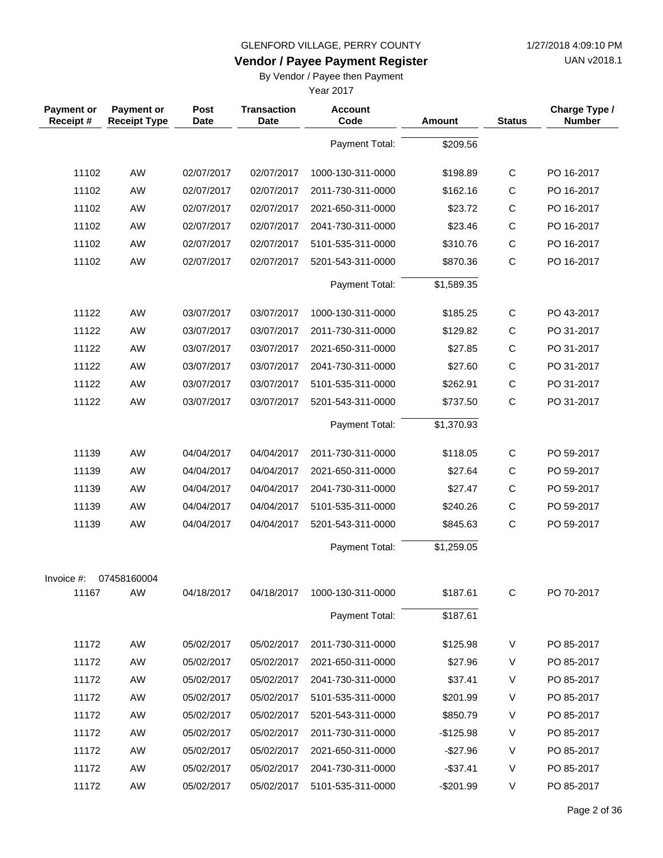**Vendor / Payee Payment Register**

UAN v2018.1

## By Vendor / Payee then Payment

| <b>Payment or</b><br>Receipt# | <b>Payment or</b><br><b>Receipt Type</b> | Post<br><b>Date</b> | <b>Transaction</b><br><b>Date</b> | <b>Account</b><br>Code | Amount     | <b>Status</b> | Charge Type /<br><b>Number</b> |
|-------------------------------|------------------------------------------|---------------------|-----------------------------------|------------------------|------------|---------------|--------------------------------|
|                               |                                          |                     |                                   | Payment Total:         | \$209.56   |               |                                |
| 11102                         | AW                                       | 02/07/2017          | 02/07/2017                        | 1000-130-311-0000      | \$198.89   | $\mathsf C$   | PO 16-2017                     |
| 11102                         | AW                                       | 02/07/2017          | 02/07/2017                        | 2011-730-311-0000      | \$162.16   | C             | PO 16-2017                     |
| 11102                         | AW                                       | 02/07/2017          | 02/07/2017                        | 2021-650-311-0000      | \$23.72    | $\mathsf C$   | PO 16-2017                     |
| 11102                         | <b>AW</b>                                | 02/07/2017          | 02/07/2017                        | 2041-730-311-0000      | \$23.46    | $\mathsf{C}$  | PO 16-2017                     |
| 11102                         | AW                                       | 02/07/2017          | 02/07/2017                        | 5101-535-311-0000      | \$310.76   | $\mathsf C$   | PO 16-2017                     |
| 11102                         | AW                                       | 02/07/2017          | 02/07/2017                        | 5201-543-311-0000      | \$870.36   | $\mathsf{C}$  | PO 16-2017                     |
|                               |                                          |                     |                                   | Payment Total:         | \$1,589.35 |               |                                |
| 11122                         | AW                                       | 03/07/2017          | 03/07/2017                        | 1000-130-311-0000      | \$185.25   | $\mathsf{C}$  | PO 43-2017                     |
| 11122                         | AW                                       | 03/07/2017          | 03/07/2017                        | 2011-730-311-0000      | \$129.82   | C             | PO 31-2017                     |
| 11122                         | AW                                       | 03/07/2017          | 03/07/2017                        | 2021-650-311-0000      | \$27.85    | $\mathsf C$   | PO 31-2017                     |
| 11122                         | AW                                       | 03/07/2017          | 03/07/2017                        | 2041-730-311-0000      | \$27.60    | $\mathsf C$   | PO 31-2017                     |
| 11122                         | AW                                       | 03/07/2017          | 03/07/2017                        | 5101-535-311-0000      | \$262.91   | $\mathsf{C}$  | PO 31-2017                     |
| 11122                         | AW                                       | 03/07/2017          | 03/07/2017                        | 5201-543-311-0000      | \$737.50   | $\mathsf{C}$  | PO 31-2017                     |
|                               |                                          |                     |                                   | Payment Total:         | \$1,370.93 |               |                                |
| 11139                         | AW                                       | 04/04/2017          | 04/04/2017                        | 2011-730-311-0000      | \$118.05   | $\mathsf{C}$  | PO 59-2017                     |
| 11139                         | AW                                       | 04/04/2017          | 04/04/2017                        | 2021-650-311-0000      | \$27.64    | $\mathsf C$   | PO 59-2017                     |
| 11139                         | AW                                       | 04/04/2017          | 04/04/2017                        | 2041-730-311-0000      | \$27.47    | C             | PO 59-2017                     |
| 11139                         | AW                                       | 04/04/2017          | 04/04/2017                        | 5101-535-311-0000      | \$240.26   | $\mathsf C$   | PO 59-2017                     |
| 11139                         | AW                                       | 04/04/2017          | 04/04/2017                        | 5201-543-311-0000      | \$845.63   | $\mathsf{C}$  | PO 59-2017                     |
|                               |                                          |                     |                                   | Payment Total:         | \$1,259.05 |               |                                |
| Invoice #:                    | 07458160004                              |                     |                                   |                        |            |               |                                |
| 11167                         | AW                                       | 04/18/2017          | 04/18/2017                        | 1000-130-311-0000      | \$187.61   | C             | PO 70-2017                     |
|                               |                                          |                     |                                   | Payment Total:         | \$187.61   |               |                                |
| 11172                         | AW                                       | 05/02/2017          | 05/02/2017                        | 2011-730-311-0000      | \$125.98   | V             | PO 85-2017                     |
| 11172                         | AW                                       | 05/02/2017          | 05/02/2017                        | 2021-650-311-0000      | \$27.96    | V             | PO 85-2017                     |
| 11172                         | AW                                       | 05/02/2017          | 05/02/2017                        | 2041-730-311-0000      | \$37.41    | V             | PO 85-2017                     |
| 11172                         | AW                                       | 05/02/2017          | 05/02/2017                        | 5101-535-311-0000      | \$201.99   | V             | PO 85-2017                     |
| 11172                         | AW                                       | 05/02/2017          | 05/02/2017                        | 5201-543-311-0000      | \$850.79   | V             | PO 85-2017                     |
| 11172                         | AW                                       | 05/02/2017          | 05/02/2017                        | 2011-730-311-0000      | $-$125.98$ | V             | PO 85-2017                     |
| 11172                         | AW                                       | 05/02/2017          | 05/02/2017                        | 2021-650-311-0000      | $-$27.96$  | V             | PO 85-2017                     |
| 11172                         | AW                                       | 05/02/2017          | 05/02/2017                        | 2041-730-311-0000      | $-$37.41$  | V             | PO 85-2017                     |
| 11172                         | AW                                       | 05/02/2017          | 05/02/2017                        | 5101-535-311-0000      | $-$201.99$ | V             | PO 85-2017                     |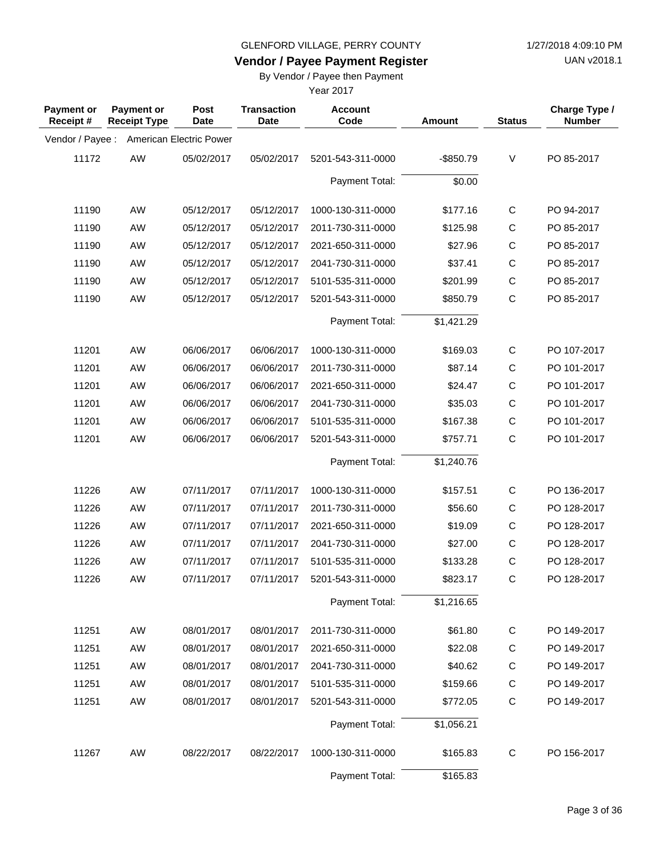**Vendor / Payee Payment Register**

UAN v2018.1

## By Vendor / Payee then Payment

| <b>Payment or</b><br>Receipt# | <b>Payment or</b><br><b>Receipt Type</b> | Post<br><b>Date</b>     | <b>Transaction</b><br><b>Date</b> | <b>Account</b><br>Code | <b>Amount</b> | <b>Status</b> | Charge Type /<br><b>Number</b> |
|-------------------------------|------------------------------------------|-------------------------|-----------------------------------|------------------------|---------------|---------------|--------------------------------|
| Vendor / Payee :              |                                          | American Electric Power |                                   |                        |               |               |                                |
| 11172                         | AW                                       | 05/02/2017              | 05/02/2017                        | 5201-543-311-0000      | $-$ \$850.79  | V             | PO 85-2017                     |
|                               |                                          |                         |                                   | Payment Total:         | \$0.00        |               |                                |
| 11190                         | AW                                       | 05/12/2017              | 05/12/2017                        | 1000-130-311-0000      | \$177.16      | $\mathsf{C}$  | PO 94-2017                     |
| 11190                         | AW                                       | 05/12/2017              | 05/12/2017                        | 2011-730-311-0000      | \$125.98      | $\mathsf{C}$  | PO 85-2017                     |
| 11190                         | AW                                       | 05/12/2017              | 05/12/2017                        | 2021-650-311-0000      | \$27.96       | $\mathsf C$   | PO 85-2017                     |
| 11190                         | AW                                       | 05/12/2017              | 05/12/2017                        | 2041-730-311-0000      | \$37.41       | $\mathsf{C}$  | PO 85-2017                     |
| 11190                         | AW                                       | 05/12/2017              | 05/12/2017                        | 5101-535-311-0000      | \$201.99      | $\mathsf C$   | PO 85-2017                     |
| 11190                         | AW                                       | 05/12/2017              | 05/12/2017                        | 5201-543-311-0000      | \$850.79      | $\mathsf C$   | PO 85-2017                     |
|                               |                                          |                         |                                   | Payment Total:         | \$1,421.29    |               |                                |
| 11201                         | AW                                       | 06/06/2017              | 06/06/2017                        | 1000-130-311-0000      | \$169.03      | $\mathsf C$   | PO 107-2017                    |
| 11201                         | AW                                       | 06/06/2017              | 06/06/2017                        | 2011-730-311-0000      | \$87.14       | $\mathsf{C}$  | PO 101-2017                    |
| 11201                         | AW                                       | 06/06/2017              | 06/06/2017                        | 2021-650-311-0000      | \$24.47       | $\mathsf{C}$  | PO 101-2017                    |
| 11201                         | AW                                       | 06/06/2017              | 06/06/2017                        | 2041-730-311-0000      | \$35.03       | $\mathsf C$   | PO 101-2017                    |
| 11201                         | AW                                       | 06/06/2017              | 06/06/2017                        | 5101-535-311-0000      | \$167.38      | $\mathsf{C}$  | PO 101-2017                    |
| 11201                         | AW                                       | 06/06/2017              | 06/06/2017                        | 5201-543-311-0000      | \$757.71      | C             | PO 101-2017                    |
|                               |                                          |                         |                                   | Payment Total:         | \$1,240.76    |               |                                |
| 11226                         | AW                                       | 07/11/2017              | 07/11/2017                        | 1000-130-311-0000      | \$157.51      | $\mathsf C$   | PO 136-2017                    |
| 11226                         | AW                                       | 07/11/2017              | 07/11/2017                        | 2011-730-311-0000      | \$56.60       | $\mathsf C$   | PO 128-2017                    |
| 11226                         | AW                                       | 07/11/2017              | 07/11/2017                        | 2021-650-311-0000      | \$19.09       | $\mathsf{C}$  | PO 128-2017                    |
| 11226                         | AW                                       | 07/11/2017              | 07/11/2017                        | 2041-730-311-0000      | \$27.00       | C             | PO 128-2017                    |
| 11226                         | AW                                       | 07/11/2017              | 07/11/2017                        | 5101-535-311-0000      | \$133.28      | $\mathsf{C}$  | PO 128-2017                    |
| 11226                         | AW                                       | 07/11/2017              | 07/11/2017                        | 5201-543-311-0000      | \$823.17      | $\mathsf{C}$  | PO 128-2017                    |
|                               |                                          |                         |                                   | Payment Total:         | \$1,216.65    |               |                                |
| 11251                         | AW                                       | 08/01/2017              | 08/01/2017                        | 2011-730-311-0000      | \$61.80       | $\mathsf C$   | PO 149-2017                    |
| 11251                         | AW                                       | 08/01/2017              | 08/01/2017                        | 2021-650-311-0000      | \$22.08       | $\mathsf{C}$  | PO 149-2017                    |
| 11251                         | AW                                       | 08/01/2017              | 08/01/2017                        | 2041-730-311-0000      | \$40.62       | С             | PO 149-2017                    |
| 11251                         | AW                                       | 08/01/2017              | 08/01/2017                        | 5101-535-311-0000      | \$159.66      | $\mathsf C$   | PO 149-2017                    |
| 11251                         | AW                                       | 08/01/2017              | 08/01/2017                        | 5201-543-311-0000      | \$772.05      | $\mathsf C$   | PO 149-2017                    |
|                               |                                          |                         |                                   | Payment Total:         | \$1,056.21    |               |                                |
| 11267                         | AW                                       | 08/22/2017              | 08/22/2017                        | 1000-130-311-0000      | \$165.83      | $\mathsf C$   | PO 156-2017                    |
|                               |                                          |                         |                                   | Payment Total:         | \$165.83      |               |                                |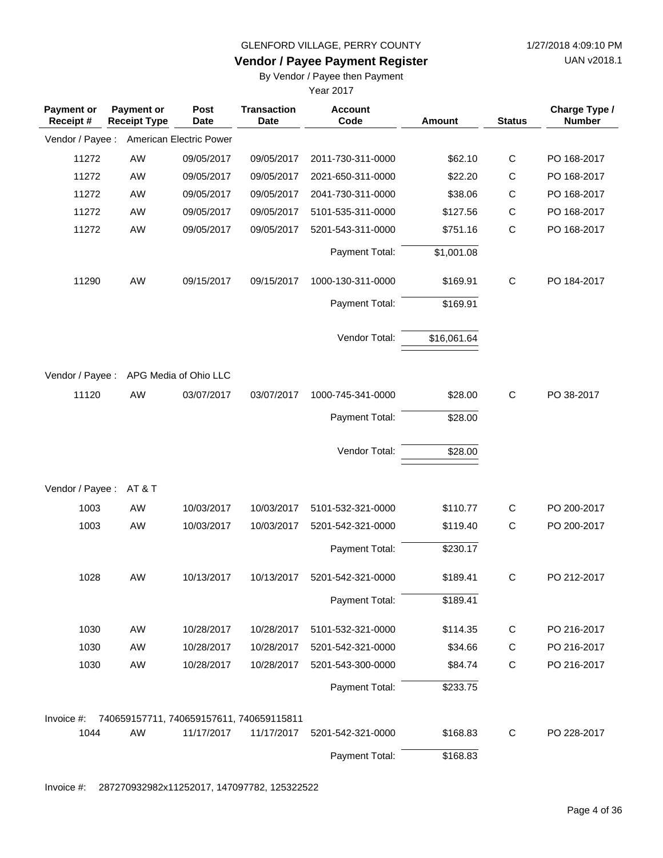**Vendor / Payee Payment Register**

UAN v2018.1

### By Vendor / Payee then Payment

Year 2017

| <b>Payment or</b><br>Receipt# | Payment or<br><b>Receipt Type</b>        | Post<br><b>Date</b>     | <b>Transaction</b><br><b>Date</b> | <b>Account</b><br>Code | Amount      | <b>Status</b> | Charge Type /<br><b>Number</b> |
|-------------------------------|------------------------------------------|-------------------------|-----------------------------------|------------------------|-------------|---------------|--------------------------------|
| Vendor / Payee :              |                                          | American Electric Power |                                   |                        |             |               |                                |
| 11272                         | AW                                       | 09/05/2017              | 09/05/2017                        | 2011-730-311-0000      | \$62.10     | $\mathsf{C}$  | PO 168-2017                    |
| 11272                         | AW                                       | 09/05/2017              | 09/05/2017                        | 2021-650-311-0000      | \$22.20     | C             | PO 168-2017                    |
| 11272                         | AW                                       | 09/05/2017              | 09/05/2017                        | 2041-730-311-0000      | \$38.06     | $\mathsf C$   | PO 168-2017                    |
| 11272                         | AW                                       | 09/05/2017              | 09/05/2017                        | 5101-535-311-0000      | \$127.56    | $\mathsf C$   | PO 168-2017                    |
| 11272                         | AW                                       | 09/05/2017              | 09/05/2017                        | 5201-543-311-0000      | \$751.16    | $\mathsf{C}$  | PO 168-2017                    |
|                               |                                          |                         |                                   | Payment Total:         | \$1,001.08  |               |                                |
| 11290                         | AW                                       | 09/15/2017              | 09/15/2017                        | 1000-130-311-0000      | \$169.91    | $\mathsf C$   | PO 184-2017                    |
|                               |                                          |                         |                                   | Payment Total:         | \$169.91    |               |                                |
|                               |                                          |                         |                                   | Vendor Total:          | \$16,061.64 |               |                                |
| Vendor / Payee :              |                                          | APG Media of Ohio LLC   |                                   |                        |             |               |                                |
| 11120                         | AW                                       | 03/07/2017              | 03/07/2017                        | 1000-745-341-0000      | \$28.00     | $\mathsf{C}$  | PO 38-2017                     |
|                               |                                          |                         |                                   | Payment Total:         | \$28.00     |               |                                |
|                               |                                          |                         |                                   | Vendor Total:          | \$28.00     |               |                                |
| Vendor / Payee :              | AT&T                                     |                         |                                   |                        |             |               |                                |
| 1003                          | AW                                       | 10/03/2017              | 10/03/2017                        | 5101-532-321-0000      | \$110.77    | $\mathsf C$   | PO 200-2017                    |
| 1003                          | AW                                       | 10/03/2017              | 10/03/2017                        | 5201-542-321-0000      | \$119.40    | $\mathsf{C}$  | PO 200-2017                    |
|                               |                                          |                         |                                   | Payment Total:         | \$230.17    |               |                                |
| 1028                          | AW                                       | 10/13/2017              | 10/13/2017                        | 5201-542-321-0000      | \$189.41    | C             | PO 212-2017                    |
|                               |                                          |                         |                                   | Payment Total:         | \$189.41    |               |                                |
| 1030                          | AW                                       | 10/28/2017              | 10/28/2017                        | 5101-532-321-0000      | \$114.35    | C             | PO 216-2017                    |
| 1030                          | AW                                       | 10/28/2017              | 10/28/2017                        | 5201-542-321-0000      | \$34.66     | $\mathsf C$   | PO 216-2017                    |
| 1030                          | AW                                       | 10/28/2017              | 10/28/2017                        | 5201-543-300-0000      | \$84.74     | $\mathsf{C}$  | PO 216-2017                    |
|                               |                                          |                         |                                   | Payment Total:         | \$233.75    |               |                                |
| Invoice #:                    | 740659157711, 740659157611, 740659115811 |                         |                                   |                        |             |               |                                |
| 1044                          | AW                                       | 11/17/2017              | 11/17/2017                        | 5201-542-321-0000      | \$168.83    | C             | PO 228-2017                    |
|                               |                                          |                         |                                   | Payment Total:         | \$168.83    |               |                                |

Invoice #: 287270932982x11252017, 147097782, 125322522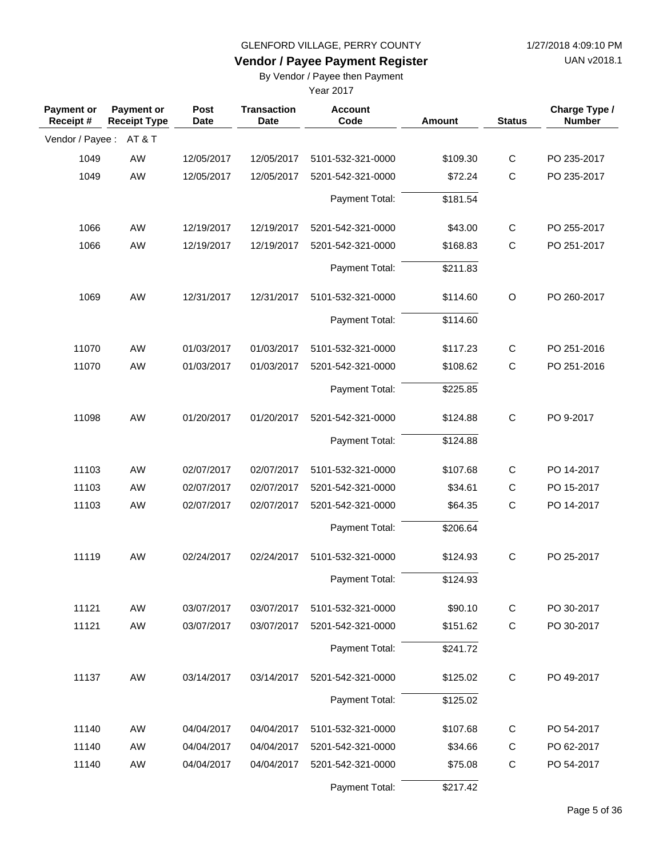UAN v2018.1

# **Vendor / Payee Payment Register**

By Vendor / Payee then Payment

| <b>Payment or</b><br>Receipt# | Payment or<br><b>Receipt Type</b> | Post<br><b>Date</b> | <b>Transaction</b><br>Date | <b>Account</b><br>Code | Amount   | <b>Status</b> | Charge Type /<br><b>Number</b> |
|-------------------------------|-----------------------------------|---------------------|----------------------------|------------------------|----------|---------------|--------------------------------|
| Vendor / Payee :              | AT&T                              |                     |                            |                        |          |               |                                |
| 1049                          | AW                                | 12/05/2017          | 12/05/2017                 | 5101-532-321-0000      | \$109.30 | C             | PO 235-2017                    |
| 1049                          | AW                                | 12/05/2017          | 12/05/2017                 | 5201-542-321-0000      | \$72.24  | $\mathsf{C}$  | PO 235-2017                    |
|                               |                                   |                     |                            | Payment Total:         | \$181.54 |               |                                |
| 1066                          | AW                                | 12/19/2017          | 12/19/2017                 | 5201-542-321-0000      | \$43.00  | $\mathsf{C}$  | PO 255-2017                    |
| 1066                          | AW                                | 12/19/2017          | 12/19/2017                 | 5201-542-321-0000      | \$168.83 | $\mathsf{C}$  | PO 251-2017                    |
|                               |                                   |                     |                            | Payment Total:         | \$211.83 |               |                                |
| 1069                          | AW                                | 12/31/2017          | 12/31/2017                 | 5101-532-321-0000      | \$114.60 | O             | PO 260-2017                    |
|                               |                                   |                     |                            | Payment Total:         | \$114.60 |               |                                |
| 11070                         | AW                                | 01/03/2017          | 01/03/2017                 | 5101-532-321-0000      | \$117.23 | C             | PO 251-2016                    |
| 11070                         | AW                                | 01/03/2017          | 01/03/2017                 | 5201-542-321-0000      | \$108.62 | $\mathsf{C}$  | PO 251-2016                    |
|                               |                                   |                     |                            | Payment Total:         | \$225.85 |               |                                |
| 11098                         | AW                                | 01/20/2017          | 01/20/2017                 | 5201-542-321-0000      | \$124.88 | $\mathbf C$   | PO 9-2017                      |
|                               |                                   |                     |                            | Payment Total:         | \$124.88 |               |                                |
| 11103                         | AW                                | 02/07/2017          | 02/07/2017                 | 5101-532-321-0000      | \$107.68 | $\mathbf C$   | PO 14-2017                     |
| 11103                         | AW                                | 02/07/2017          | 02/07/2017                 | 5201-542-321-0000      | \$34.61  | C             | PO 15-2017                     |
| 11103                         | AW                                | 02/07/2017          | 02/07/2017                 | 5201-542-321-0000      | \$64.35  | $\mathsf{C}$  | PO 14-2017                     |
|                               |                                   |                     |                            | Payment Total:         | \$206.64 |               |                                |
| 11119                         | AW                                | 02/24/2017          | 02/24/2017                 | 5101-532-321-0000      | \$124.93 | $\mathbf C$   | PO 25-2017                     |
|                               |                                   |                     |                            | Payment Total:         | \$124.93 |               |                                |
| 11121                         | AW                                | 03/07/2017          | 03/07/2017                 | 5101-532-321-0000      | \$90.10  | C             | PO 30-2017                     |
| 11121                         | AW                                | 03/07/2017          | 03/07/2017                 | 5201-542-321-0000      | \$151.62 | C             | PO 30-2017                     |
|                               |                                   |                     |                            | Payment Total:         | \$241.72 |               |                                |
| 11137                         | AW                                | 03/14/2017          | 03/14/2017                 | 5201-542-321-0000      | \$125.02 | C             | PO 49-2017                     |
|                               |                                   |                     |                            | Payment Total:         | \$125.02 |               |                                |
| 11140                         | AW                                | 04/04/2017          | 04/04/2017                 | 5101-532-321-0000      | \$107.68 | C             | PO 54-2017                     |
| 11140                         | AW                                | 04/04/2017          | 04/04/2017                 | 5201-542-321-0000      | \$34.66  | C             | PO 62-2017                     |
| 11140                         | AW                                | 04/04/2017          | 04/04/2017                 | 5201-542-321-0000      | \$75.08  | $\mathbf C$   | PO 54-2017                     |
|                               |                                   |                     |                            | Payment Total:         | \$217.42 |               |                                |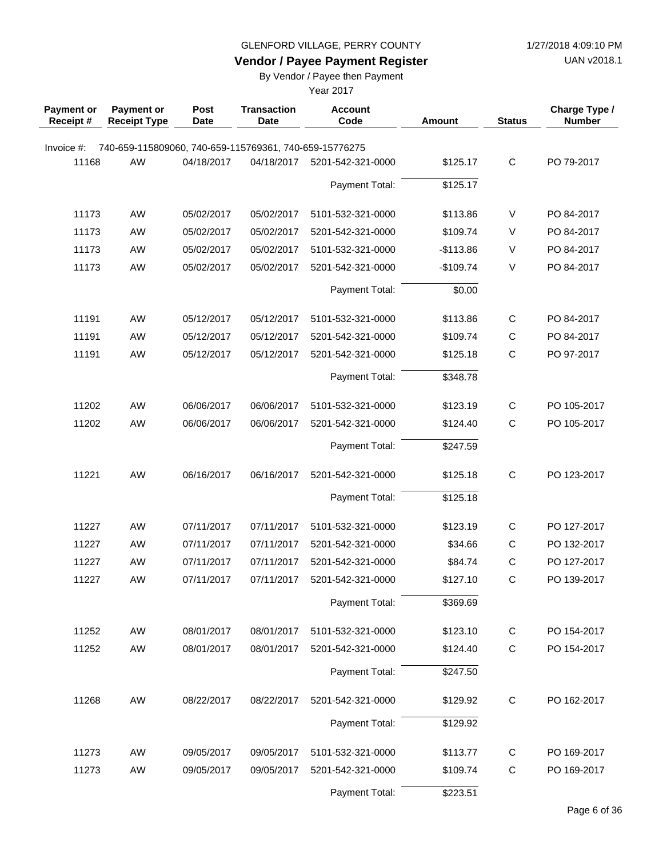**Vendor / Payee Payment Register**

UAN v2018.1

## By Vendor / Payee then Payment

| <b>Payment or</b><br>Receipt# | Payment or<br><b>Receipt Type</b>                      | <b>Post</b><br><b>Date</b> | <b>Transaction</b><br><b>Date</b> | <b>Account</b><br>Code | Amount     | <b>Status</b> | Charge Type /<br><b>Number</b> |
|-------------------------------|--------------------------------------------------------|----------------------------|-----------------------------------|------------------------|------------|---------------|--------------------------------|
| Invoice #:                    | 740-659-115809060, 740-659-115769361, 740-659-15776275 |                            |                                   |                        |            |               |                                |
| 11168                         | AW                                                     | 04/18/2017                 | 04/18/2017                        | 5201-542-321-0000      | \$125.17   | $\mathsf{C}$  | PO 79-2017                     |
|                               |                                                        |                            |                                   | Payment Total:         | \$125.17   |               |                                |
| 11173                         | <b>AW</b>                                              | 05/02/2017                 | 05/02/2017                        | 5101-532-321-0000      | \$113.86   | V             | PO 84-2017                     |
| 11173                         | <b>AW</b>                                              | 05/02/2017                 | 05/02/2017                        | 5201-542-321-0000      | \$109.74   | V             | PO 84-2017                     |
| 11173                         | <b>AW</b>                                              | 05/02/2017                 | 05/02/2017                        | 5101-532-321-0000      | $-$113.86$ | V             | PO 84-2017                     |
| 11173                         | <b>AW</b>                                              | 05/02/2017                 | 05/02/2017                        | 5201-542-321-0000      | $-$109.74$ | V             | PO 84-2017                     |
|                               |                                                        |                            |                                   | Payment Total:         | \$0.00     |               |                                |
| 11191                         | <b>AW</b>                                              | 05/12/2017                 | 05/12/2017                        | 5101-532-321-0000      | \$113.86   | $\mathsf{C}$  | PO 84-2017                     |
| 11191                         | AW                                                     | 05/12/2017                 | 05/12/2017                        | 5201-542-321-0000      | \$109.74   | $\mathsf{C}$  | PO 84-2017                     |
| 11191                         | AW                                                     | 05/12/2017                 | 05/12/2017                        | 5201-542-321-0000      | \$125.18   | $\mathsf{C}$  | PO 97-2017                     |
|                               |                                                        |                            |                                   | Payment Total:         | \$348.78   |               |                                |
| 11202                         | <b>AW</b>                                              | 06/06/2017                 | 06/06/2017                        | 5101-532-321-0000      | \$123.19   | $\mathsf{C}$  | PO 105-2017                    |
| 11202                         | <b>AW</b>                                              | 06/06/2017                 | 06/06/2017                        | 5201-542-321-0000      | \$124.40   | $\mathsf{C}$  | PO 105-2017                    |
|                               |                                                        |                            |                                   | Payment Total:         | \$247.59   |               |                                |
| 11221                         | AW                                                     | 06/16/2017                 | 06/16/2017                        | 5201-542-321-0000      | \$125.18   | $\mathsf{C}$  | PO 123-2017                    |
|                               |                                                        |                            |                                   | Payment Total:         | \$125.18   |               |                                |
| 11227                         | <b>AW</b>                                              | 07/11/2017                 | 07/11/2017                        | 5101-532-321-0000      | \$123.19   | $\mathsf{C}$  | PO 127-2017                    |
| 11227                         | AW                                                     | 07/11/2017                 | 07/11/2017                        | 5201-542-321-0000      | \$34.66    | $\mathsf{C}$  | PO 132-2017                    |
| 11227                         | <b>AW</b>                                              | 07/11/2017                 | 07/11/2017                        | 5201-542-321-0000      | \$84.74    | $\mathsf C$   | PO 127-2017                    |
| 11227                         | AW                                                     | 07/11/2017                 | 07/11/2017                        | 5201-542-321-0000      | \$127.10   | $\mathsf C$   | PO 139-2017                    |
|                               |                                                        |                            |                                   | Payment Total:         | \$369.69   |               |                                |
| 11252                         | AW                                                     | 08/01/2017                 | 08/01/2017                        | 5101-532-321-0000      | \$123.10   | C             | PO 154-2017                    |
| 11252                         | AW                                                     | 08/01/2017                 | 08/01/2017                        | 5201-542-321-0000      | \$124.40   | $\mathbf C$   | PO 154-2017                    |
|                               |                                                        |                            |                                   | Payment Total:         | \$247.50   |               |                                |
| 11268                         | AW                                                     | 08/22/2017                 | 08/22/2017                        | 5201-542-321-0000      | \$129.92   | C             | PO 162-2017                    |
|                               |                                                        |                            |                                   | Payment Total:         | \$129.92   |               |                                |
| 11273                         | AW                                                     | 09/05/2017                 | 09/05/2017                        | 5101-532-321-0000      | \$113.77   | C             | PO 169-2017                    |
| 11273                         | AW                                                     | 09/05/2017                 | 09/05/2017                        | 5201-542-321-0000      | \$109.74   | $\mathsf{C}$  | PO 169-2017                    |
|                               |                                                        |                            |                                   | Payment Total:         | \$223.51   |               |                                |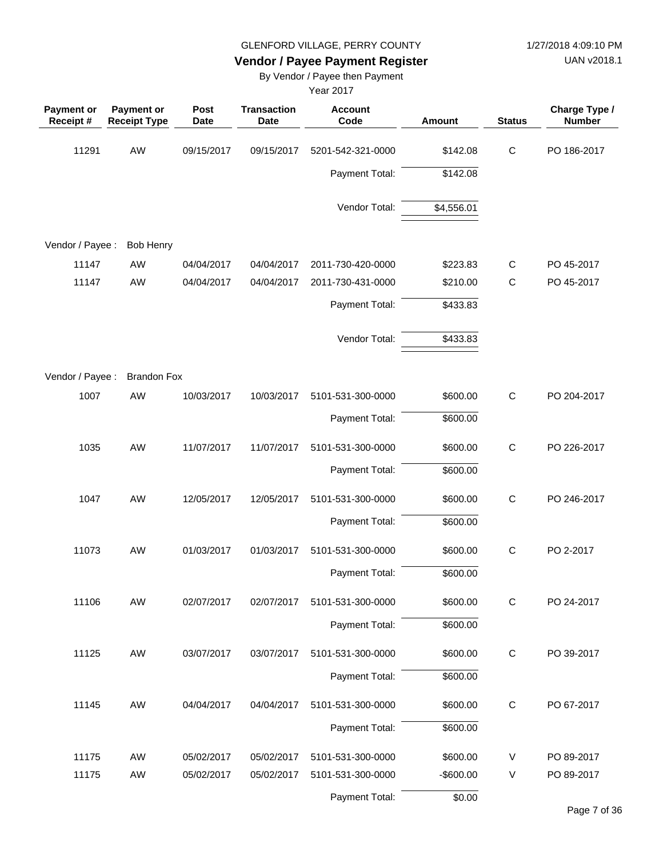UAN v2018.1

# **Vendor / Payee Payment Register**

By Vendor / Payee then Payment

| <b>Payment or</b><br>Receipt# | Payment or<br><b>Receipt Type</b> | Post<br><b>Date</b> | <b>Transaction</b><br><b>Date</b> | <b>Account</b><br>Code | Amount     | <b>Status</b> | Charge Type /<br><b>Number</b> |
|-------------------------------|-----------------------------------|---------------------|-----------------------------------|------------------------|------------|---------------|--------------------------------|
| 11291                         | AW                                | 09/15/2017          | 09/15/2017                        | 5201-542-321-0000      | \$142.08   | $\mathbf C$   | PO 186-2017                    |
|                               |                                   |                     |                                   | Payment Total:         | \$142.08   |               |                                |
|                               |                                   |                     |                                   | Vendor Total:          | \$4,556.01 |               |                                |
| Vendor / Payee :              | <b>Bob Henry</b>                  |                     |                                   |                        |            |               |                                |
| 11147                         | AW                                | 04/04/2017          | 04/04/2017                        | 2011-730-420-0000      | \$223.83   | C             | PO 45-2017                     |
| 11147                         | AW                                | 04/04/2017          | 04/04/2017                        | 2011-730-431-0000      | \$210.00   | $\mathsf{C}$  | PO 45-2017                     |
|                               |                                   |                     |                                   | Payment Total:         | \$433.83   |               |                                |
|                               |                                   |                     |                                   | Vendor Total:          | \$433.83   |               |                                |
| Vendor / Payee :              | <b>Brandon Fox</b>                |                     |                                   |                        |            |               |                                |
| 1007                          | AW                                | 10/03/2017          | 10/03/2017                        | 5101-531-300-0000      | \$600.00   | $\mathbf C$   | PO 204-2017                    |
|                               |                                   |                     |                                   | Payment Total:         | \$600.00   |               |                                |
| 1035                          | AW                                | 11/07/2017          | 11/07/2017                        | 5101-531-300-0000      | \$600.00   | $\mathbf C$   | PO 226-2017                    |
|                               |                                   |                     |                                   | Payment Total:         | \$600.00   |               |                                |
| 1047                          | AW                                | 12/05/2017          | 12/05/2017                        | 5101-531-300-0000      | \$600.00   | $\mathbf C$   | PO 246-2017                    |
|                               |                                   |                     |                                   | Payment Total:         | \$600.00   |               |                                |
| 11073                         | AW                                | 01/03/2017          | 01/03/2017                        | 5101-531-300-0000      | \$600.00   | $\mathsf C$   | PO 2-2017                      |
|                               |                                   |                     |                                   | Payment Total:         | \$600.00   |               |                                |
| 11106                         | AW                                | 02/07/2017          | 02/07/2017                        | 5101-531-300-0000      | \$600.00   | $\mathsf C$   | PO 24-2017                     |
|                               |                                   |                     |                                   | Payment Total:         | \$600.00   |               |                                |
| 11125                         | AW                                | 03/07/2017          | 03/07/2017                        | 5101-531-300-0000      | \$600.00   | $\mathsf C$   | PO 39-2017                     |
|                               |                                   |                     |                                   | Payment Total:         | \$600.00   |               |                                |
| 11145                         | AW                                | 04/04/2017          | 04/04/2017                        | 5101-531-300-0000      | \$600.00   | $\mathsf C$   | PO 67-2017                     |
|                               |                                   |                     |                                   | Payment Total:         | \$600.00   |               |                                |
| 11175                         | AW                                | 05/02/2017          | 05/02/2017                        | 5101-531-300-0000      | \$600.00   | V             | PO 89-2017                     |
| 11175                         | AW                                | 05/02/2017          | 05/02/2017                        | 5101-531-300-0000      | $-$600.00$ | V             | PO 89-2017                     |
|                               |                                   |                     |                                   | Payment Total:         | \$0.00     |               |                                |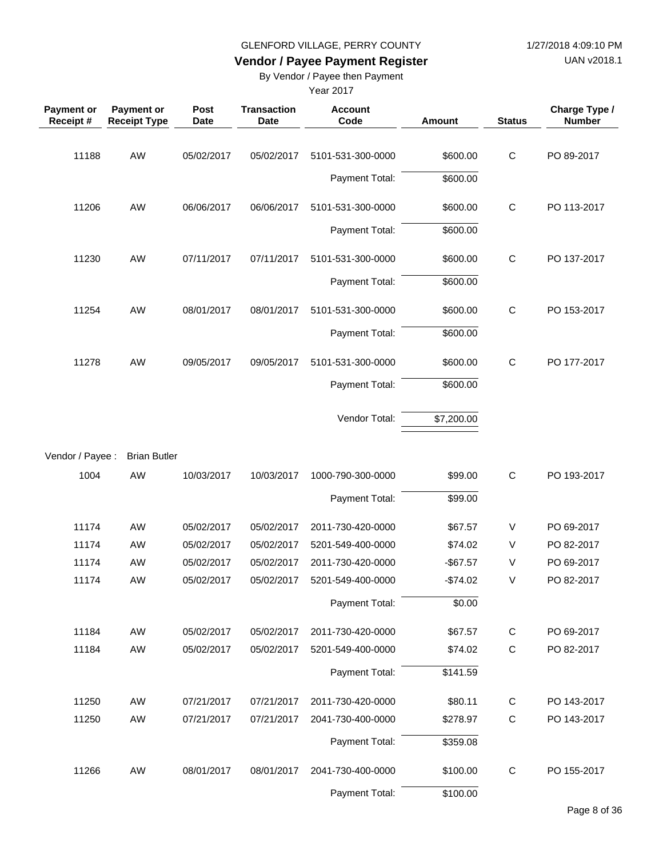UAN v2018.1

# **Vendor / Payee Payment Register**

By Vendor / Payee then Payment

| <b>Payment or</b><br>Receipt# | <b>Payment or</b><br><b>Receipt Type</b> | Post<br><b>Date</b> | <b>Transaction</b><br><b>Date</b> | <b>Account</b><br>Code | Amount      | <b>Status</b> | Charge Type /<br><b>Number</b> |
|-------------------------------|------------------------------------------|---------------------|-----------------------------------|------------------------|-------------|---------------|--------------------------------|
| 11188                         | AW                                       | 05/02/2017          | 05/02/2017                        | 5101-531-300-0000      | \$600.00    | $\mathsf C$   | PO 89-2017                     |
|                               |                                          |                     |                                   | Payment Total:         | \$600.00    |               |                                |
| 11206                         | AW                                       | 06/06/2017          | 06/06/2017                        | 5101-531-300-0000      | \$600.00    | $\mathsf C$   | PO 113-2017                    |
|                               |                                          |                     |                                   | Payment Total:         | \$600.00    |               |                                |
| 11230                         | AW                                       | 07/11/2017          | 07/11/2017                        | 5101-531-300-0000      | \$600.00    | $\mathsf C$   | PO 137-2017                    |
|                               |                                          |                     |                                   | Payment Total:         | \$600.00    |               |                                |
| 11254                         | AW                                       | 08/01/2017          | 08/01/2017                        | 5101-531-300-0000      | \$600.00    | $\mathsf C$   | PO 153-2017                    |
|                               |                                          |                     |                                   | Payment Total:         | \$600.00    |               |                                |
|                               |                                          |                     |                                   |                        |             |               |                                |
| 11278                         | AW                                       | 09/05/2017          | 09/05/2017                        | 5101-531-300-0000      | \$600.00    | $\mathsf C$   | PO 177-2017                    |
|                               |                                          |                     |                                   | Payment Total:         | \$600.00    |               |                                |
|                               |                                          |                     |                                   | Vendor Total:          | \$7,200.00  |               |                                |
| Vendor / Payee :              | <b>Brian Butler</b>                      |                     |                                   |                        |             |               |                                |
| 1004                          | AW                                       | 10/03/2017          | 10/03/2017                        | 1000-790-300-0000      | \$99.00     | $\mathsf{C}$  | PO 193-2017                    |
|                               |                                          |                     |                                   | Payment Total:         | \$99.00     |               |                                |
| 11174                         | AW                                       | 05/02/2017          | 05/02/2017                        | 2011-730-420-0000      | \$67.57     | V             | PO 69-2017                     |
| 11174                         | AW                                       | 05/02/2017          | 05/02/2017                        | 5201-549-400-0000      | \$74.02     | V             | PO 82-2017                     |
| 11174                         | AW                                       | 05/02/2017          | 05/02/2017                        | 2011-730-420-0000      | $-$ \$67.57 | V             | PO 69-2017                     |
| 11174                         | AW                                       | 05/02/2017          | 05/02/2017                        | 5201-549-400-0000      | $-$74.02$   | V             | PO 82-2017                     |
|                               |                                          |                     |                                   | Payment Total:         | \$0.00      |               |                                |
| 11184                         | AW                                       | 05/02/2017          | 05/02/2017                        | 2011-730-420-0000      | \$67.57     | $\mathsf{C}$  | PO 69-2017                     |
| 11184                         | AW                                       | 05/02/2017          | 05/02/2017                        | 5201-549-400-0000      | \$74.02     | $\mathsf C$   | PO 82-2017                     |
|                               |                                          |                     |                                   | Payment Total:         | \$141.59    |               |                                |
| 11250                         | AW                                       | 07/21/2017          | 07/21/2017                        | 2011-730-420-0000      | \$80.11     | $\mathsf{C}$  | PO 143-2017                    |
| 11250                         | AW                                       | 07/21/2017          | 07/21/2017                        | 2041-730-400-0000      | \$278.97    | C             | PO 143-2017                    |
|                               |                                          |                     |                                   | Payment Total:         | \$359.08    |               |                                |
| 11266                         | AW                                       | 08/01/2017          | 08/01/2017                        | 2041-730-400-0000      | \$100.00    | C             | PO 155-2017                    |
|                               |                                          |                     |                                   | Payment Total:         | \$100.00    |               |                                |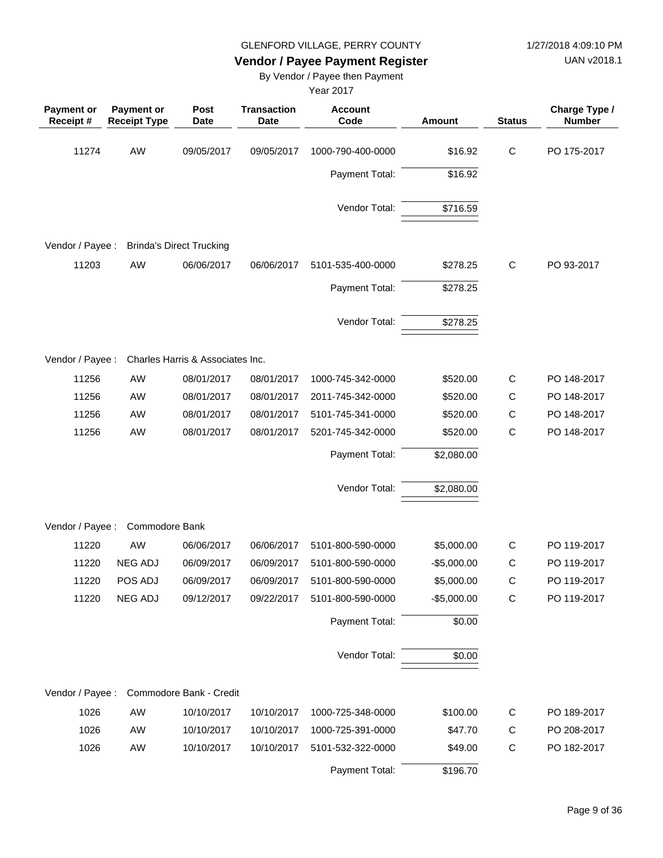UAN v2018.1

# **Vendor / Payee Payment Register**

By Vendor / Payee then Payment

| <b>Payment or</b><br>Receipt# | Payment or<br><b>Receipt Type</b> | Post<br><b>Date</b>              | <b>Transaction</b><br><b>Date</b> | <b>Account</b><br>Code | Amount       | <b>Status</b> | Charge Type /<br><b>Number</b> |
|-------------------------------|-----------------------------------|----------------------------------|-----------------------------------|------------------------|--------------|---------------|--------------------------------|
| 11274                         | AW                                | 09/05/2017                       | 09/05/2017                        | 1000-790-400-0000      | \$16.92      | $\mathsf C$   | PO 175-2017                    |
|                               |                                   |                                  |                                   | Payment Total:         | \$16.92      |               |                                |
|                               |                                   |                                  |                                   | Vendor Total:          | \$716.59     |               |                                |
| Vendor / Payee :              |                                   | <b>Brinda's Direct Trucking</b>  |                                   |                        |              |               |                                |
| 11203                         | AW                                | 06/06/2017                       | 06/06/2017                        | 5101-535-400-0000      | \$278.25     | $\mathsf{C}$  | PO 93-2017                     |
|                               |                                   |                                  |                                   | Payment Total:         | \$278.25     |               |                                |
|                               |                                   |                                  |                                   | Vendor Total:          | \$278.25     |               |                                |
| Vendor / Payee :              |                                   | Charles Harris & Associates Inc. |                                   |                        |              |               |                                |
| 11256                         | <b>AW</b>                         | 08/01/2017                       | 08/01/2017                        | 1000-745-342-0000      | \$520.00     | $\mathsf{C}$  | PO 148-2017                    |
| 11256                         | AW                                | 08/01/2017                       | 08/01/2017                        | 2011-745-342-0000      | \$520.00     | C             | PO 148-2017                    |
| 11256                         | AW                                | 08/01/2017                       | 08/01/2017                        | 5101-745-341-0000      | \$520.00     | C             | PO 148-2017                    |
| 11256                         | AW                                | 08/01/2017                       | 08/01/2017                        | 5201-745-342-0000      | \$520.00     | $\mathsf C$   | PO 148-2017                    |
|                               |                                   |                                  |                                   | Payment Total:         | \$2,080.00   |               |                                |
|                               |                                   |                                  |                                   | Vendor Total:          | \$2,080.00   |               |                                |
| Vendor / Payee :              | Commodore Bank                    |                                  |                                   |                        |              |               |                                |
| 11220                         | AW                                | 06/06/2017                       | 06/06/2017                        | 5101-800-590-0000      | \$5,000.00   | $\mathsf C$   | PO 119-2017                    |
| 11220                         | <b>NEG ADJ</b>                    | 06/09/2017                       | 06/09/2017                        | 5101-800-590-0000      | $-$5,000.00$ | $\mathsf{C}$  | PO 119-2017                    |
| 11220                         | POS ADJ                           | 06/09/2017                       | 06/09/2017                        | 5101-800-590-0000      | \$5,000.00   | $\mathsf C$   | PO 119-2017                    |
| 11220                         | <b>NEG ADJ</b>                    | 09/12/2017                       | 09/22/2017                        | 5101-800-590-0000      | $-$5,000.00$ | $\mathsf C$   | PO 119-2017                    |
|                               |                                   |                                  |                                   | Payment Total:         | \$0.00       |               |                                |
|                               |                                   |                                  |                                   | Vendor Total:          | \$0.00       |               |                                |
| Vendor / Payee :              |                                   | Commodore Bank - Credit          |                                   |                        |              |               |                                |
| 1026                          | AW                                | 10/10/2017                       | 10/10/2017                        | 1000-725-348-0000      | \$100.00     | C             | PO 189-2017                    |
| 1026                          | AW                                | 10/10/2017                       | 10/10/2017                        | 1000-725-391-0000      | \$47.70      | C             | PO 208-2017                    |
| 1026                          | AW                                | 10/10/2017                       | 10/10/2017                        | 5101-532-322-0000      | \$49.00      | $\mathsf C$   | PO 182-2017                    |
|                               |                                   |                                  |                                   | Payment Total:         | \$196.70     |               |                                |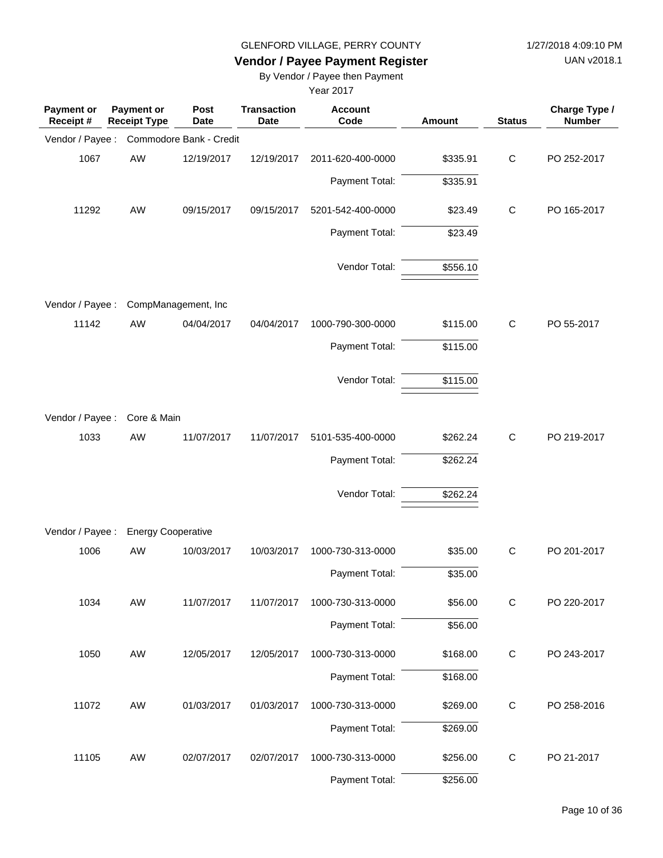UAN v2018.1

# **Vendor / Payee Payment Register**

By Vendor / Payee then Payment

| <b>Payment or</b><br>Receipt # | <b>Payment or</b><br><b>Receipt Type</b> | Post<br><b>Date</b>     | <b>Transaction</b><br><b>Date</b> | <b>Account</b><br>Code | <b>Amount</b> | <b>Status</b> | Charge Type /<br><b>Number</b> |
|--------------------------------|------------------------------------------|-------------------------|-----------------------------------|------------------------|---------------|---------------|--------------------------------|
| Vendor / Payee :               |                                          | Commodore Bank - Credit |                                   |                        |               |               |                                |
| 1067                           | AW                                       | 12/19/2017              | 12/19/2017                        | 2011-620-400-0000      | \$335.91      | $\mathsf{C}$  | PO 252-2017                    |
|                                |                                          |                         |                                   | Payment Total:         | \$335.91      |               |                                |
| 11292                          | AW                                       | 09/15/2017              | 09/15/2017                        | 5201-542-400-0000      | \$23.49       | $\mathsf{C}$  | PO 165-2017                    |
|                                |                                          |                         |                                   | Payment Total:         | \$23.49       |               |                                |
|                                |                                          |                         |                                   | Vendor Total:          | \$556.10      |               |                                |
| Vendor / Payee :               |                                          | CompManagement, Inc     |                                   |                        |               |               |                                |
| 11142                          | AW                                       | 04/04/2017              | 04/04/2017                        | 1000-790-300-0000      | \$115.00      | $\mathsf{C}$  | PO 55-2017                     |
|                                |                                          |                         |                                   | Payment Total:         | \$115.00      |               |                                |
|                                |                                          |                         |                                   | Vendor Total:          | \$115.00      |               |                                |
| Vendor / Payee :               | Core & Main                              |                         |                                   |                        |               |               |                                |
| 1033                           | AW                                       | 11/07/2017              | 11/07/2017                        | 5101-535-400-0000      | \$262.24      | $\mathsf{C}$  | PO 219-2017                    |
|                                |                                          |                         |                                   | Payment Total:         | \$262.24      |               |                                |
|                                |                                          |                         |                                   | Vendor Total:          | \$262.24      |               |                                |
| Vendor / Payee :               | <b>Energy Cooperative</b>                |                         |                                   |                        |               |               |                                |
| 1006                           | AW                                       | 10/03/2017              | 10/03/2017                        | 1000-730-313-0000      | \$35.00       | C             | PO 201-2017                    |
|                                |                                          |                         |                                   | Payment Total:         | \$35.00       |               |                                |
| 1034                           | AW                                       | 11/07/2017              | 11/07/2017                        | 1000-730-313-0000      | \$56.00       | $\mathsf{C}$  | PO 220-2017                    |
|                                |                                          |                         |                                   | Payment Total:         | \$56.00       |               |                                |
| 1050                           | AW                                       | 12/05/2017              | 12/05/2017                        | 1000-730-313-0000      | \$168.00      | ${\bf C}$     | PO 243-2017                    |
|                                |                                          |                         |                                   | Payment Total:         | \$168.00      |               |                                |
| 11072                          | AW                                       | 01/03/2017              | 01/03/2017                        | 1000-730-313-0000      | \$269.00      | $\mathsf C$   | PO 258-2016                    |
|                                |                                          |                         |                                   | Payment Total:         | \$269.00      |               |                                |
| 11105                          | AW                                       | 02/07/2017              | 02/07/2017                        | 1000-730-313-0000      | \$256.00      | $\mathsf C$   | PO 21-2017                     |
|                                |                                          |                         |                                   | Payment Total:         | \$256.00      |               |                                |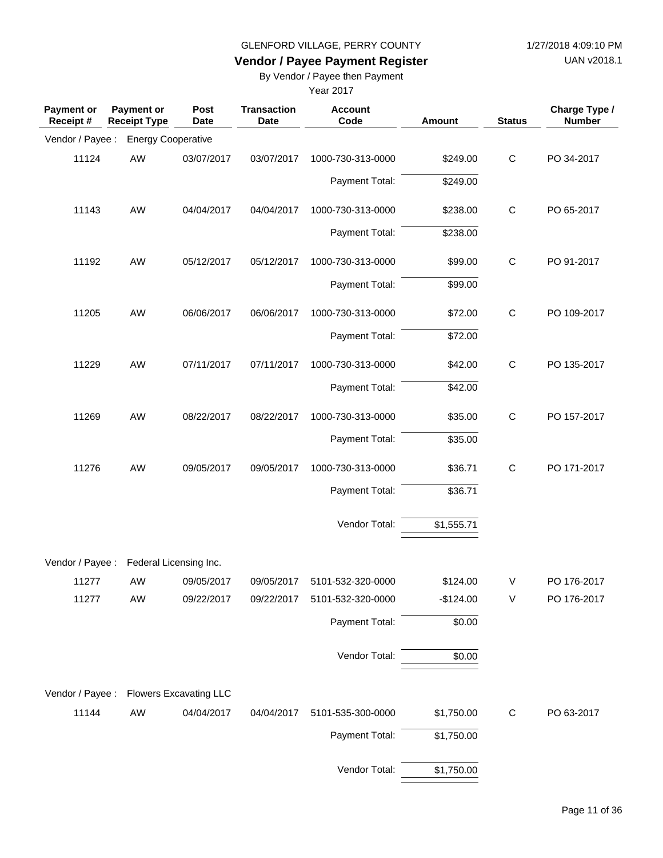UAN v2018.1

# **Vendor / Payee Payment Register**

By Vendor / Payee then Payment

| <b>Payment or</b><br>Receipt# | <b>Payment or</b><br><b>Receipt Type</b> | Post<br>Date | <b>Transaction</b><br><b>Date</b> | <b>Account</b><br>Code | <b>Amount</b> | <b>Status</b> | Charge Type /<br><b>Number</b> |
|-------------------------------|------------------------------------------|--------------|-----------------------------------|------------------------|---------------|---------------|--------------------------------|
| Vendor / Payee :              | <b>Energy Cooperative</b>                |              |                                   |                        |               |               |                                |
| 11124                         | AW                                       | 03/07/2017   | 03/07/2017                        | 1000-730-313-0000      | \$249.00      | $\mathsf C$   | PO 34-2017                     |
|                               |                                          |              |                                   | Payment Total:         | \$249.00      |               |                                |
| 11143                         | AW                                       | 04/04/2017   | 04/04/2017                        | 1000-730-313-0000      | \$238.00      | $\mathsf C$   | PO 65-2017                     |
|                               |                                          |              |                                   | Payment Total:         | \$238.00      |               |                                |
| 11192                         | AW                                       | 05/12/2017   | 05/12/2017                        | 1000-730-313-0000      | \$99.00       | $\mathsf C$   | PO 91-2017                     |
|                               |                                          |              |                                   | Payment Total:         | \$99.00       |               |                                |
| 11205                         | AW                                       | 06/06/2017   | 06/06/2017                        | 1000-730-313-0000      | \$72.00       | $\mathsf C$   | PO 109-2017                    |
|                               |                                          |              |                                   | Payment Total:         | \$72.00       |               |                                |
| 11229                         | AW                                       | 07/11/2017   | 07/11/2017                        | 1000-730-313-0000      | \$42.00       | $\mathsf C$   | PO 135-2017                    |
|                               |                                          |              |                                   | Payment Total:         | \$42.00       |               |                                |
| 11269                         | AW                                       | 08/22/2017   | 08/22/2017                        | 1000-730-313-0000      | \$35.00       | $\mathsf C$   | PO 157-2017                    |
|                               |                                          |              |                                   | Payment Total:         | \$35.00       |               |                                |
| 11276                         | AW                                       | 09/05/2017   | 09/05/2017                        | 1000-730-313-0000      | \$36.71       | $\mathsf{C}$  | PO 171-2017                    |
|                               |                                          |              |                                   | Payment Total:         | \$36.71       |               |                                |
|                               |                                          |              |                                   | Vendor Total:          | \$1,555.71    |               |                                |
| Vendor / Payee :              | Federal Licensing Inc.                   |              |                                   |                        |               |               |                                |
| 11277                         | AW                                       | 09/05/2017   | 09/05/2017                        | 5101-532-320-0000      | \$124.00      | V             | PO 176-2017                    |
| 11277                         | AW                                       | 09/22/2017   | 09/22/2017                        | 5101-532-320-0000      | $-$124.00$    | V             | PO 176-2017                    |
|                               |                                          |              |                                   | Payment Total:         | \$0.00        |               |                                |
|                               |                                          |              |                                   | Vendor Total:          | \$0.00        |               |                                |
|                               | Vendor / Payee : Flowers Excavating LLC  |              |                                   |                        |               |               |                                |
| 11144                         | AW                                       | 04/04/2017   | 04/04/2017                        | 5101-535-300-0000      | \$1,750.00    | $\mathsf C$   | PO 63-2017                     |
|                               |                                          |              |                                   | Payment Total:         | \$1,750.00    |               |                                |
|                               |                                          |              |                                   | Vendor Total:          | \$1,750.00    |               |                                |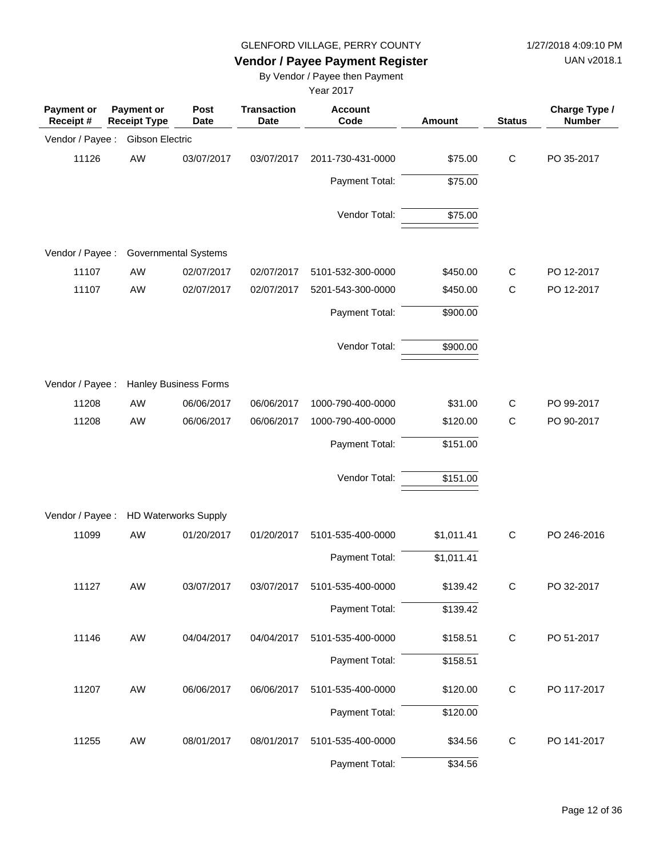UAN v2018.1

# **Vendor / Payee Payment Register**

By Vendor / Payee then Payment

| <b>Payment or</b><br>Receipt # | Payment or<br><b>Receipt Type</b> | Post<br><b>Date</b>          | <b>Transaction</b><br>Date | <b>Account</b><br>Code | Amount     | <b>Status</b> | Charge Type /<br><b>Number</b> |
|--------------------------------|-----------------------------------|------------------------------|----------------------------|------------------------|------------|---------------|--------------------------------|
| Vendor / Payee :               | Gibson Electric                   |                              |                            |                        |            |               |                                |
| 11126                          | AW                                | 03/07/2017                   | 03/07/2017                 | 2011-730-431-0000      | \$75.00    | $\mathbf C$   | PO 35-2017                     |
|                                |                                   |                              |                            | Payment Total:         | \$75.00    |               |                                |
|                                |                                   |                              |                            | Vendor Total:          | \$75.00    |               |                                |
| Vendor / Payee :               |                                   | <b>Governmental Systems</b>  |                            |                        |            |               |                                |
| 11107                          | AW                                | 02/07/2017                   | 02/07/2017                 | 5101-532-300-0000      | \$450.00   | С             | PO 12-2017                     |
| 11107                          | AW                                | 02/07/2017                   | 02/07/2017                 | 5201-543-300-0000      | \$450.00   | $\mathsf{C}$  | PO 12-2017                     |
|                                |                                   |                              |                            | Payment Total:         | \$900.00   |               |                                |
|                                |                                   |                              |                            | Vendor Total:          | \$900.00   |               |                                |
| Vendor / Payee :               |                                   | <b>Hanley Business Forms</b> |                            |                        |            |               |                                |
| 11208                          | AW                                | 06/06/2017                   | 06/06/2017                 | 1000-790-400-0000      | \$31.00    | $\mathsf{C}$  | PO 99-2017                     |
| 11208                          | AW                                | 06/06/2017                   | 06/06/2017                 | 1000-790-400-0000      | \$120.00   | $\mathsf{C}$  | PO 90-2017                     |
|                                |                                   |                              |                            | Payment Total:         | \$151.00   |               |                                |
|                                |                                   |                              |                            | Vendor Total:          | \$151.00   |               |                                |
| Vendor / Payee :               |                                   | <b>HD Waterworks Supply</b>  |                            |                        |            |               |                                |
| 11099                          | AW                                | 01/20/2017                   | 01/20/2017                 | 5101-535-400-0000      | \$1,011.41 | $\mathbf C$   | PO 246-2016                    |
|                                |                                   |                              |                            | Payment Total:         | \$1,011.41 |               |                                |
| 11127                          | AW                                | 03/07/2017                   | 03/07/2017                 | 5101-535-400-0000      | \$139.42   | C             | PO 32-2017                     |
|                                |                                   |                              |                            | Payment Total:         | \$139.42   |               |                                |
| 11146                          | AW                                | 04/04/2017                   | 04/04/2017                 | 5101-535-400-0000      | \$158.51   | $\mathbf C$   | PO 51-2017                     |
|                                |                                   |                              |                            | Payment Total:         | \$158.51   |               |                                |
| 11207                          | AW                                | 06/06/2017                   | 06/06/2017                 | 5101-535-400-0000      | \$120.00   | $\mathbf C$   | PO 117-2017                    |
|                                |                                   |                              |                            | Payment Total:         | \$120.00   |               |                                |
| 11255                          | AW                                | 08/01/2017                   | 08/01/2017                 | 5101-535-400-0000      | \$34.56    | C             | PO 141-2017                    |
|                                |                                   |                              |                            | Payment Total:         | \$34.56    |               |                                |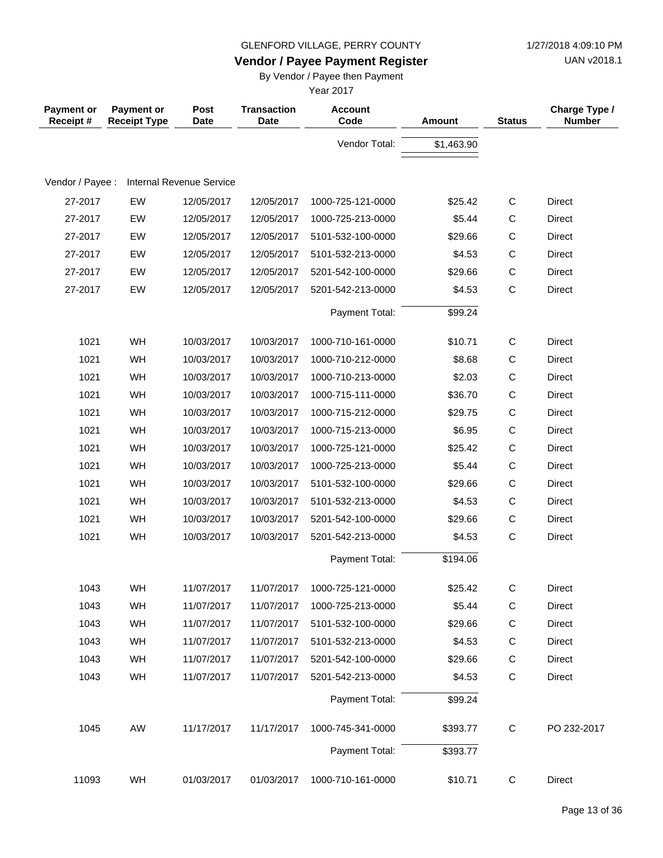UAN v2018.1

# **Vendor / Payee Payment Register**

By Vendor / Payee then Payment

| <b>Payment or</b><br>Receipt# | <b>Payment or</b><br><b>Receipt Type</b> | Post<br><b>Date</b>             | <b>Transaction</b><br><b>Date</b> | <b>Account</b><br>Code | Amount     | <b>Status</b> | Charge Type /<br><b>Number</b> |
|-------------------------------|------------------------------------------|---------------------------------|-----------------------------------|------------------------|------------|---------------|--------------------------------|
|                               |                                          |                                 |                                   | Vendor Total:          | \$1,463.90 |               |                                |
|                               |                                          |                                 |                                   |                        |            |               |                                |
| Vendor / Payee :              |                                          | <b>Internal Revenue Service</b> |                                   |                        |            |               |                                |
| 27-2017                       | EW                                       | 12/05/2017                      | 12/05/2017                        | 1000-725-121-0000      | \$25.42    | $\mathsf{C}$  | Direct                         |
| 27-2017                       | EW                                       | 12/05/2017                      | 12/05/2017                        | 1000-725-213-0000      | \$5.44     | $\mathsf C$   | Direct                         |
| 27-2017                       | EW                                       | 12/05/2017                      | 12/05/2017                        | 5101-532-100-0000      | \$29.66    | $\mathsf C$   | <b>Direct</b>                  |
| 27-2017                       | EW                                       | 12/05/2017                      | 12/05/2017                        | 5101-532-213-0000      | \$4.53     | $\mathsf C$   | <b>Direct</b>                  |
| 27-2017                       | EW                                       | 12/05/2017                      | 12/05/2017                        | 5201-542-100-0000      | \$29.66    | $\mathsf C$   | Direct                         |
| 27-2017                       | EW                                       | 12/05/2017                      | 12/05/2017                        | 5201-542-213-0000      | \$4.53     | $\mathsf C$   | Direct                         |
|                               |                                          |                                 |                                   | Payment Total:         | \$99.24    |               |                                |
| 1021                          | WH                                       | 10/03/2017                      | 10/03/2017                        | 1000-710-161-0000      | \$10.71    | $\mathsf C$   | <b>Direct</b>                  |
| 1021                          | WH                                       | 10/03/2017                      | 10/03/2017                        | 1000-710-212-0000      | \$8.68     | C             | <b>Direct</b>                  |
| 1021                          | WH                                       | 10/03/2017                      | 10/03/2017                        | 1000-710-213-0000      | \$2.03     | $\mathsf C$   | Direct                         |
| 1021                          | WH                                       | 10/03/2017                      | 10/03/2017                        | 1000-715-111-0000      | \$36.70    | $\mathsf C$   | <b>Direct</b>                  |
| 1021                          | WH                                       | 10/03/2017                      | 10/03/2017                        | 1000-715-212-0000      | \$29.75    | $\mathsf C$   | Direct                         |
| 1021                          | WH                                       | 10/03/2017                      | 10/03/2017                        | 1000-715-213-0000      | \$6.95     | $\mathsf C$   | <b>Direct</b>                  |
| 1021                          | WH                                       | 10/03/2017                      | 10/03/2017                        | 1000-725-121-0000      | \$25.42    | $\mathsf C$   | <b>Direct</b>                  |
| 1021                          | WH                                       | 10/03/2017                      | 10/03/2017                        | 1000-725-213-0000      | \$5.44     | $\mathsf C$   | Direct                         |
| 1021                          | WH                                       | 10/03/2017                      | 10/03/2017                        | 5101-532-100-0000      | \$29.66    | $\mathsf C$   | <b>Direct</b>                  |
| 1021                          | WH                                       | 10/03/2017                      | 10/03/2017                        | 5101-532-213-0000      | \$4.53     | $\mathsf C$   | Direct                         |
| 1021                          | WH                                       | 10/03/2017                      | 10/03/2017                        | 5201-542-100-0000      | \$29.66    | $\mathsf C$   | Direct                         |
| 1021                          | WH                                       | 10/03/2017                      | 10/03/2017                        | 5201-542-213-0000      | \$4.53     | $\mathsf C$   | Direct                         |
|                               |                                          |                                 |                                   | Payment Total:         | \$194.06   |               |                                |
| 1043                          | WH                                       | 11/07/2017                      | 11/07/2017                        | 1000-725-121-0000      | \$25.42    | $\mathsf{C}$  | Direct                         |
| 1043                          | <b>WH</b>                                | 11/07/2017                      | 11/07/2017                        | 1000-725-213-0000      | \$5.44     | С             | Direct                         |
| 1043                          | WH                                       | 11/07/2017                      | 11/07/2017                        | 5101-532-100-0000      | \$29.66    | C             | Direct                         |
| 1043                          | WH                                       | 11/07/2017                      | 11/07/2017                        | 5101-532-213-0000      | \$4.53     | C             | Direct                         |
| 1043                          | WH                                       | 11/07/2017                      | 11/07/2017                        | 5201-542-100-0000      | \$29.66    | $\mathsf{C}$  | Direct                         |
| 1043                          | WH                                       | 11/07/2017                      | 11/07/2017                        | 5201-542-213-0000      | \$4.53     | С             | Direct                         |
|                               |                                          |                                 |                                   | Payment Total:         | \$99.24    |               |                                |
| 1045                          | AW                                       | 11/17/2017                      | 11/17/2017                        | 1000-745-341-0000      | \$393.77   | $\mathsf{C}$  | PO 232-2017                    |
|                               |                                          |                                 |                                   | Payment Total:         | \$393.77   |               |                                |
| 11093                         | WH                                       | 01/03/2017                      | 01/03/2017                        | 1000-710-161-0000      | \$10.71    | $\mathsf C$   | Direct                         |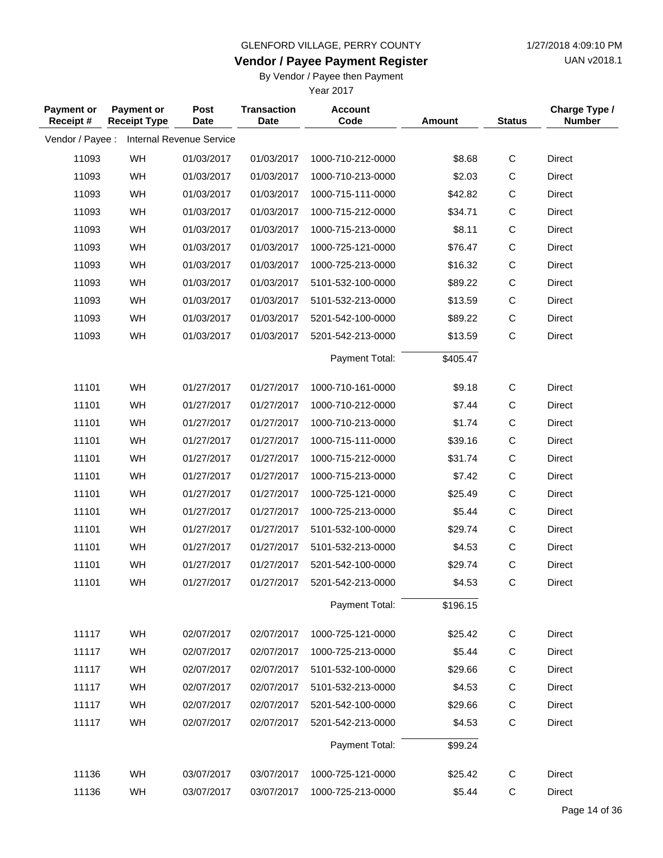**Vendor / Payee Payment Register**

UAN v2018.1

## By Vendor / Payee then Payment

| <b>Payment or</b><br>Receipt# | <b>Payment or</b><br><b>Receipt Type</b> | Post<br><b>Date</b>      | <b>Transaction</b><br><b>Date</b> | <b>Account</b><br>Code | <b>Amount</b> | <b>Status</b> | Charge Type /<br><b>Number</b> |
|-------------------------------|------------------------------------------|--------------------------|-----------------------------------|------------------------|---------------|---------------|--------------------------------|
| Vendor / Payee :              |                                          | Internal Revenue Service |                                   |                        |               |               |                                |
| 11093                         | WH                                       | 01/03/2017               | 01/03/2017                        | 1000-710-212-0000      | \$8.68        | C             | <b>Direct</b>                  |
| 11093                         | WH                                       | 01/03/2017               | 01/03/2017                        | 1000-710-213-0000      | \$2.03        | $\mathsf C$   | <b>Direct</b>                  |
| 11093                         | WH                                       | 01/03/2017               | 01/03/2017                        | 1000-715-111-0000      | \$42.82       | $\mathsf C$   | Direct                         |
| 11093                         | WH                                       | 01/03/2017               | 01/03/2017                        | 1000-715-212-0000      | \$34.71       | $\mathsf C$   | <b>Direct</b>                  |
| 11093                         | WH                                       | 01/03/2017               | 01/03/2017                        | 1000-715-213-0000      | \$8.11        | $\mathsf C$   | <b>Direct</b>                  |
| 11093                         | WH                                       | 01/03/2017               | 01/03/2017                        | 1000-725-121-0000      | \$76.47       | $\mathsf C$   | <b>Direct</b>                  |
| 11093                         | WH                                       | 01/03/2017               | 01/03/2017                        | 1000-725-213-0000      | \$16.32       | $\mathsf C$   | Direct                         |
| 11093                         | WH                                       | 01/03/2017               | 01/03/2017                        | 5101-532-100-0000      | \$89.22       | $\mathsf C$   | <b>Direct</b>                  |
| 11093                         | WH                                       | 01/03/2017               | 01/03/2017                        | 5101-532-213-0000      | \$13.59       | $\mathsf C$   | <b>Direct</b>                  |
| 11093                         | WH                                       | 01/03/2017               | 01/03/2017                        | 5201-542-100-0000      | \$89.22       | $\mathsf C$   | <b>Direct</b>                  |
| 11093                         | WH                                       | 01/03/2017               | 01/03/2017                        | 5201-542-213-0000      | \$13.59       | $\mathsf C$   | <b>Direct</b>                  |
|                               |                                          |                          |                                   | Payment Total:         | \$405.47      |               |                                |
| 11101                         | WH                                       | 01/27/2017               | 01/27/2017                        | 1000-710-161-0000      | \$9.18        | C             | <b>Direct</b>                  |
| 11101                         | WH                                       | 01/27/2017               | 01/27/2017                        | 1000-710-212-0000      | \$7.44        | $\mathsf C$   | <b>Direct</b>                  |
| 11101                         | WH                                       | 01/27/2017               | 01/27/2017                        | 1000-710-213-0000      | \$1.74        | $\mathsf C$   | <b>Direct</b>                  |
| 11101                         | WH                                       | 01/27/2017               | 01/27/2017                        | 1000-715-111-0000      | \$39.16       | $\mathsf C$   | Direct                         |
| 11101                         | WH                                       | 01/27/2017               | 01/27/2017                        | 1000-715-212-0000      | \$31.74       | $\mathsf C$   | <b>Direct</b>                  |
| 11101                         | WH                                       | 01/27/2017               | 01/27/2017                        | 1000-715-213-0000      | \$7.42        | $\mathsf C$   | <b>Direct</b>                  |
| 11101                         | WH                                       | 01/27/2017               | 01/27/2017                        | 1000-725-121-0000      | \$25.49       | $\mathsf C$   | <b>Direct</b>                  |
| 11101                         | WH                                       | 01/27/2017               | 01/27/2017                        | 1000-725-213-0000      | \$5.44        | $\mathsf C$   | Direct                         |
| 11101                         | WH                                       | 01/27/2017               | 01/27/2017                        | 5101-532-100-0000      | \$29.74       | $\mathsf C$   | <b>Direct</b>                  |
| 11101                         | WH                                       | 01/27/2017               | 01/27/2017                        | 5101-532-213-0000      | \$4.53        | $\mathsf C$   | <b>Direct</b>                  |
| 11101                         | WH                                       | 01/27/2017               | 01/27/2017                        | 5201-542-100-0000      | \$29.74       | $\mathsf C$   | <b>Direct</b>                  |
| 11101                         | WH                                       | 01/27/2017               | 01/27/2017                        | 5201-542-213-0000      | \$4.53        | $\mathsf C$   | Direct                         |
|                               |                                          |                          |                                   | Payment Total:         | \$196.15      |               |                                |
| 11117                         | WH                                       | 02/07/2017               | 02/07/2017                        | 1000-725-121-0000      | \$25.42       | C             | <b>Direct</b>                  |
| 11117                         | WH                                       | 02/07/2017               | 02/07/2017                        | 1000-725-213-0000      | \$5.44        | C             | Direct                         |
| 11117                         | WH                                       | 02/07/2017               | 02/07/2017                        | 5101-532-100-0000      | \$29.66       | C             | Direct                         |
| 11117                         | WH                                       | 02/07/2017               | 02/07/2017                        | 5101-532-213-0000      | \$4.53        | $\mathsf{C}$  | <b>Direct</b>                  |
| 11117                         | WH                                       | 02/07/2017               | 02/07/2017                        | 5201-542-100-0000      | \$29.66       | C             | <b>Direct</b>                  |
| 11117                         | WH                                       | 02/07/2017               | 02/07/2017                        | 5201-542-213-0000      | \$4.53        | $\mathsf C$   | Direct                         |
|                               |                                          |                          |                                   | Payment Total:         | \$99.24       |               |                                |
| 11136                         | WH                                       | 03/07/2017               | 03/07/2017                        | 1000-725-121-0000      | \$25.42       | C             | Direct                         |
| 11136                         | WH                                       | 03/07/2017               | 03/07/2017                        | 1000-725-213-0000      | \$5.44        | $\mathsf C$   | Direct                         |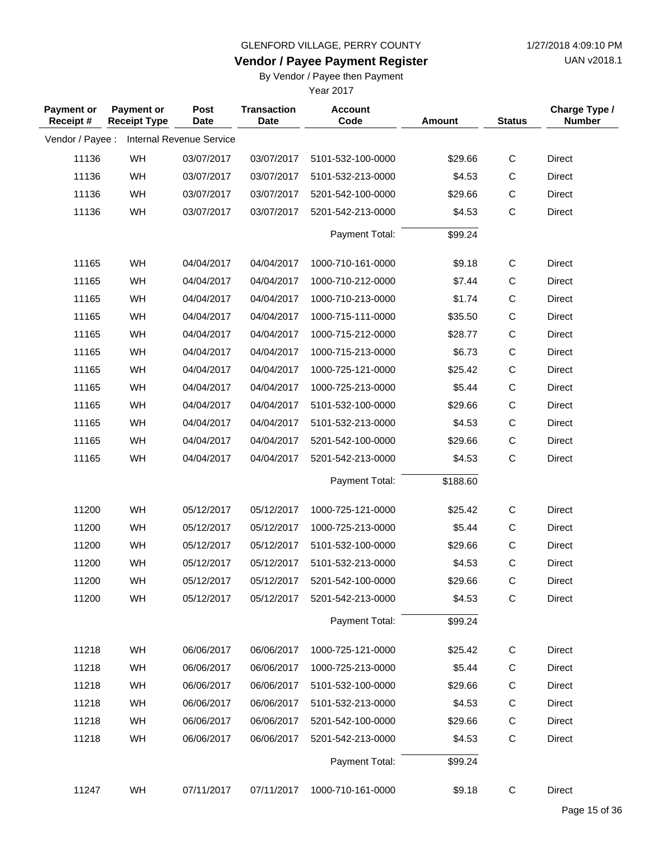**Vendor / Payee Payment Register**

UAN v2018.1

## By Vendor / Payee then Payment

| <b>Payment or</b><br>Receipt# | <b>Payment or</b><br><b>Receipt Type</b> | Post<br><b>Date</b>             | <b>Transaction</b><br><b>Date</b> | <b>Account</b><br>Code | Amount   | <b>Status</b> | Charge Type /<br><b>Number</b> |
|-------------------------------|------------------------------------------|---------------------------------|-----------------------------------|------------------------|----------|---------------|--------------------------------|
| Vendor / Payee :              |                                          | <b>Internal Revenue Service</b> |                                   |                        |          |               |                                |
| 11136                         | WH                                       | 03/07/2017                      | 03/07/2017                        | 5101-532-100-0000      | \$29.66  | $\mathsf C$   | Direct                         |
| 11136                         | WH                                       | 03/07/2017                      | 03/07/2017                        | 5101-532-213-0000      | \$4.53   | C             | Direct                         |
| 11136                         | WH                                       | 03/07/2017                      | 03/07/2017                        | 5201-542-100-0000      | \$29.66  | $\mathsf C$   | Direct                         |
| 11136                         | WH                                       | 03/07/2017                      | 03/07/2017                        | 5201-542-213-0000      | \$4.53   | $\mathsf{C}$  | Direct                         |
|                               |                                          |                                 |                                   | Payment Total:         | \$99.24  |               |                                |
| 11165                         | WH                                       | 04/04/2017                      | 04/04/2017                        | 1000-710-161-0000      | \$9.18   | $\mathsf{C}$  | Direct                         |
| 11165                         | WH                                       | 04/04/2017                      | 04/04/2017                        | 1000-710-212-0000      | \$7.44   | C             | Direct                         |
| 11165                         | WH                                       | 04/04/2017                      | 04/04/2017                        | 1000-710-213-0000      | \$1.74   | $\mathsf C$   | Direct                         |
| 11165                         | WH                                       | 04/04/2017                      | 04/04/2017                        | 1000-715-111-0000      | \$35.50  | $\mathsf C$   | Direct                         |
| 11165                         | WH                                       | 04/04/2017                      | 04/04/2017                        | 1000-715-212-0000      | \$28.77  | $\mathsf C$   | Direct                         |
| 11165                         | WH                                       | 04/04/2017                      | 04/04/2017                        | 1000-715-213-0000      | \$6.73   | $\mathsf C$   | Direct                         |
| 11165                         | WH                                       | 04/04/2017                      | 04/04/2017                        | 1000-725-121-0000      | \$25.42  | $\mathsf C$   | Direct                         |
| 11165                         | WH                                       | 04/04/2017                      | 04/04/2017                        | 1000-725-213-0000      | \$5.44   | $\mathsf C$   | Direct                         |
| 11165                         | WH                                       | 04/04/2017                      | 04/04/2017                        | 5101-532-100-0000      | \$29.66  | $\mathsf C$   | Direct                         |
| 11165                         | WH                                       | 04/04/2017                      | 04/04/2017                        | 5101-532-213-0000      | \$4.53   | $\mathsf C$   | Direct                         |
| 11165                         | WH                                       | 04/04/2017                      | 04/04/2017                        | 5201-542-100-0000      | \$29.66  | $\mathsf C$   | Direct                         |
| 11165                         | WH                                       | 04/04/2017                      | 04/04/2017                        | 5201-542-213-0000      | \$4.53   | $\mathsf{C}$  | Direct                         |
|                               |                                          |                                 |                                   | Payment Total:         | \$188.60 |               |                                |
| 11200                         | WH                                       | 05/12/2017                      | 05/12/2017                        | 1000-725-121-0000      | \$25.42  | $\mathsf C$   | Direct                         |
| 11200                         | WH                                       | 05/12/2017                      | 05/12/2017                        | 1000-725-213-0000      | \$5.44   | C             | Direct                         |
| 11200                         | WH                                       | 05/12/2017                      | 05/12/2017                        | 5101-532-100-0000      | \$29.66  | $\mathsf C$   | Direct                         |
| 11200                         | WH                                       | 05/12/2017                      | 05/12/2017                        | 5101-532-213-0000      | \$4.53   | $\mathsf C$   | Direct                         |
| 11200                         | WH                                       | 05/12/2017                      | 05/12/2017                        | 5201-542-100-0000      | \$29.66  | $\mathsf{C}$  | Direct                         |
| 11200                         | WH                                       | 05/12/2017                      | 05/12/2017                        | 5201-542-213-0000      | \$4.53   | $\mathsf C$   | Direct                         |
|                               |                                          |                                 |                                   | Payment Total:         | \$99.24  |               |                                |
| 11218                         | WH                                       | 06/06/2017                      | 06/06/2017                        | 1000-725-121-0000      | \$25.42  | $\mathsf{C}$  | Direct                         |
| 11218                         | WH                                       | 06/06/2017                      | 06/06/2017                        | 1000-725-213-0000      | \$5.44   | C             | Direct                         |
| 11218                         | WH                                       | 06/06/2017                      | 06/06/2017                        | 5101-532-100-0000      | \$29.66  | C             | Direct                         |
| 11218                         | WH                                       | 06/06/2017                      | 06/06/2017                        | 5101-532-213-0000      | \$4.53   | C             | Direct                         |
| 11218                         | WH                                       | 06/06/2017                      | 06/06/2017                        | 5201-542-100-0000      | \$29.66  | C             | Direct                         |
| 11218                         | WH                                       | 06/06/2017                      | 06/06/2017                        | 5201-542-213-0000      | \$4.53   | $\mathsf C$   | Direct                         |
|                               |                                          |                                 |                                   | Payment Total:         | \$99.24  |               |                                |
| 11247                         | WH                                       | 07/11/2017                      | 07/11/2017                        | 1000-710-161-0000      | \$9.18   | $\mathsf C$   | Direct                         |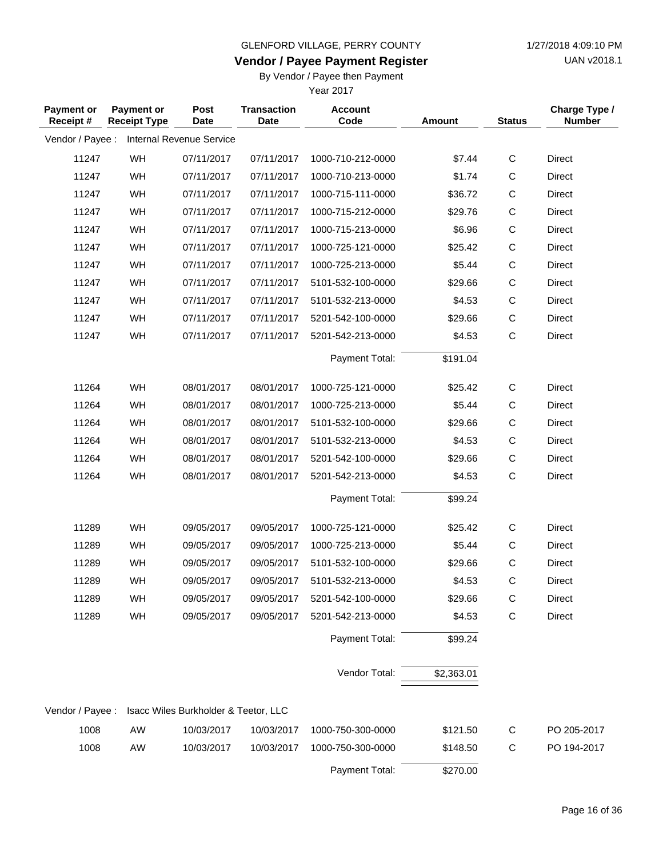**Vendor / Payee Payment Register**

UAN v2018.1

## By Vendor / Payee then Payment

| <b>Payment or</b><br>Receipt # | <b>Payment or</b><br><b>Receipt Type</b> | Post<br><b>Date</b>                  | <b>Transaction</b><br><b>Date</b> | <b>Account</b><br>Code | <b>Amount</b> | <b>Status</b> | Charge Type /<br><b>Number</b> |
|--------------------------------|------------------------------------------|--------------------------------------|-----------------------------------|------------------------|---------------|---------------|--------------------------------|
| Vendor / Payee :               |                                          | Internal Revenue Service             |                                   |                        |               |               |                                |
| 11247                          | WH                                       | 07/11/2017                           | 07/11/2017                        | 1000-710-212-0000      | \$7.44        | $\mathsf{C}$  | Direct                         |
| 11247                          | WH                                       | 07/11/2017                           | 07/11/2017                        | 1000-710-213-0000      | \$1.74        | $\mathsf{C}$  | Direct                         |
| 11247                          | WH                                       | 07/11/2017                           | 07/11/2017                        | 1000-715-111-0000      | \$36.72       | $\mathsf C$   | Direct                         |
| 11247                          | WH                                       | 07/11/2017                           | 07/11/2017                        | 1000-715-212-0000      | \$29.76       | $\mathsf C$   | <b>Direct</b>                  |
| 11247                          | WH                                       | 07/11/2017                           | 07/11/2017                        | 1000-715-213-0000      | \$6.96        | $\mathsf C$   | Direct                         |
| 11247                          | WH                                       | 07/11/2017                           | 07/11/2017                        | 1000-725-121-0000      | \$25.42       | $\mathsf C$   | Direct                         |
| 11247                          | WH                                       | 07/11/2017                           | 07/11/2017                        | 1000-725-213-0000      | \$5.44        | $\mathsf C$   | Direct                         |
| 11247                          | WH                                       | 07/11/2017                           | 07/11/2017                        | 5101-532-100-0000      | \$29.66       | $\mathsf C$   | Direct                         |
| 11247                          | WH                                       | 07/11/2017                           | 07/11/2017                        | 5101-532-213-0000      | \$4.53        | $\mathsf C$   | Direct                         |
| 11247                          | WH                                       | 07/11/2017                           | 07/11/2017                        | 5201-542-100-0000      | \$29.66       | $\mathsf C$   | Direct                         |
| 11247                          | WH                                       | 07/11/2017                           | 07/11/2017                        | 5201-542-213-0000      | \$4.53        | $\mathsf{C}$  | Direct                         |
|                                |                                          |                                      |                                   | Payment Total:         | \$191.04      |               |                                |
| 11264                          | WH                                       | 08/01/2017                           | 08/01/2017                        | 1000-725-121-0000      | \$25.42       | $\mathsf C$   | Direct                         |
| 11264                          | WH                                       | 08/01/2017                           | 08/01/2017                        | 1000-725-213-0000      | \$5.44        | $\mathsf{C}$  | <b>Direct</b>                  |
| 11264                          | WH                                       | 08/01/2017                           | 08/01/2017                        | 5101-532-100-0000      | \$29.66       | $\mathsf C$   | Direct                         |
| 11264                          | WH                                       | 08/01/2017                           | 08/01/2017                        | 5101-532-213-0000      | \$4.53        | $\mathsf C$   | Direct                         |
| 11264                          | WH                                       | 08/01/2017                           | 08/01/2017                        | 5201-542-100-0000      | \$29.66       | $\mathsf C$   | Direct                         |
| 11264                          | WH                                       | 08/01/2017                           | 08/01/2017                        | 5201-542-213-0000      | \$4.53        | $\mathsf{C}$  | Direct                         |
|                                |                                          |                                      |                                   | Payment Total:         | \$99.24       |               |                                |
| 11289                          | WH                                       | 09/05/2017                           | 09/05/2017                        | 1000-725-121-0000      | \$25.42       | $\mathsf{C}$  | Direct                         |
| 11289                          | WH                                       | 09/05/2017                           | 09/05/2017                        | 1000-725-213-0000      | \$5.44        | $\mathsf C$   | Direct                         |
| 11289                          | WH                                       | 09/05/2017                           | 09/05/2017                        | 5101-532-100-0000      | \$29.66       | $\mathsf{C}$  | <b>Direct</b>                  |
| 11289                          | WH                                       | 09/05/2017                           | 09/05/2017                        | 5101-532-213-0000      | \$4.53        | $\mathsf C$   | <b>Direct</b>                  |
| 11289                          | WH                                       | 09/05/2017                           | 09/05/2017                        | 5201-542-100-0000      | \$29.66       | $\mathsf C$   | Direct                         |
| 11289                          | WH                                       | 09/05/2017                           | 09/05/2017                        | 5201-542-213-0000      | \$4.53        | $\mathsf C$   | Direct                         |
|                                |                                          |                                      |                                   | Payment Total:         | \$99.24       |               |                                |
|                                |                                          |                                      |                                   | Vendor Total:          | \$2,363.01    |               |                                |
| Vendor / Payee :               |                                          | Isacc Wiles Burkholder & Teetor, LLC |                                   |                        |               |               |                                |
|                                |                                          |                                      |                                   |                        |               |               |                                |
| 1008                           | AW                                       | 10/03/2017                           | 10/03/2017                        | 1000-750-300-0000      | \$121.50      | C             | PO 205-2017                    |
| 1008                           | AW                                       | 10/03/2017                           | 10/03/2017                        | 1000-750-300-0000      | \$148.50      | $\mathsf C$   | PO 194-2017                    |
|                                |                                          |                                      |                                   | Payment Total:         | \$270.00      |               |                                |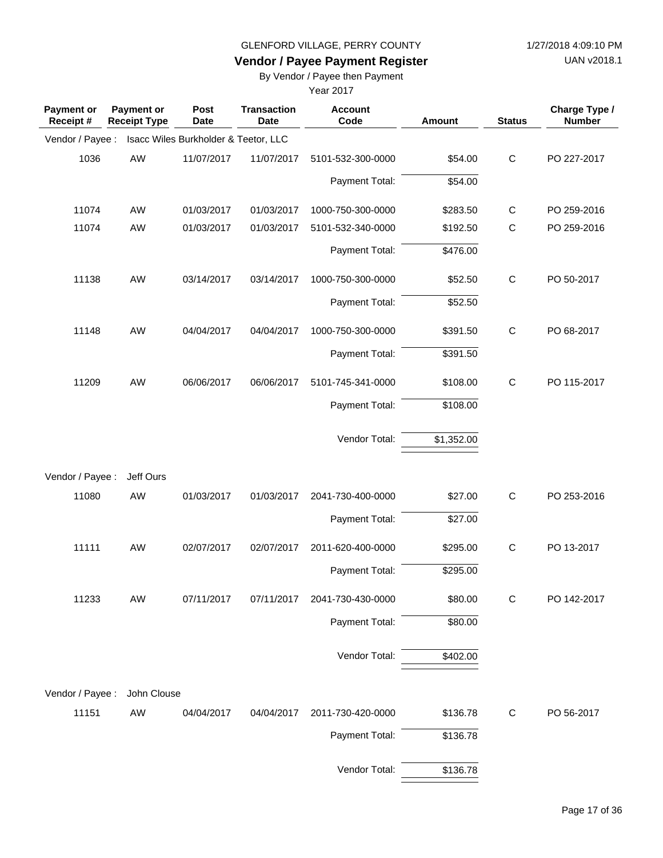UAN v2018.1

# **Vendor / Payee Payment Register**

By Vendor / Payee then Payment

| Payment or<br>Receipt# | Payment or<br><b>Receipt Type</b> | Post<br><b>Date</b>                  | <b>Transaction</b><br><b>Date</b> | <b>Account</b><br>Code | Amount     | <b>Status</b> | Charge Type /<br><b>Number</b> |
|------------------------|-----------------------------------|--------------------------------------|-----------------------------------|------------------------|------------|---------------|--------------------------------|
| Vendor / Payee :       |                                   | Isacc Wiles Burkholder & Teetor, LLC |                                   |                        |            |               |                                |
| 1036                   | AW                                | 11/07/2017                           | 11/07/2017                        | 5101-532-300-0000      | \$54.00    | $\mathsf{C}$  | PO 227-2017                    |
|                        |                                   |                                      |                                   | Payment Total:         | \$54.00    |               |                                |
| 11074                  | AW                                | 01/03/2017                           | 01/03/2017                        | 1000-750-300-0000      | \$283.50   | $\mathsf{C}$  | PO 259-2016                    |
| 11074                  | AW                                | 01/03/2017                           | 01/03/2017                        | 5101-532-340-0000      | \$192.50   | $\mathsf C$   | PO 259-2016                    |
|                        |                                   |                                      |                                   | Payment Total:         | \$476.00   |               |                                |
| 11138                  | AW                                | 03/14/2017                           | 03/14/2017                        | 1000-750-300-0000      | \$52.50    | $\mathsf C$   | PO 50-2017                     |
|                        |                                   |                                      |                                   | Payment Total:         | \$52.50    |               |                                |
| 11148                  | AW                                | 04/04/2017                           | 04/04/2017                        | 1000-750-300-0000      | \$391.50   | $\mathsf C$   | PO 68-2017                     |
|                        |                                   |                                      |                                   | Payment Total:         | \$391.50   |               |                                |
| 11209                  | AW                                | 06/06/2017                           | 06/06/2017                        | 5101-745-341-0000      | \$108.00   | $\mathsf{C}$  | PO 115-2017                    |
|                        |                                   |                                      |                                   | Payment Total:         | \$108.00   |               |                                |
|                        |                                   |                                      |                                   | Vendor Total:          | \$1,352.00 |               |                                |
| Vendor / Payee :       | Jeff Ours                         |                                      |                                   |                        |            |               |                                |
| 11080                  | AW                                | 01/03/2017                           | 01/03/2017                        | 2041-730-400-0000      | \$27.00    | $\mathsf{C}$  | PO 253-2016                    |
|                        |                                   |                                      |                                   | Payment Total:         | \$27.00    |               |                                |
| 11111                  | AW                                | 02/07/2017                           | 02/07/2017                        | 2011-620-400-0000      | \$295.00   | $\mathsf C$   | PO 13-2017                     |
|                        |                                   |                                      |                                   | Payment Total:         | \$295.00   |               |                                |
| 11233                  | AW                                | 07/11/2017                           | 07/11/2017                        | 2041-730-430-0000      | \$80.00    | $\mathsf C$   | PO 142-2017                    |
|                        |                                   |                                      |                                   | Payment Total:         | \$80.00    |               |                                |
|                        |                                   |                                      |                                   | Vendor Total:          | \$402.00   |               |                                |
| Vendor / Payee :       | John Clouse                       |                                      |                                   |                        |            |               |                                |
| 11151                  | AW                                | 04/04/2017                           | 04/04/2017                        | 2011-730-420-0000      | \$136.78   | $\mathsf{C}$  | PO 56-2017                     |
|                        |                                   |                                      |                                   | Payment Total:         | \$136.78   |               |                                |
|                        |                                   |                                      |                                   | Vendor Total:          | \$136.78   |               |                                |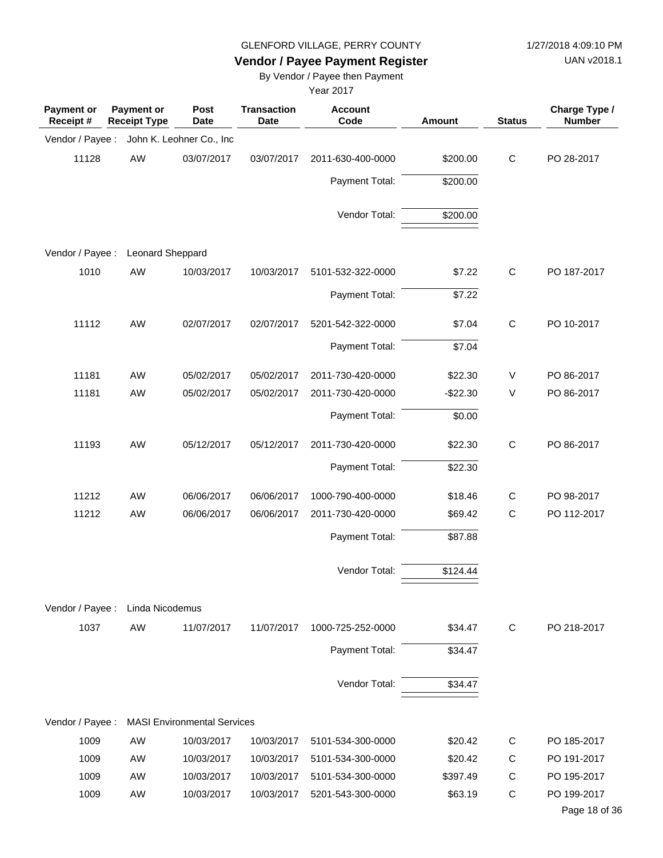UAN v2018.1

# **Vendor / Payee Payment Register**

By Vendor / Payee then Payment

| <b>Payment or</b><br>Receipt # | Payment or<br><b>Receipt Type</b> | <b>Post</b><br><b>Date</b>         | <b>Transaction</b><br>Date | <b>Account</b><br>Code | Amount    | <b>Status</b> | Charge Type /<br><b>Number</b> |
|--------------------------------|-----------------------------------|------------------------------------|----------------------------|------------------------|-----------|---------------|--------------------------------|
| Vendor / Payee :               |                                   | John K. Leohner Co., Inc           |                            |                        |           |               |                                |
| 11128                          | AW                                | 03/07/2017                         | 03/07/2017                 | 2011-630-400-0000      | \$200.00  | $\mathbf C$   | PO 28-2017                     |
|                                |                                   |                                    |                            | Payment Total:         | \$200.00  |               |                                |
|                                |                                   |                                    |                            | Vendor Total:          | \$200.00  |               |                                |
| Vendor / Payee :               | Leonard Sheppard                  |                                    |                            |                        |           |               |                                |
| 1010                           | AW                                | 10/03/2017                         | 10/03/2017                 | 5101-532-322-0000      | \$7.22    | $\mathbf C$   | PO 187-2017                    |
|                                |                                   |                                    |                            | Payment Total:         | \$7.22    |               |                                |
| 11112                          | AW                                | 02/07/2017                         | 02/07/2017                 | 5201-542-322-0000      | \$7.04    | $\mathbf C$   | PO 10-2017                     |
|                                |                                   |                                    |                            | Payment Total:         | \$7.04    |               |                                |
| 11181                          | AW                                | 05/02/2017                         | 05/02/2017                 | 2011-730-420-0000      | \$22.30   | V             | PO 86-2017                     |
| 11181                          | AW                                | 05/02/2017                         | 05/02/2017                 | 2011-730-420-0000      | $-$22.30$ | V             | PO 86-2017                     |
|                                |                                   |                                    |                            | Payment Total:         | \$0.00    |               |                                |
| 11193                          | AW                                | 05/12/2017                         | 05/12/2017                 | 2011-730-420-0000      | \$22.30   | $\mathbf C$   | PO 86-2017                     |
|                                |                                   |                                    |                            | Payment Total:         | \$22.30   |               |                                |
| 11212                          | AW                                | 06/06/2017                         | 06/06/2017                 | 1000-790-400-0000      | \$18.46   | $\mathsf{C}$  | PO 98-2017                     |
| 11212                          | AW                                | 06/06/2017                         | 06/06/2017                 | 2011-730-420-0000      | \$69.42   | C             | PO 112-2017                    |
|                                |                                   |                                    |                            | Payment Total:         | \$87.88   |               |                                |
|                                |                                   |                                    |                            | Vendor Total:          | \$124.44  |               |                                |
| Vendor / Payee :               | Linda Nicodemus                   |                                    |                            |                        |           |               |                                |
| 1037                           | AW                                | 11/07/2017                         | 11/07/2017                 | 1000-725-252-0000      | \$34.47   | C             | PO 218-2017                    |
|                                |                                   |                                    |                            | Payment Total:         | \$34.47   |               |                                |
|                                |                                   |                                    |                            | Vendor Total:          | \$34.47   |               |                                |
|                                |                                   |                                    |                            |                        |           |               |                                |
| Vendor / Payee :               |                                   | <b>MASI Environmental Services</b> |                            |                        |           |               |                                |
| 1009                           | AW                                | 10/03/2017                         | 10/03/2017                 | 5101-534-300-0000      | \$20.42   | С             | PO 185-2017                    |
| 1009                           | AW                                | 10/03/2017                         | 10/03/2017                 | 5101-534-300-0000      | \$20.42   | C             | PO 191-2017                    |
| 1009                           | AW                                | 10/03/2017                         | 10/03/2017                 | 5101-534-300-0000      | \$397.49  | C             | PO 195-2017                    |
| 1009                           | AW                                | 10/03/2017                         | 10/03/2017                 | 5201-543-300-0000      | \$63.19   | C             | PO 199-2017<br>Page 18 of 36   |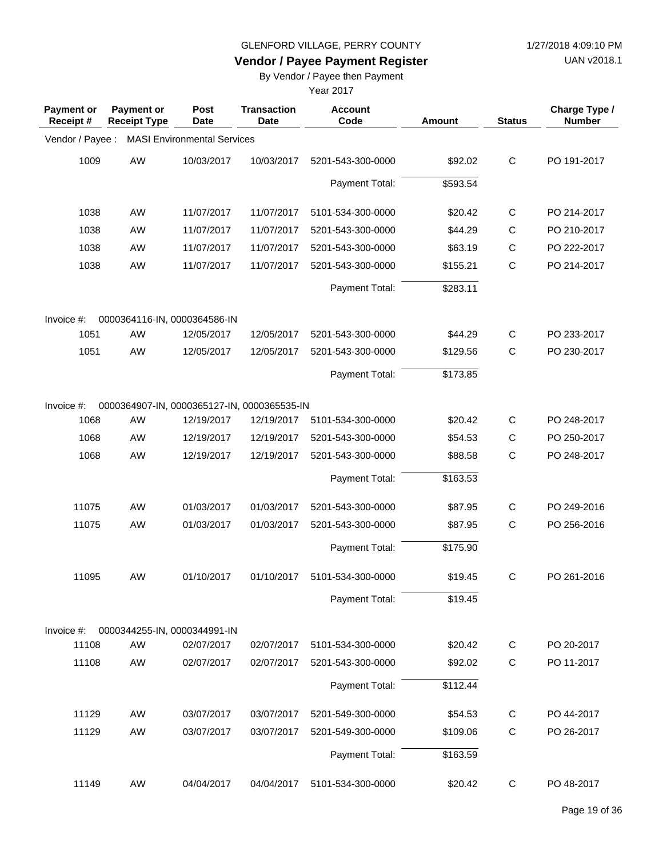UAN v2018.1

# **Vendor / Payee Payment Register**

By Vendor / Payee then Payment

| <b>Payment or</b><br>Receipt# | Payment or<br><b>Receipt Type</b>           | Post<br><b>Date</b>                | <b>Transaction</b><br><b>Date</b> | <b>Account</b><br>Code | Amount   | <b>Status</b> | Charge Type /<br><b>Number</b> |
|-------------------------------|---------------------------------------------|------------------------------------|-----------------------------------|------------------------|----------|---------------|--------------------------------|
| Vendor / Payee :              |                                             | <b>MASI Environmental Services</b> |                                   |                        |          |               |                                |
| 1009                          | AW                                          | 10/03/2017                         | 10/03/2017                        | 5201-543-300-0000      | \$92.02  | $\mathsf{C}$  | PO 191-2017                    |
|                               |                                             |                                    |                                   | Payment Total:         | \$593.54 |               |                                |
| 1038                          | AW                                          | 11/07/2017                         | 11/07/2017                        | 5101-534-300-0000      | \$20.42  | $\mathsf{C}$  | PO 214-2017                    |
| 1038                          | AW                                          | 11/07/2017                         | 11/07/2017                        | 5201-543-300-0000      | \$44.29  | C             | PO 210-2017                    |
| 1038                          | AW                                          | 11/07/2017                         | 11/07/2017                        | 5201-543-300-0000      | \$63.19  | $\mathsf C$   | PO 222-2017                    |
| 1038                          | AW                                          | 11/07/2017                         | 11/07/2017                        | 5201-543-300-0000      | \$155.21 | $\mathsf C$   | PO 214-2017                    |
|                               |                                             |                                    |                                   | Payment Total:         | \$283.11 |               |                                |
| Invoice #:                    | 0000364116-IN, 0000364586-IN                |                                    |                                   |                        |          |               |                                |
| 1051                          | AW                                          | 12/05/2017                         | 12/05/2017                        | 5201-543-300-0000      | \$44.29  | С             | PO 233-2017                    |
| 1051                          | AW                                          | 12/05/2017                         | 12/05/2017                        | 5201-543-300-0000      | \$129.56 | $\mathsf{C}$  | PO 230-2017                    |
|                               |                                             |                                    |                                   | Payment Total:         | \$173.85 |               |                                |
| Invoice #:                    | 0000364907-IN, 0000365127-IN, 0000365535-IN |                                    |                                   |                        |          |               |                                |
| 1068                          | AW                                          | 12/19/2017                         | 12/19/2017                        | 5101-534-300-0000      | \$20.42  | $\mathsf C$   | PO 248-2017                    |
| 1068                          | AW                                          | 12/19/2017                         | 12/19/2017                        | 5201-543-300-0000      | \$54.53  | C             | PO 250-2017                    |
| 1068                          | AW                                          | 12/19/2017                         | 12/19/2017                        | 5201-543-300-0000      | \$88.58  | $\mathsf C$   | PO 248-2017                    |
|                               |                                             |                                    |                                   | Payment Total:         | \$163.53 |               |                                |
| 11075                         | AW                                          | 01/03/2017                         | 01/03/2017                        | 5201-543-300-0000      | \$87.95  | C             | PO 249-2016                    |
| 11075                         | AW                                          | 01/03/2017                         | 01/03/2017                        | 5201-543-300-0000      | \$87.95  | $\mathsf{C}$  | PO 256-2016                    |
|                               |                                             |                                    |                                   | Payment Total:         | \$175.90 |               |                                |
| 11095                         | AW                                          | 01/10/2017                         | 01/10/2017                        | 5101-534-300-0000      | \$19.45  | $\mathsf C$   | PO 261-2016                    |
|                               |                                             |                                    |                                   | Payment Total:         | \$19.45  |               |                                |
| Invoice #:                    | 0000344255-IN, 0000344991-IN                |                                    |                                   |                        |          |               |                                |
| 11108                         | AW                                          | 02/07/2017                         | 02/07/2017                        | 5101-534-300-0000      | \$20.42  | С             | PO 20-2017                     |
| 11108                         | AW                                          | 02/07/2017                         | 02/07/2017                        | 5201-543-300-0000      | \$92.02  | $\mathsf C$   | PO 11-2017                     |
|                               |                                             |                                    |                                   | Payment Total:         | \$112.44 |               |                                |
| 11129                         | AW                                          | 03/07/2017                         | 03/07/2017                        | 5201-549-300-0000      | \$54.53  | C             | PO 44-2017                     |
| 11129                         | AW                                          | 03/07/2017                         | 03/07/2017                        | 5201-549-300-0000      | \$109.06 | $\mathsf C$   | PO 26-2017                     |
|                               |                                             |                                    |                                   | Payment Total:         | \$163.59 |               |                                |
| 11149                         | AW                                          | 04/04/2017                         | 04/04/2017                        | 5101-534-300-0000      | \$20.42  | C             | PO 48-2017                     |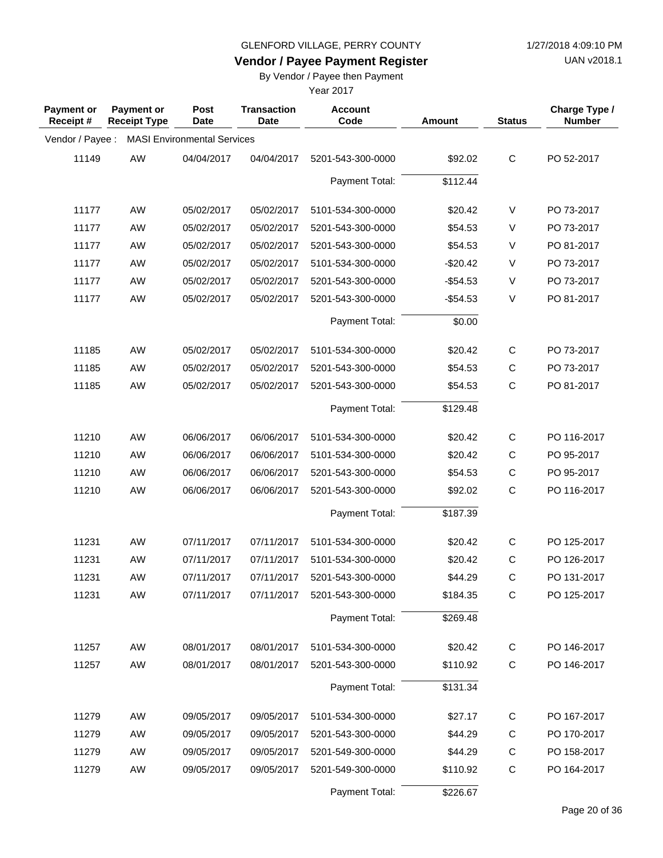**Vendor / Payee Payment Register**

UAN v2018.1

## By Vendor / Payee then Payment

| <b>Payment or</b><br>Receipt# | Payment or<br><b>Receipt Type</b> | Post<br><b>Date</b>                | <b>Transaction</b><br>Date | <b>Account</b><br>Code | Amount    | <b>Status</b> | Charge Type /<br><b>Number</b> |
|-------------------------------|-----------------------------------|------------------------------------|----------------------------|------------------------|-----------|---------------|--------------------------------|
| Vendor / Payee :              |                                   | <b>MASI Environmental Services</b> |                            |                        |           |               |                                |
| 11149                         | <b>AW</b>                         | 04/04/2017                         | 04/04/2017                 | 5201-543-300-0000      | \$92.02   | $\mathsf C$   | PO 52-2017                     |
|                               |                                   |                                    |                            | Payment Total:         | \$112.44  |               |                                |
| 11177                         | <b>AW</b>                         | 05/02/2017                         | 05/02/2017                 | 5101-534-300-0000      | \$20.42   | V             | PO 73-2017                     |
| 11177                         | <b>AW</b>                         | 05/02/2017                         | 05/02/2017                 | 5201-543-300-0000      | \$54.53   | V             | PO 73-2017                     |
| 11177                         | <b>AW</b>                         | 05/02/2017                         | 05/02/2017                 | 5201-543-300-0000      | \$54.53   | V             | PO 81-2017                     |
| 11177                         | <b>AW</b>                         | 05/02/2017                         | 05/02/2017                 | 5101-534-300-0000      | $-$20.42$ | V             | PO 73-2017                     |
| 11177                         | AW                                | 05/02/2017                         | 05/02/2017                 | 5201-543-300-0000      | $-$54.53$ | V             | PO 73-2017                     |
| 11177                         | AW                                | 05/02/2017                         | 05/02/2017                 | 5201-543-300-0000      | $-$54.53$ | V             | PO 81-2017                     |
|                               |                                   |                                    |                            | Payment Total:         | \$0.00    |               |                                |
| 11185                         | AW                                | 05/02/2017                         | 05/02/2017                 | 5101-534-300-0000      | \$20.42   | $\mathsf{C}$  | PO 73-2017                     |
| 11185                         | <b>AW</b>                         | 05/02/2017                         | 05/02/2017                 | 5201-543-300-0000      | \$54.53   | $\mathsf C$   | PO 73-2017                     |
| 11185                         | <b>AW</b>                         | 05/02/2017                         | 05/02/2017                 | 5201-543-300-0000      | \$54.53   | $\mathsf C$   | PO 81-2017                     |
|                               |                                   |                                    |                            | Payment Total:         | \$129.48  |               |                                |
| 11210                         | <b>AW</b>                         | 06/06/2017                         | 06/06/2017                 | 5101-534-300-0000      | \$20.42   | $\mathsf{C}$  | PO 116-2017                    |
| 11210                         | <b>AW</b>                         | 06/06/2017                         | 06/06/2017                 | 5101-534-300-0000      | \$20.42   | $\mathsf C$   | PO 95-2017                     |
| 11210                         | <b>AW</b>                         | 06/06/2017                         | 06/06/2017                 | 5201-543-300-0000      | \$54.53   | $\mathsf C$   | PO 95-2017                     |
| 11210                         | AW                                | 06/06/2017                         | 06/06/2017                 | 5201-543-300-0000      | \$92.02   | $\mathsf C$   | PO 116-2017                    |
|                               |                                   |                                    |                            | Payment Total:         | \$187.39  |               |                                |
| 11231                         | <b>AW</b>                         | 07/11/2017                         | 07/11/2017                 | 5101-534-300-0000      | \$20.42   | C             | PO 125-2017                    |
| 11231                         | <b>AW</b>                         | 07/11/2017                         | 07/11/2017                 | 5101-534-300-0000      | \$20.42   | $\mathsf C$   | PO 126-2017                    |
| 11231                         | AW                                | 07/11/2017                         | 07/11/2017                 | 5201-543-300-0000      | \$44.29   | $\mathsf C$   | PO 131-2017                    |
| 11231                         | AW                                | 07/11/2017                         | 07/11/2017                 | 5201-543-300-0000      | \$184.35  | $\mathsf{C}$  | PO 125-2017                    |
|                               |                                   |                                    |                            | Payment Total:         | \$269.48  |               |                                |
| 11257                         | AW                                | 08/01/2017                         | 08/01/2017                 | 5101-534-300-0000      | \$20.42   | $\mathsf C$   | PO 146-2017                    |
| 11257                         | AW                                | 08/01/2017                         | 08/01/2017                 | 5201-543-300-0000      | \$110.92  | $\mathsf{C}$  | PO 146-2017                    |
|                               |                                   |                                    |                            | Payment Total:         | \$131.34  |               |                                |
| 11279                         | AW                                | 09/05/2017                         | 09/05/2017                 | 5101-534-300-0000      | \$27.17   | $\mathsf C$   | PO 167-2017                    |
| 11279                         | AW                                | 09/05/2017                         | 09/05/2017                 | 5201-543-300-0000      | \$44.29   | $\mathsf C$   | PO 170-2017                    |
| 11279                         | AW                                | 09/05/2017                         | 09/05/2017                 | 5201-549-300-0000      | \$44.29   | $\mathsf C$   | PO 158-2017                    |
| 11279                         | AW                                | 09/05/2017                         | 09/05/2017                 | 5201-549-300-0000      | \$110.92  | $\mathsf{C}$  | PO 164-2017                    |
|                               |                                   |                                    |                            | Payment Total:         | \$226.67  |               |                                |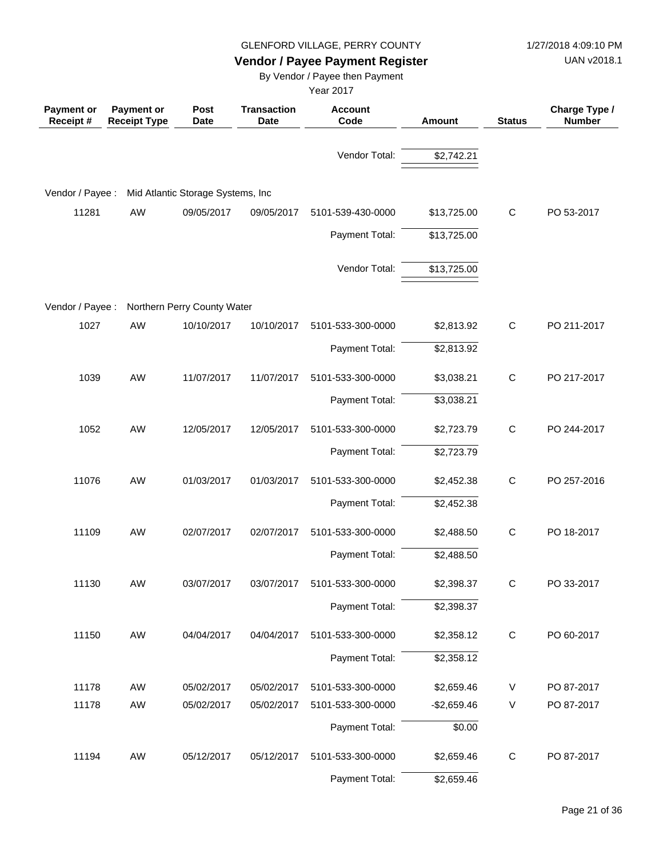UAN v2018.1

# **Vendor / Payee Payment Register**

By Vendor / Payee then Payment

| <b>Payment or</b><br>Receipt# | <b>Payment or</b><br><b>Receipt Type</b> | Post<br><b>Date</b>               | <b>Transaction</b><br><b>Date</b> | <b>Account</b><br>Code | Amount       | <b>Status</b> | Charge Type /<br><b>Number</b> |
|-------------------------------|------------------------------------------|-----------------------------------|-----------------------------------|------------------------|--------------|---------------|--------------------------------|
|                               |                                          |                                   |                                   | Vendor Total:          | \$2,742.21   |               |                                |
| Vendor / Payee :              |                                          | Mid Atlantic Storage Systems, Inc |                                   |                        |              |               |                                |
| 11281                         | AW                                       | 09/05/2017                        | 09/05/2017                        | 5101-539-430-0000      | \$13,725.00  | $\mathbf C$   | PO 53-2017                     |
|                               |                                          |                                   |                                   | Payment Total:         | \$13,725.00  |               |                                |
|                               |                                          |                                   |                                   | Vendor Total:          | \$13,725.00  |               |                                |
| Vendor / Payee :              |                                          | Northern Perry County Water       |                                   |                        |              |               |                                |
| 1027                          | AW                                       | 10/10/2017                        | 10/10/2017                        | 5101-533-300-0000      | \$2,813.92   | $\mathbf C$   | PO 211-2017                    |
|                               |                                          |                                   |                                   | Payment Total:         | \$2,813.92   |               |                                |
| 1039                          | AW                                       | 11/07/2017                        | 11/07/2017                        | 5101-533-300-0000      | \$3,038.21   | $\mathbf C$   | PO 217-2017                    |
|                               |                                          |                                   |                                   | Payment Total:         | \$3,038.21   |               |                                |
| 1052                          | AW                                       | 12/05/2017                        | 12/05/2017                        | 5101-533-300-0000      | \$2,723.79   | $\mathbf C$   | PO 244-2017                    |
|                               |                                          |                                   |                                   | Payment Total:         | \$2,723.79   |               |                                |
| 11076                         | AW                                       | 01/03/2017                        | 01/03/2017                        | 5101-533-300-0000      | \$2,452.38   | $\mathbf C$   | PO 257-2016                    |
|                               |                                          |                                   |                                   | Payment Total:         | \$2,452.38   |               |                                |
| 11109                         | AW                                       | 02/07/2017                        | 02/07/2017                        | 5101-533-300-0000      | \$2,488.50   | C             | PO 18-2017                     |
|                               |                                          |                                   |                                   | Payment Total:         | \$2,488.50   |               |                                |
| 11130                         | AW                                       | 03/07/2017                        | 03/07/2017                        | 5101-533-300-0000      | \$2,398.37   | C             | PO 33-2017                     |
|                               |                                          |                                   |                                   | Payment Total:         | \$2,398.37   |               |                                |
| 11150                         | AW                                       | 04/04/2017                        | 04/04/2017                        | 5101-533-300-0000      | \$2,358.12   | $\mathbf C$   | PO 60-2017                     |
|                               |                                          |                                   |                                   | Payment Total:         | \$2,358.12   |               |                                |
| 11178                         | AW                                       | 05/02/2017                        | 05/02/2017                        | 5101-533-300-0000      | \$2,659.46   | V             | PO 87-2017                     |
| 11178                         | AW                                       | 05/02/2017                        | 05/02/2017                        | 5101-533-300-0000      | $-$2,659.46$ | V             | PO 87-2017                     |
|                               |                                          |                                   |                                   | Payment Total:         | \$0.00       |               |                                |
| 11194                         | AW                                       | 05/12/2017                        | 05/12/2017                        | 5101-533-300-0000      | \$2,659.46   | $\mathsf{C}$  | PO 87-2017                     |
|                               |                                          |                                   |                                   | Payment Total:         | \$2,659.46   |               |                                |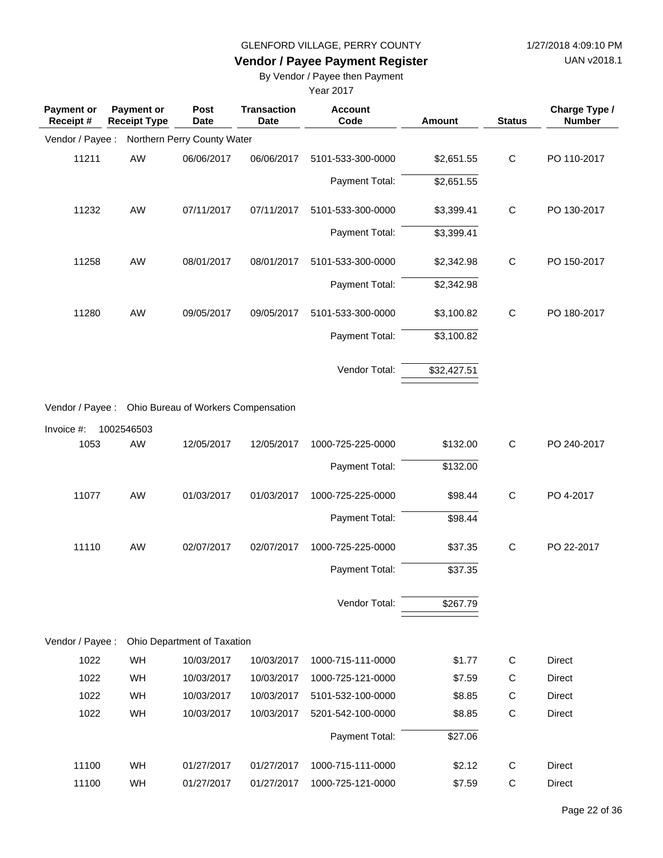UAN v2018.1

# **Vendor / Payee Payment Register**

By Vendor / Payee then Payment

| <b>Payment or</b><br>Receipt# | <b>Payment or</b><br><b>Receipt Type</b>             | Post<br><b>Date</b>         | <b>Transaction</b><br>Date | <b>Account</b><br>Code | Amount      | <b>Status</b> | Charge Type /<br><b>Number</b> |
|-------------------------------|------------------------------------------------------|-----------------------------|----------------------------|------------------------|-------------|---------------|--------------------------------|
| Vendor / Payee :              |                                                      | Northern Perry County Water |                            |                        |             |               |                                |
| 11211                         | AW                                                   | 06/06/2017                  | 06/06/2017                 | 5101-533-300-0000      | \$2,651.55  | $\mathbf C$   | PO 110-2017                    |
|                               |                                                      |                             |                            | Payment Total:         | \$2,651.55  |               |                                |
| 11232                         | AW                                                   | 07/11/2017                  | 07/11/2017                 | 5101-533-300-0000      | \$3,399.41  | C             | PO 130-2017                    |
|                               |                                                      |                             |                            | Payment Total:         | \$3,399.41  |               |                                |
| 11258                         | AW                                                   | 08/01/2017                  | 08/01/2017                 | 5101-533-300-0000      | \$2,342.98  | $\mathbf C$   | PO 150-2017                    |
|                               |                                                      |                             |                            | Payment Total:         | \$2,342.98  |               |                                |
| 11280                         | AW                                                   | 09/05/2017                  | 09/05/2017                 | 5101-533-300-0000      | \$3,100.82  | $\mathbf C$   | PO 180-2017                    |
|                               |                                                      |                             |                            | Payment Total:         | \$3,100.82  |               |                                |
|                               |                                                      |                             |                            | Vendor Total:          | \$32,427.51 |               |                                |
|                               | Vendor / Payee : Ohio Bureau of Workers Compensation |                             |                            |                        |             |               |                                |
| Invoice #:                    | 1002546503                                           |                             |                            |                        |             |               |                                |
| 1053                          | AW                                                   | 12/05/2017                  | 12/05/2017                 | 1000-725-225-0000      | \$132.00    | $\mathbf C$   | PO 240-2017                    |
|                               |                                                      |                             |                            | Payment Total:         | \$132.00    |               |                                |
| 11077                         | AW                                                   | 01/03/2017                  | 01/03/2017                 | 1000-725-225-0000      | \$98.44     | $\mathbf C$   | PO 4-2017                      |
|                               |                                                      |                             |                            | Payment Total:         | \$98.44     |               |                                |
| 11110                         | AW                                                   | 02/07/2017                  | 02/07/2017                 | 1000-725-225-0000      | \$37.35     | $\mathsf C$   | PO 22-2017                     |
|                               |                                                      |                             |                            | Payment Total:         | \$37.35     |               |                                |
|                               |                                                      |                             |                            | Vendor Total:          | \$267.79    |               |                                |
| Vendor / Payee :              |                                                      | Ohio Department of Taxation |                            |                        |             |               |                                |
| 1022                          | WH                                                   | 10/03/2017                  | 10/03/2017                 | 1000-715-111-0000      | \$1.77      | C             | <b>Direct</b>                  |
| 1022                          | WH                                                   | 10/03/2017                  | 10/03/2017                 | 1000-725-121-0000      | \$7.59      | C             | Direct                         |
| 1022                          | WH                                                   | 10/03/2017                  | 10/03/2017                 | 5101-532-100-0000      | \$8.85      | C             | Direct                         |
| 1022                          | WH                                                   | 10/03/2017                  | 10/03/2017                 | 5201-542-100-0000      | \$8.85      | $\mathbf C$   | Direct                         |
|                               |                                                      |                             |                            | Payment Total:         | \$27.06     |               |                                |
| 11100                         | WH                                                   | 01/27/2017                  | 01/27/2017                 | 1000-715-111-0000      | \$2.12      | C             | Direct                         |
| 11100                         | WH                                                   | 01/27/2017                  | 01/27/2017                 | 1000-725-121-0000      | \$7.59      | C             | Direct                         |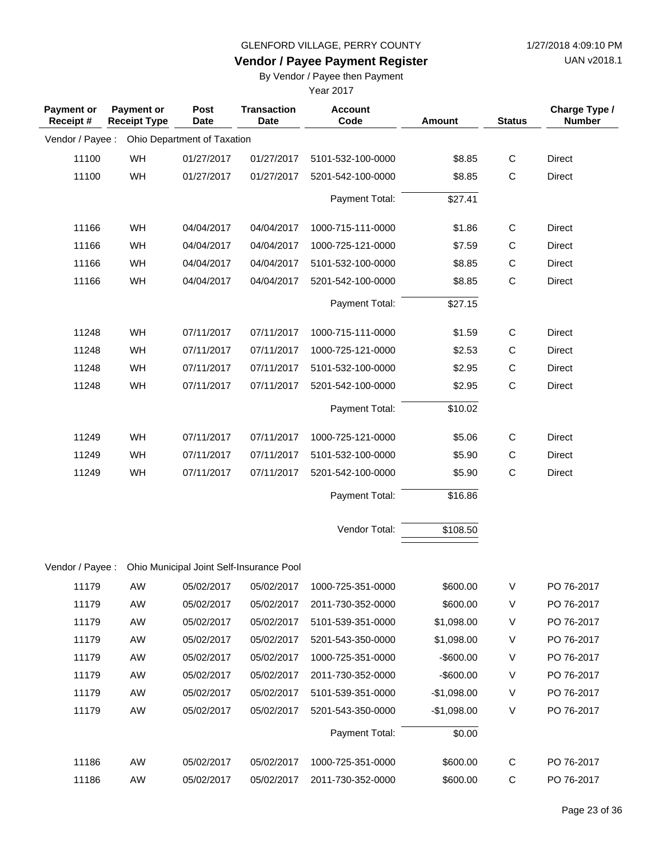UAN v2018.1

# **Vendor / Payee Payment Register**

By Vendor / Payee then Payment

| <b>Payment or</b><br>Receipt # | <b>Payment or</b><br><b>Receipt Type</b> | Post<br><b>Date</b>         | <b>Transaction</b><br><b>Date</b>        | <b>Account</b><br>Code       | <b>Amount</b> | <b>Status</b> | Charge Type /<br><b>Number</b> |
|--------------------------------|------------------------------------------|-----------------------------|------------------------------------------|------------------------------|---------------|---------------|--------------------------------|
| Vendor / Payee :               |                                          | Ohio Department of Taxation |                                          |                              |               |               |                                |
| 11100                          | WH                                       | 01/27/2017                  | 01/27/2017                               | 5101-532-100-0000            | \$8.85        | $\mathbf C$   | <b>Direct</b>                  |
| 11100                          | WH                                       | 01/27/2017                  | 01/27/2017                               | 5201-542-100-0000            | \$8.85        | $\mathsf C$   | <b>Direct</b>                  |
|                                |                                          |                             |                                          | Payment Total:               | \$27.41       |               |                                |
| 11166                          | WH                                       | 04/04/2017                  | 04/04/2017                               | 1000-715-111-0000            | \$1.86        | C             | Direct                         |
| 11166                          | WH                                       | 04/04/2017                  | 04/04/2017                               | 1000-725-121-0000            | \$7.59        | $\mathsf{C}$  | <b>Direct</b>                  |
| 11166                          | WH                                       | 04/04/2017                  | 04/04/2017                               | 5101-532-100-0000            | \$8.85        | $\mathsf{C}$  | <b>Direct</b>                  |
| 11166                          | WH                                       | 04/04/2017                  | 04/04/2017                               | 5201-542-100-0000            | \$8.85        | $\mathbf C$   | <b>Direct</b>                  |
|                                |                                          |                             |                                          | Payment Total:               | \$27.15       |               |                                |
| 11248                          | WH                                       | 07/11/2017                  | 07/11/2017                               | 1000-715-111-0000            | \$1.59        | C             | <b>Direct</b>                  |
| 11248                          | WH                                       | 07/11/2017                  | 07/11/2017                               | 1000-725-121-0000            | \$2.53        | $\mathsf{C}$  | <b>Direct</b>                  |
| 11248                          | WH                                       | 07/11/2017                  | 07/11/2017                               | 5101-532-100-0000            | \$2.95        | С             | <b>Direct</b>                  |
| 11248                          | WH                                       | 07/11/2017                  | 07/11/2017                               | 5201-542-100-0000            | \$2.95        | $\mathbf C$   | <b>Direct</b>                  |
|                                |                                          |                             |                                          | Payment Total:               | \$10.02       |               |                                |
| 11249                          | WH                                       | 07/11/2017                  | 07/11/2017                               | 1000-725-121-0000            | \$5.06        | C             | <b>Direct</b>                  |
| 11249                          | WH                                       | 07/11/2017                  | 07/11/2017                               | 5101-532-100-0000            | \$5.90        | C             | Direct                         |
| 11249                          | WH                                       | 07/11/2017                  | 07/11/2017                               | 5201-542-100-0000            | \$5.90        | $\mathsf C$   | <b>Direct</b>                  |
|                                |                                          |                             |                                          | Payment Total:               | \$16.86       |               |                                |
|                                |                                          |                             |                                          | Vendor Total:                | \$108.50      |               |                                |
| Vendor / Payee :               |                                          |                             | Ohio Municipal Joint Self-Insurance Pool |                              |               |               |                                |
| 11179                          | AW                                       | 05/02/2017                  |                                          | 05/02/2017 1000-725-351-0000 | \$600.00      | $\vee$        | PO 76-2017                     |
| 11179                          | AW                                       | 05/02/2017                  | 05/02/2017                               | 2011-730-352-0000            | \$600.00      | V             | PO 76-2017                     |
| 11179                          | AW                                       | 05/02/2017                  | 05/02/2017                               | 5101-539-351-0000            | \$1,098.00    | V             | PO 76-2017                     |
| 11179                          | AW                                       | 05/02/2017                  | 05/02/2017                               | 5201-543-350-0000            | \$1,098.00    | V             | PO 76-2017                     |
| 11179                          | AW                                       | 05/02/2017                  | 05/02/2017                               | 1000-725-351-0000            | $-$ \$600.00  | V             | PO 76-2017                     |
| 11179                          | AW                                       | 05/02/2017                  | 05/02/2017                               | 2011-730-352-0000            | $-$600.00$    | V             | PO 76-2017                     |
| 11179                          | AW                                       | 05/02/2017                  | 05/02/2017                               | 5101-539-351-0000            | $-$1,098.00$  | V             | PO 76-2017                     |
| 11179                          | AW                                       | 05/02/2017                  | 05/02/2017                               | 5201-543-350-0000            | $-$1,098.00$  | V             | PO 76-2017                     |
|                                |                                          |                             |                                          | Payment Total:               | \$0.00        |               |                                |
| 11186                          | AW                                       | 05/02/2017                  | 05/02/2017                               | 1000-725-351-0000            | \$600.00      | C             | PO 76-2017                     |
| 11186                          | AW                                       | 05/02/2017                  | 05/02/2017                               | 2011-730-352-0000            | \$600.00      | C             | PO 76-2017                     |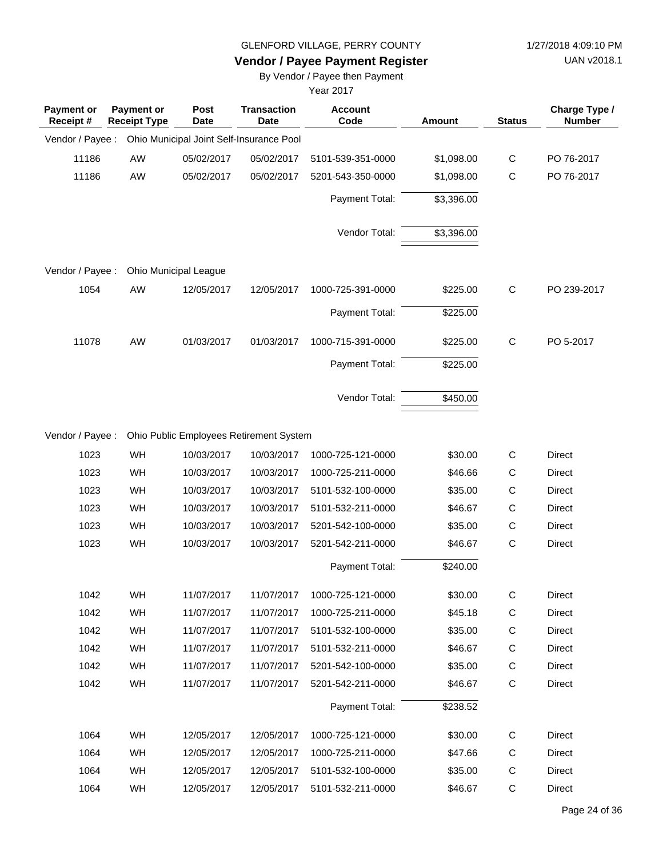**Vendor / Payee Payment Register**

UAN v2018.1

By Vendor / Payee then Payment

| <b>Payment or</b><br>Receipt# | <b>Payment or</b><br><b>Receipt Type</b> | Post<br><b>Date</b>   | <b>Transaction</b><br><b>Date</b>        | <b>Account</b><br>Code | Amount     | <b>Status</b> | Charge Type /<br><b>Number</b> |
|-------------------------------|------------------------------------------|-----------------------|------------------------------------------|------------------------|------------|---------------|--------------------------------|
| Vendor / Payee :              |                                          |                       | Ohio Municipal Joint Self-Insurance Pool |                        |            |               |                                |
| 11186                         | AW                                       | 05/02/2017            | 05/02/2017                               | 5101-539-351-0000      | \$1,098.00 | $\mathsf{C}$  | PO 76-2017                     |
| 11186                         | AW                                       | 05/02/2017            | 05/02/2017                               | 5201-543-350-0000      | \$1,098.00 | C             | PO 76-2017                     |
|                               |                                          |                       |                                          | Payment Total:         | \$3,396.00 |               |                                |
|                               |                                          |                       |                                          | Vendor Total:          | \$3,396.00 |               |                                |
| Vendor / Payee:               |                                          | Ohio Municipal League |                                          |                        |            |               |                                |
| 1054                          | AW                                       | 12/05/2017            | 12/05/2017                               | 1000-725-391-0000      | \$225.00   | $\mathsf{C}$  | PO 239-2017                    |
|                               |                                          |                       |                                          | Payment Total:         | \$225.00   |               |                                |
| 11078                         | AW                                       | 01/03/2017            | 01/03/2017                               | 1000-715-391-0000      | \$225.00   | $\mathsf{C}$  | PO 5-2017                      |
|                               |                                          |                       |                                          | Payment Total:         | \$225.00   |               |                                |
|                               |                                          |                       |                                          | Vendor Total:          | \$450.00   |               |                                |
| Vendor / Payee :              |                                          |                       | Ohio Public Employees Retirement System  |                        |            |               |                                |
| 1023                          | WH                                       | 10/03/2017            | 10/03/2017                               | 1000-725-121-0000      | \$30.00    | $\mathsf C$   | <b>Direct</b>                  |
| 1023                          | <b>WH</b>                                | 10/03/2017            | 10/03/2017                               | 1000-725-211-0000      | \$46.66    | C             | <b>Direct</b>                  |
| 1023                          | WH                                       | 10/03/2017            | 10/03/2017                               | 5101-532-100-0000      | \$35.00    | $\mathsf C$   | Direct                         |
| 1023                          | WH                                       | 10/03/2017            | 10/03/2017                               | 5101-532-211-0000      | \$46.67    | $\mathsf{C}$  | <b>Direct</b>                  |
| 1023                          | WH                                       | 10/03/2017            | 10/03/2017                               | 5201-542-100-0000      | \$35.00    | C             | <b>Direct</b>                  |
| 1023                          | WH                                       | 10/03/2017            | 10/03/2017                               | 5201-542-211-0000      | \$46.67    | $\mathsf{C}$  | Direct                         |
|                               |                                          |                       |                                          | Payment Total:         | \$240.00   |               |                                |
| 1042                          | WH                                       | 11/07/2017            | 11/07/2017                               | 1000-725-121-0000      | \$30.00    | $\mathsf{C}$  | Direct                         |
| 1042                          | WH                                       | 11/07/2017            | 11/07/2017                               | 1000-725-211-0000      | \$45.18    | $\mathsf C$   | Direct                         |
| 1042                          | WH                                       | 11/07/2017            | 11/07/2017                               | 5101-532-100-0000      | \$35.00    | C             | Direct                         |
| 1042                          | WH                                       | 11/07/2017            | 11/07/2017                               | 5101-532-211-0000      | \$46.67    | C             | Direct                         |
| 1042                          | WH                                       | 11/07/2017            | 11/07/2017                               | 5201-542-100-0000      | \$35.00    | C             | Direct                         |
| 1042                          | WH                                       | 11/07/2017            | 11/07/2017                               | 5201-542-211-0000      | \$46.67    | C             | Direct                         |
|                               |                                          |                       |                                          | Payment Total:         | \$238.52   |               |                                |
| 1064                          | WH                                       | 12/05/2017            | 12/05/2017                               | 1000-725-121-0000      | \$30.00    | C             | Direct                         |
| 1064                          | WH                                       | 12/05/2017            | 12/05/2017                               | 1000-725-211-0000      | \$47.66    | C             | Direct                         |
| 1064                          | WH                                       | 12/05/2017            | 12/05/2017                               | 5101-532-100-0000      | \$35.00    | C             | Direct                         |
| 1064                          | WH                                       | 12/05/2017            | 12/05/2017                               | 5101-532-211-0000      | \$46.67    | C             | Direct                         |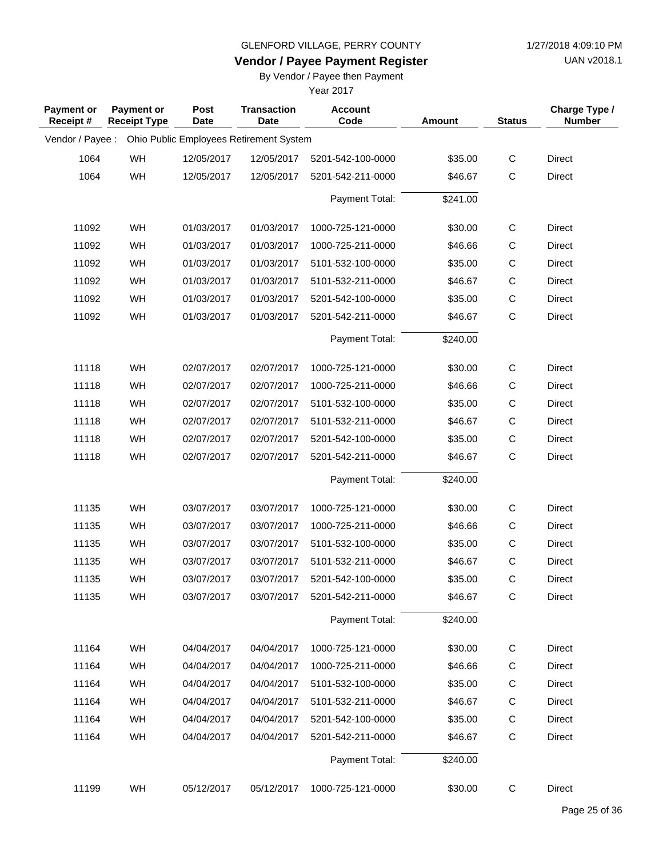UAN v2018.1

# **Vendor / Payee Payment Register**

By Vendor / Payee then Payment

| <b>Payment or</b><br>Receipt# | <b>Payment or</b><br><b>Receipt Type</b> | Post<br>Date | <b>Transaction</b><br><b>Date</b>       | <b>Account</b><br>Code | Amount   | <b>Status</b> | Charge Type /<br><b>Number</b> |
|-------------------------------|------------------------------------------|--------------|-----------------------------------------|------------------------|----------|---------------|--------------------------------|
| Vendor / Payee :              |                                          |              | Ohio Public Employees Retirement System |                        |          |               |                                |
| 1064                          | WH                                       | 12/05/2017   | 12/05/2017                              | 5201-542-100-0000      | \$35.00  | $\mathsf{C}$  | Direct                         |
| 1064                          | WH                                       | 12/05/2017   | 12/05/2017                              | 5201-542-211-0000      | \$46.67  | C             | <b>Direct</b>                  |
|                               |                                          |              |                                         | Payment Total:         | \$241.00 |               |                                |
|                               |                                          |              |                                         |                        |          |               |                                |
| 11092                         | WH                                       | 01/03/2017   | 01/03/2017                              | 1000-725-121-0000      | \$30.00  | $\mathsf C$   | Direct                         |
| 11092                         | WH                                       | 01/03/2017   | 01/03/2017                              | 1000-725-211-0000      | \$46.66  | $\mathsf C$   | Direct                         |
| 11092                         | WH                                       | 01/03/2017   | 01/03/2017                              | 5101-532-100-0000      | \$35.00  | $\mathsf C$   | Direct                         |
| 11092                         | WH                                       | 01/03/2017   | 01/03/2017                              | 5101-532-211-0000      | \$46.67  | C             | Direct                         |
| 11092                         | WH                                       | 01/03/2017   | 01/03/2017                              | 5201-542-100-0000      | \$35.00  | $\mathsf C$   | Direct                         |
| 11092                         | WH                                       | 01/03/2017   | 01/03/2017                              | 5201-542-211-0000      | \$46.67  | $\mathsf{C}$  | Direct                         |
|                               |                                          |              |                                         | Payment Total:         | \$240.00 |               |                                |
| 11118                         | WH                                       | 02/07/2017   | 02/07/2017                              | 1000-725-121-0000      | \$30.00  | $\mathsf C$   | Direct                         |
| 11118                         | WH                                       | 02/07/2017   | 02/07/2017                              | 1000-725-211-0000      | \$46.66  | C             | Direct                         |
| 11118                         | WH                                       | 02/07/2017   | 02/07/2017                              | 5101-532-100-0000      | \$35.00  | $\mathsf C$   | Direct                         |
| 11118                         | WH                                       | 02/07/2017   | 02/07/2017                              | 5101-532-211-0000      | \$46.67  | $\mathsf C$   | Direct                         |
| 11118                         | WH                                       | 02/07/2017   | 02/07/2017                              | 5201-542-100-0000      | \$35.00  | $\mathsf C$   | Direct                         |
| 11118                         | WH                                       | 02/07/2017   | 02/07/2017                              | 5201-542-211-0000      | \$46.67  | $\mathsf{C}$  | Direct                         |
|                               |                                          |              |                                         | Payment Total:         | \$240.00 |               |                                |
|                               |                                          |              |                                         |                        |          |               |                                |
| 11135                         | WH                                       | 03/07/2017   | 03/07/2017                              | 1000-725-121-0000      | \$30.00  | $\mathsf{C}$  | Direct                         |
| 11135                         | WH                                       | 03/07/2017   | 03/07/2017                              | 1000-725-211-0000      | \$46.66  | C             | Direct                         |
| 11135                         | WH                                       | 03/07/2017   | 03/07/2017                              | 5101-532-100-0000      | \$35.00  | C             | Direct                         |
| 11135                         | WH                                       | 03/07/2017   | 03/07/2017                              | 5101-532-211-0000      | \$46.67  | $\mathsf{C}$  | <b>Direct</b>                  |
| 11135                         | WH                                       | 03/07/2017   | 03/07/2017                              | 5201-542-100-0000      | \$35.00  | $\mathsf C$   | Direct                         |
| 11135                         | WH                                       | 03/07/2017   | 03/07/2017                              | 5201-542-211-0000      | \$46.67  | $\mathsf C$   | Direct                         |
|                               |                                          |              |                                         | Payment Total:         | \$240.00 |               |                                |
| 11164                         | WH                                       | 04/04/2017   | 04/04/2017                              | 1000-725-121-0000      | \$30.00  | $\mathsf{C}$  | Direct                         |
| 11164                         | WH                                       | 04/04/2017   | 04/04/2017                              | 1000-725-211-0000      | \$46.66  | C             | Direct                         |
| 11164                         | WH                                       | 04/04/2017   | 04/04/2017                              | 5101-532-100-0000      | \$35.00  | C             | Direct                         |
| 11164                         | WH                                       | 04/04/2017   | 04/04/2017                              | 5101-532-211-0000      | \$46.67  | C             | <b>Direct</b>                  |
| 11164                         | WH                                       | 04/04/2017   | 04/04/2017                              | 5201-542-100-0000      | \$35.00  | $\mathsf C$   | Direct                         |
| 11164                         | WH                                       | 04/04/2017   | 04/04/2017                              | 5201-542-211-0000      | \$46.67  | $\mathsf{C}$  | Direct                         |
|                               |                                          |              |                                         | Payment Total:         | \$240.00 |               |                                |
| 11199                         | WH                                       | 05/12/2017   | 05/12/2017                              | 1000-725-121-0000      | \$30.00  | $\mathsf{C}$  | Direct                         |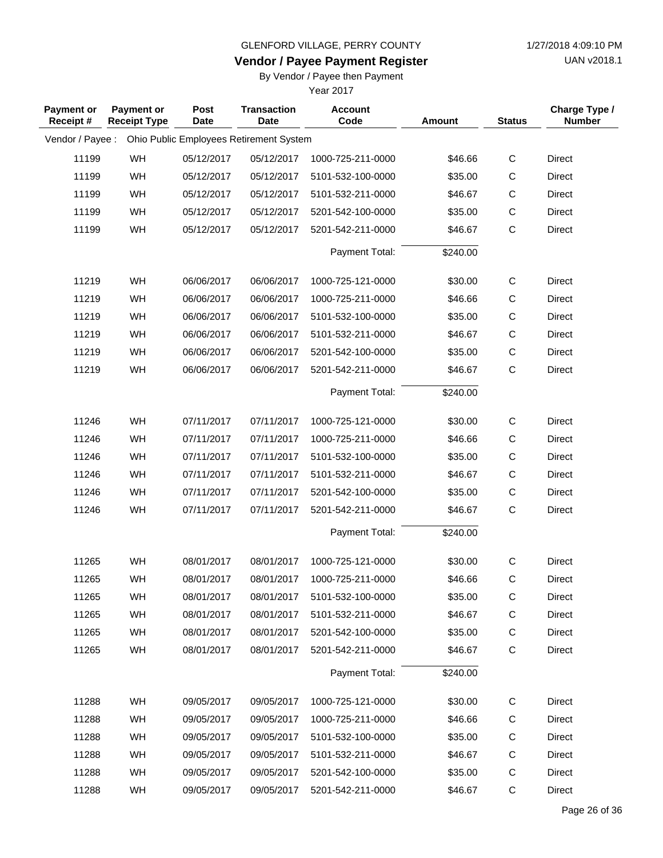**Vendor / Payee Payment Register**

UAN v2018.1

## By Vendor / Payee then Payment

| <b>Payment or</b><br>Receipt# | Payment or<br><b>Receipt Type</b> | Post<br><b>Date</b> | <b>Transaction</b><br>Date              | <b>Account</b><br>Code | Amount   | <b>Status</b> | Charge Type /<br><b>Number</b> |
|-------------------------------|-----------------------------------|---------------------|-----------------------------------------|------------------------|----------|---------------|--------------------------------|
| Vendor / Payee :              |                                   |                     | Ohio Public Employees Retirement System |                        |          |               |                                |
| 11199                         | WH                                | 05/12/2017          | 05/12/2017                              | 1000-725-211-0000      | \$46.66  | $\mathsf C$   | Direct                         |
| 11199                         | WH                                | 05/12/2017          | 05/12/2017                              | 5101-532-100-0000      | \$35.00  | С             | Direct                         |
| 11199                         | WH                                | 05/12/2017          | 05/12/2017                              | 5101-532-211-0000      | \$46.67  | $\mathsf C$   | Direct                         |
| 11199                         | WH                                | 05/12/2017          | 05/12/2017                              | 5201-542-100-0000      | \$35.00  | $\mathsf C$   | Direct                         |
| 11199                         | WH                                | 05/12/2017          | 05/12/2017                              | 5201-542-211-0000      | \$46.67  | $\mathsf C$   | Direct                         |
|                               |                                   |                     |                                         | Payment Total:         | \$240.00 |               |                                |
| 11219                         | WH                                | 06/06/2017          | 06/06/2017                              | 1000-725-121-0000      | \$30.00  | $\mathsf C$   | <b>Direct</b>                  |
| 11219                         | WH                                | 06/06/2017          | 06/06/2017                              | 1000-725-211-0000      | \$46.66  | C             | <b>Direct</b>                  |
| 11219                         | WH                                | 06/06/2017          | 06/06/2017                              | 5101-532-100-0000      | \$35.00  | $\mathsf C$   | Direct                         |
| 11219                         | WH                                | 06/06/2017          | 06/06/2017                              | 5101-532-211-0000      | \$46.67  | $\mathsf C$   | Direct                         |
| 11219                         | WH                                | 06/06/2017          | 06/06/2017                              | 5201-542-100-0000      | \$35.00  | $\mathsf C$   | Direct                         |
| 11219                         | WH                                | 06/06/2017          | 06/06/2017                              | 5201-542-211-0000      | \$46.67  | $\mathsf C$   | Direct                         |
|                               |                                   |                     |                                         | Payment Total:         | \$240.00 |               |                                |
| 11246                         | WH                                | 07/11/2017          | 07/11/2017                              | 1000-725-121-0000      | \$30.00  | $\mathsf C$   | Direct                         |
| 11246                         | WH                                | 07/11/2017          | 07/11/2017                              | 1000-725-211-0000      | \$46.66  | C             | Direct                         |
| 11246                         | WH                                | 07/11/2017          | 07/11/2017                              | 5101-532-100-0000      | \$35.00  | $\mathsf C$   | Direct                         |
| 11246                         | WH                                | 07/11/2017          | 07/11/2017                              | 5101-532-211-0000      | \$46.67  | C             | <b>Direct</b>                  |
| 11246                         | WH                                | 07/11/2017          | 07/11/2017                              | 5201-542-100-0000      | \$35.00  | $\mathsf C$   | Direct                         |
| 11246                         | WH                                | 07/11/2017          | 07/11/2017                              | 5201-542-211-0000      | \$46.67  | $\mathsf{C}$  | <b>Direct</b>                  |
|                               |                                   |                     |                                         | Payment Total:         | \$240.00 |               |                                |
| 11265                         | WH                                | 08/01/2017          | 08/01/2017                              | 1000-725-121-0000      | \$30.00  | $\mathsf{C}$  | Direct                         |
| 11265                         | WH                                | 08/01/2017          | 08/01/2017                              | 1000-725-211-0000      | \$46.66  | $\mathsf C$   | Direct                         |
| 11265                         | WH                                | 08/01/2017          | 08/01/2017                              | 5101-532-100-0000      | \$35.00  | C             | Direct                         |
| 11265                         | WH                                | 08/01/2017          | 08/01/2017                              | 5101-532-211-0000      | \$46.67  | C             | Direct                         |
| 11265                         | WH                                | 08/01/2017          | 08/01/2017                              | 5201-542-100-0000      | \$35.00  | $\mathsf{C}$  | Direct                         |
| 11265                         | WH                                | 08/01/2017          | 08/01/2017                              | 5201-542-211-0000      | \$46.67  | $\mathsf{C}$  | <b>Direct</b>                  |
|                               |                                   |                     |                                         | Payment Total:         | \$240.00 |               |                                |
| 11288                         | WH                                | 09/05/2017          | 09/05/2017                              | 1000-725-121-0000      | \$30.00  | $\mathsf C$   | Direct                         |
| 11288                         | WH                                | 09/05/2017          | 09/05/2017                              | 1000-725-211-0000      | \$46.66  | C             | Direct                         |
| 11288                         | WH                                | 09/05/2017          | 09/05/2017                              | 5101-532-100-0000      | \$35.00  | $\mathsf{C}$  | Direct                         |
| 11288                         | WH                                | 09/05/2017          | 09/05/2017                              | 5101-532-211-0000      | \$46.67  | $\mathsf{C}$  | Direct                         |
| 11288                         | WH                                | 09/05/2017          | 09/05/2017                              | 5201-542-100-0000      | \$35.00  | $\mathsf{C}$  | Direct                         |
| 11288                         | WH                                | 09/05/2017          | 09/05/2017                              | 5201-542-211-0000      | \$46.67  | $\mathsf C$   | Direct                         |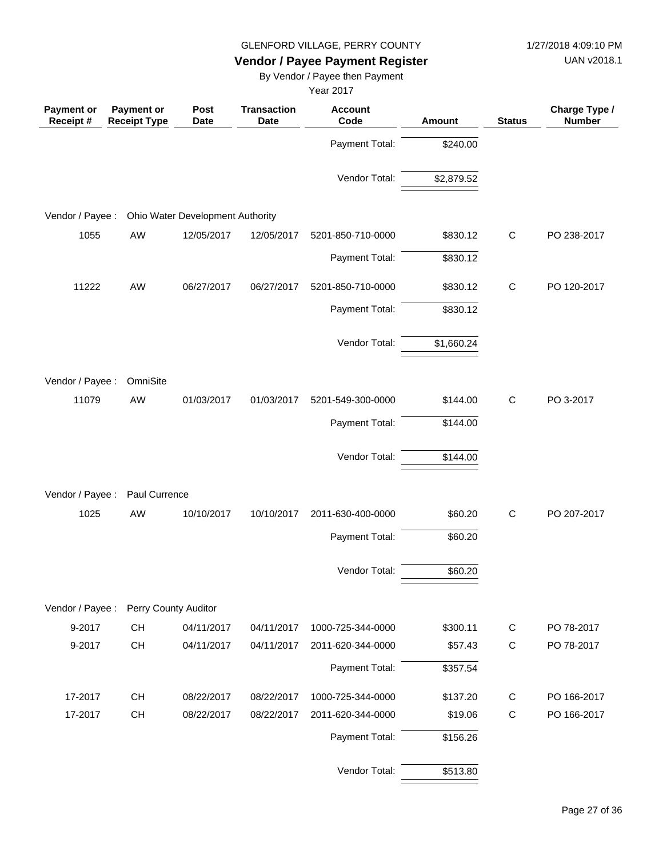UAN v2018.1

# **Vendor / Payee Payment Register**

By Vendor / Payee then Payment

| Payment or<br>Receipt # | <b>Payment or</b><br><b>Receipt Type</b> | Post<br><b>Date</b>                     | <b>Transaction</b><br><b>Date</b> | <b>Account</b><br>Code | <b>Amount</b> | <b>Status</b> | Charge Type /<br><b>Number</b> |
|-------------------------|------------------------------------------|-----------------------------------------|-----------------------------------|------------------------|---------------|---------------|--------------------------------|
|                         |                                          |                                         |                                   | Payment Total:         | \$240.00      |               |                                |
|                         |                                          |                                         |                                   | Vendor Total:          | \$2,879.52    |               |                                |
| Vendor / Payee :        |                                          | <b>Ohio Water Development Authority</b> |                                   |                        |               |               |                                |
|                         |                                          |                                         |                                   |                        |               |               |                                |
| 1055                    | AW                                       | 12/05/2017                              | 12/05/2017                        | 5201-850-710-0000      | \$830.12      | $\mathsf C$   | PO 238-2017                    |
|                         |                                          |                                         |                                   | Payment Total:         | \$830.12      |               |                                |
| 11222                   | AW                                       | 06/27/2017                              | 06/27/2017                        | 5201-850-710-0000      | \$830.12      | $\mathsf{C}$  | PO 120-2017                    |
|                         |                                          |                                         |                                   | Payment Total:         | \$830.12      |               |                                |
|                         |                                          |                                         |                                   | Vendor Total:          | \$1,660.24    |               |                                |
| Vendor / Payee :        | OmniSite                                 |                                         |                                   |                        |               |               |                                |
| 11079                   | AW                                       | 01/03/2017                              | 01/03/2017                        | 5201-549-300-0000      | \$144.00      | $\mathsf C$   | PO 3-2017                      |
|                         |                                          |                                         |                                   | Payment Total:         | \$144.00      |               |                                |
|                         |                                          |                                         |                                   | Vendor Total:          | \$144.00      |               |                                |
| Vendor / Payee :        | Paul Currence                            |                                         |                                   |                        |               |               |                                |
| 1025                    | AW                                       | 10/10/2017                              | 10/10/2017                        | 2011-630-400-0000      | \$60.20       | C             | PO 207-2017                    |
|                         |                                          |                                         |                                   | Payment Total:         | \$60.20       |               |                                |
|                         |                                          |                                         |                                   | Vendor Total:          | \$60.20       |               |                                |
| Vendor / Payee :        | Perry County Auditor                     |                                         |                                   |                        |               |               |                                |
| 9-2017                  | CH                                       | 04/11/2017                              | 04/11/2017                        | 1000-725-344-0000      | \$300.11      | $\mathsf C$   | PO 78-2017                     |
| 9-2017                  | CH                                       | 04/11/2017                              | 04/11/2017                        | 2011-620-344-0000      | \$57.43       | $\mathsf{C}$  | PO 78-2017                     |
|                         |                                          |                                         |                                   | Payment Total:         | \$357.54      |               |                                |
| 17-2017                 | CH                                       | 08/22/2017                              | 08/22/2017                        | 1000-725-344-0000      | \$137.20      | $\mathsf{C}$  | PO 166-2017                    |
| 17-2017                 | CH                                       | 08/22/2017                              | 08/22/2017                        | 2011-620-344-0000      | \$19.06       | $\mathsf C$   | PO 166-2017                    |
|                         |                                          |                                         |                                   | Payment Total:         | \$156.26      |               |                                |
|                         |                                          |                                         |                                   | Vendor Total:          | \$513.80      |               |                                |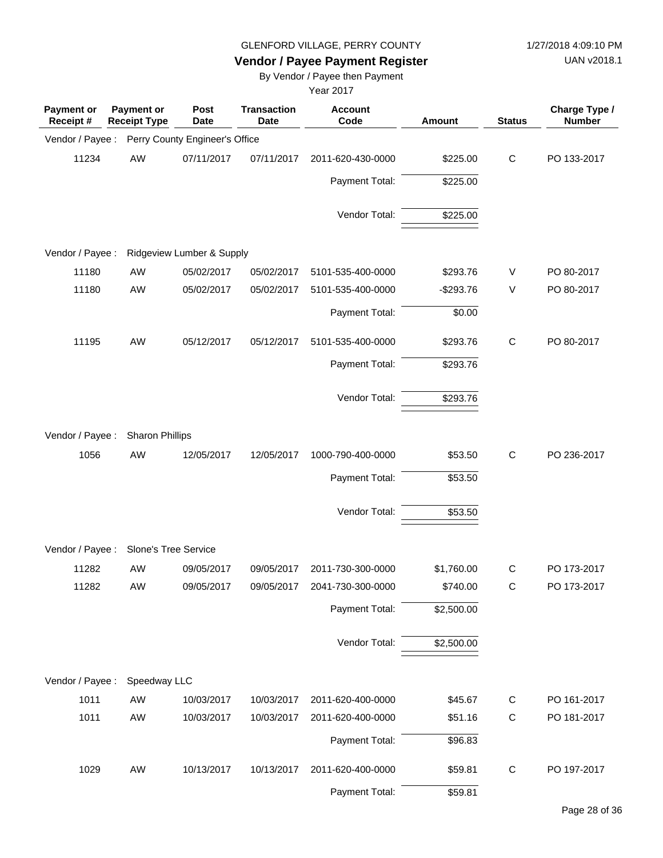UAN v2018.1

# **Vendor / Payee Payment Register**

By Vendor / Payee then Payment

| <b>Payment or</b><br>Receipt# | <b>Payment or</b><br><b>Receipt Type</b> | Post<br><b>Date</b>            | <b>Transaction</b><br><b>Date</b> | <b>Account</b><br>Code | Amount     | <b>Status</b> | Charge Type /<br><b>Number</b> |
|-------------------------------|------------------------------------------|--------------------------------|-----------------------------------|------------------------|------------|---------------|--------------------------------|
| Vendor / Payee:               |                                          | Perry County Engineer's Office |                                   |                        |            |               |                                |
| 11234                         | AW                                       | 07/11/2017                     | 07/11/2017                        | 2011-620-430-0000      | \$225.00   | $\mathsf{C}$  | PO 133-2017                    |
|                               |                                          |                                |                                   | Payment Total:         | \$225.00   |               |                                |
|                               |                                          |                                |                                   | Vendor Total:          | \$225.00   |               |                                |
| Vendor / Payee :              |                                          | Ridgeview Lumber & Supply      |                                   |                        |            |               |                                |
| 11180                         | AW                                       | 05/02/2017                     | 05/02/2017                        | 5101-535-400-0000      | \$293.76   | V             | PO 80-2017                     |
| 11180                         | AW                                       | 05/02/2017                     | 05/02/2017                        | 5101-535-400-0000      | $-$293.76$ | $\vee$        | PO 80-2017                     |
|                               |                                          |                                |                                   | Payment Total:         | \$0.00     |               |                                |
| 11195                         | AW                                       | 05/12/2017                     | 05/12/2017                        | 5101-535-400-0000      | \$293.76   | $\mathsf C$   | PO 80-2017                     |
|                               |                                          |                                |                                   | Payment Total:         | \$293.76   |               |                                |
|                               |                                          |                                |                                   | Vendor Total:          | \$293.76   |               |                                |
|                               |                                          |                                |                                   |                        |            |               |                                |
| Vendor / Payee :              | <b>Sharon Phillips</b>                   |                                |                                   |                        |            |               |                                |
| 1056                          | AW                                       | 12/05/2017                     | 12/05/2017                        | 1000-790-400-0000      | \$53.50    | C             | PO 236-2017                    |
|                               |                                          |                                |                                   | Payment Total:         | \$53.50    |               |                                |
|                               |                                          |                                |                                   | Vendor Total:          | \$53.50    |               |                                |
|                               |                                          |                                |                                   |                        |            |               |                                |
| Vendor / Payee :              | Slone's Tree Service                     |                                |                                   |                        |            |               |                                |
| 11282                         | AW                                       | 09/05/2017                     | 09/05/2017                        | 2011-730-300-0000      | \$1,760.00 | $\mathsf{C}$  | PO 173-2017                    |
| 11282                         | AW                                       | 09/05/2017                     | 09/05/2017                        | 2041-730-300-0000      | \$740.00   | C             | PO 173-2017                    |
|                               |                                          |                                |                                   | Payment Total:         | \$2,500.00 |               |                                |
|                               |                                          |                                |                                   | Vendor Total:          | \$2,500.00 |               |                                |
| Vendor / Payee :              | Speedway LLC                             |                                |                                   |                        |            |               |                                |
| 1011                          | AW                                       | 10/03/2017                     | 10/03/2017                        | 2011-620-400-0000      | \$45.67    | $\mathsf C$   | PO 161-2017                    |
| 1011                          | AW                                       | 10/03/2017                     | 10/03/2017                        | 2011-620-400-0000      | \$51.16    | $\mathsf C$   | PO 181-2017                    |
|                               |                                          |                                |                                   | Payment Total:         | \$96.83    |               |                                |
|                               |                                          |                                |                                   |                        |            |               |                                |
| 1029                          | AW                                       | 10/13/2017                     | 10/13/2017                        | 2011-620-400-0000      | \$59.81    | $\mathsf C$   | PO 197-2017                    |
|                               |                                          |                                |                                   | Payment Total:         | \$59.81    |               |                                |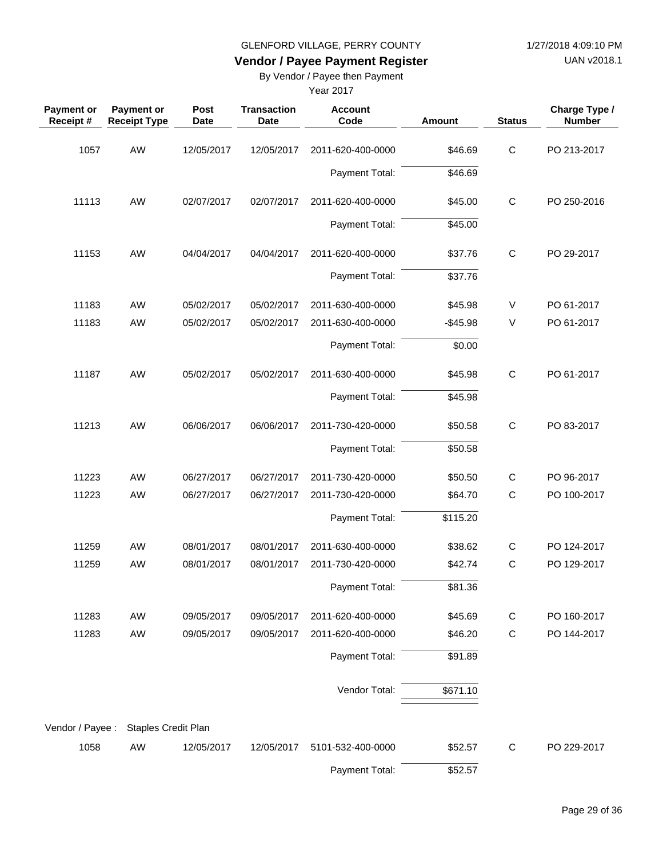UAN v2018.1

# **Vendor / Payee Payment Register**

By Vendor / Payee then Payment

| <b>Payment or</b><br>Receipt# | <b>Payment or</b><br><b>Receipt Type</b> | Post<br><b>Date</b> | <b>Transaction</b><br><b>Date</b> | <b>Account</b><br>Code | Amount    | <b>Status</b> | Charge Type /<br><b>Number</b> |
|-------------------------------|------------------------------------------|---------------------|-----------------------------------|------------------------|-----------|---------------|--------------------------------|
| 1057                          | AW                                       | 12/05/2017          | 12/05/2017                        | 2011-620-400-0000      | \$46.69   | $\mathsf C$   | PO 213-2017                    |
|                               |                                          |                     |                                   | Payment Total:         | \$46.69   |               |                                |
| 11113                         | AW                                       | 02/07/2017          | 02/07/2017                        | 2011-620-400-0000      | \$45.00   | $\mathsf C$   | PO 250-2016                    |
|                               |                                          |                     |                                   | Payment Total:         | \$45.00   |               |                                |
| 11153                         | AW                                       | 04/04/2017          | 04/04/2017                        | 2011-620-400-0000      | \$37.76   | $\mathsf C$   | PO 29-2017                     |
|                               |                                          |                     |                                   | Payment Total:         | \$37.76   |               |                                |
| 11183                         | AW                                       | 05/02/2017          | 05/02/2017                        | 2011-630-400-0000      | \$45.98   | V             | PO 61-2017                     |
| 11183                         | AW                                       | 05/02/2017          | 05/02/2017                        | 2011-630-400-0000      | $-$45.98$ | $\vee$        | PO 61-2017                     |
|                               |                                          |                     |                                   | Payment Total:         | \$0.00    |               |                                |
| 11187                         | AW                                       | 05/02/2017          | 05/02/2017                        | 2011-630-400-0000      | \$45.98   | $\mathsf C$   | PO 61-2017                     |
|                               |                                          |                     |                                   | Payment Total:         | \$45.98   |               |                                |
| 11213                         | AW                                       | 06/06/2017          | 06/06/2017                        | 2011-730-420-0000      | \$50.58   | $\mathsf C$   | PO 83-2017                     |
|                               |                                          |                     |                                   | Payment Total:         | \$50.58   |               |                                |
| 11223                         | AW                                       | 06/27/2017          | 06/27/2017                        | 2011-730-420-0000      | \$50.50   | $\mathsf{C}$  | PO 96-2017                     |
| 11223                         | AW                                       | 06/27/2017          | 06/27/2017                        | 2011-730-420-0000      | \$64.70   | $\mathsf{C}$  | PO 100-2017                    |
|                               |                                          |                     |                                   | Payment Total:         | \$115.20  |               |                                |
| 11259                         | AW                                       | 08/01/2017          | 08/01/2017                        | 2011-630-400-0000      | \$38.62   | $\mathsf{C}$  | PO 124-2017                    |
| 11259                         | AW                                       | 08/01/2017          | 08/01/2017                        | 2011-730-420-0000      | \$42.74   | C             | PO 129-2017                    |
|                               |                                          |                     |                                   | Payment Total:         | \$81.36   |               |                                |
| 11283                         | AW                                       | 09/05/2017          | 09/05/2017                        | 2011-620-400-0000      | \$45.69   | C             | PO 160-2017                    |
| 11283                         | AW                                       | 09/05/2017          | 09/05/2017                        | 2011-620-400-0000      | \$46.20   | $\mathsf C$   | PO 144-2017                    |
|                               |                                          |                     |                                   | Payment Total:         | \$91.89   |               |                                |
|                               |                                          |                     |                                   | Vendor Total:          | \$671.10  |               |                                |
| Vendor / Payee :              | Staples Credit Plan                      |                     |                                   |                        |           |               |                                |
| 1058                          | AW                                       | 12/05/2017          | 12/05/2017                        | 5101-532-400-0000      | \$52.57   | $\mathsf{C}$  | PO 229-2017                    |
|                               |                                          |                     |                                   | Payment Total:         | \$52.57   |               |                                |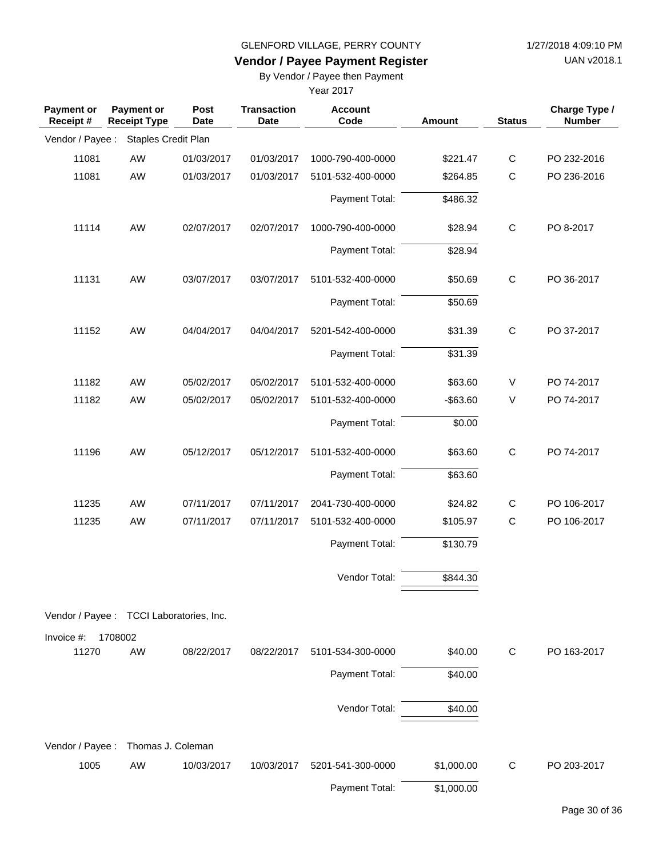UAN v2018.1

# **Vendor / Payee Payment Register**

By Vendor / Payee then Payment

| Payment or<br>Receipt # | <b>Payment or</b><br><b>Receipt Type</b> | Post<br><b>Date</b> | <b>Transaction</b><br><b>Date</b> | <b>Account</b><br>Code | <b>Amount</b> | <b>Status</b> | Charge Type /<br><b>Number</b> |
|-------------------------|------------------------------------------|---------------------|-----------------------------------|------------------------|---------------|---------------|--------------------------------|
| Vendor / Payee :        | Staples Credit Plan                      |                     |                                   |                        |               |               |                                |
| 11081                   | AW                                       | 01/03/2017          | 01/03/2017                        | 1000-790-400-0000      | \$221.47      | $\mathsf C$   | PO 232-2016                    |
| 11081                   | AW                                       | 01/03/2017          | 01/03/2017                        | 5101-532-400-0000      | \$264.85      | $\mathsf C$   | PO 236-2016                    |
|                         |                                          |                     |                                   | Payment Total:         | \$486.32      |               |                                |
| 11114                   | AW                                       | 02/07/2017          | 02/07/2017                        | 1000-790-400-0000      | \$28.94       | $\mathsf C$   | PO 8-2017                      |
|                         |                                          |                     |                                   | Payment Total:         | \$28.94       |               |                                |
| 11131                   | AW                                       | 03/07/2017          | 03/07/2017                        | 5101-532-400-0000      | \$50.69       | $\mathsf C$   | PO 36-2017                     |
|                         |                                          |                     |                                   | Payment Total:         | \$50.69       |               |                                |
| 11152                   | AW                                       | 04/04/2017          | 04/04/2017                        | 5201-542-400-0000      | \$31.39       | $\mathsf C$   | PO 37-2017                     |
|                         |                                          |                     |                                   | Payment Total:         | \$31.39       |               |                                |
| 11182                   | AW                                       | 05/02/2017          | 05/02/2017                        | 5101-532-400-0000      | \$63.60       | V             | PO 74-2017                     |
| 11182                   | AW                                       | 05/02/2017          | 05/02/2017                        | 5101-532-400-0000      | $-$ \$63.60   | V             | PO 74-2017                     |
|                         |                                          |                     |                                   | Payment Total:         | \$0.00        |               |                                |
| 11196                   | AW                                       | 05/12/2017          | 05/12/2017                        | 5101-532-400-0000      | \$63.60       | $\mathsf{C}$  | PO 74-2017                     |
|                         |                                          |                     |                                   | Payment Total:         | \$63.60       |               |                                |
| 11235                   | AW                                       | 07/11/2017          | 07/11/2017                        | 2041-730-400-0000      | \$24.82       | $\mathsf{C}$  | PO 106-2017                    |
| 11235                   | AW                                       | 07/11/2017          | 07/11/2017                        | 5101-532-400-0000      | \$105.97      | $\mathsf{C}$  | PO 106-2017                    |
|                         |                                          |                     |                                   | Payment Total:         | \$130.79      |               |                                |
|                         |                                          |                     |                                   | Vendor Total:          | \$844.30      |               |                                |
|                         | Vendor / Payee : TCCI Laboratories, Inc. |                     |                                   |                        |               |               |                                |
| Invoice #:              | 1708002                                  |                     |                                   |                        |               |               |                                |
| 11270                   | AW                                       | 08/22/2017          | 08/22/2017                        | 5101-534-300-0000      | \$40.00       | C             | PO 163-2017                    |
|                         |                                          |                     |                                   | Payment Total:         | \$40.00       |               |                                |
|                         |                                          |                     |                                   | Vendor Total:          | \$40.00       |               |                                |
| Vendor / Payee :        | Thomas J. Coleman                        |                     |                                   |                        |               |               |                                |
| 1005                    | AW                                       | 10/03/2017          | 10/03/2017                        | 5201-541-300-0000      | \$1,000.00    | $\mathsf{C}$  | PO 203-2017                    |
|                         |                                          |                     |                                   | Payment Total:         | \$1,000.00    |               |                                |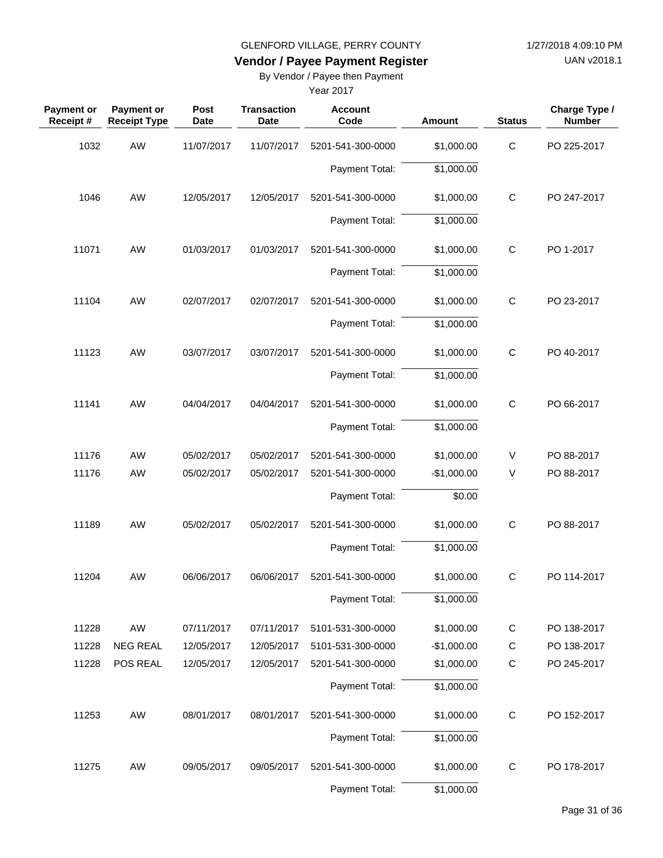UAN v2018.1

# **Vendor / Payee Payment Register**

By Vendor / Payee then Payment

| <b>Payment or</b><br>Receipt# | Payment or<br><b>Receipt Type</b> | Post<br><b>Date</b> | <b>Transaction</b><br><b>Date</b> | <b>Account</b><br>Code | Amount                 | <b>Status</b> | Charge Type /<br><b>Number</b> |
|-------------------------------|-----------------------------------|---------------------|-----------------------------------|------------------------|------------------------|---------------|--------------------------------|
| 1032                          | AW                                | 11/07/2017          | 11/07/2017                        | 5201-541-300-0000      | \$1,000.00             | $\mathsf C$   | PO 225-2017                    |
|                               |                                   |                     |                                   | Payment Total:         | \$1,000.00             |               |                                |
| 1046                          | AW                                | 12/05/2017          | 12/05/2017                        | 5201-541-300-0000      | \$1,000.00             | $\mathbf C$   | PO 247-2017                    |
|                               |                                   |                     |                                   | Payment Total:         | \$1,000.00             |               |                                |
| 11071                         | AW                                | 01/03/2017          | 01/03/2017                        | 5201-541-300-0000      | \$1,000.00             | $\mathsf{C}$  | PO 1-2017                      |
|                               |                                   |                     |                                   | Payment Total:         | \$1,000.00             |               |                                |
| 11104                         | AW                                | 02/07/2017          | 02/07/2017                        | 5201-541-300-0000      | \$1,000.00             | $\mathsf C$   | PO 23-2017                     |
|                               |                                   |                     |                                   | Payment Total:         | \$1,000.00             |               |                                |
| 11123                         | AW                                | 03/07/2017          | 03/07/2017                        | 5201-541-300-0000      | \$1,000.00             | $\mathsf{C}$  | PO 40-2017                     |
|                               |                                   |                     |                                   | Payment Total:         | \$1,000.00             |               |                                |
| 11141                         | AW                                | 04/04/2017          | 04/04/2017                        | 5201-541-300-0000      | \$1,000.00             | $\mathsf{C}$  | PO 66-2017                     |
|                               |                                   |                     |                                   | Payment Total:         | \$1,000.00             |               |                                |
| 11176                         | AW                                | 05/02/2017          | 05/02/2017                        | 5201-541-300-0000      | \$1,000.00             | V             | PO 88-2017                     |
| 11176                         | AW                                | 05/02/2017          | 05/02/2017                        | 5201-541-300-0000      | $-$1,000.00$           | V             | PO 88-2017                     |
|                               |                                   |                     |                                   | Payment Total:         | \$0.00                 |               |                                |
| 11189                         | AW                                | 05/02/2017          | 05/02/2017                        | 5201-541-300-0000      | \$1,000.00             | $\mathsf C$   | PO 88-2017                     |
|                               |                                   |                     |                                   | Payment Total:         | \$1,000.00             |               |                                |
| 11204                         | AW                                | 06/06/2017          | 06/06/2017                        | 5201-541-300-0000      | \$1,000.00             | $\mathsf C$   | PO 114-2017                    |
|                               |                                   |                     |                                   | Payment Total:         | \$1,000.00             |               |                                |
| 11228                         | AW                                | 07/11/2017          | 07/11/2017                        | 5101-531-300-0000      | \$1,000.00             | C             | PO 138-2017                    |
| 11228                         | <b>NEG REAL</b>                   | 12/05/2017          | 12/05/2017                        | 5101-531-300-0000      | $-$1,000.00$           | C             | PO 138-2017                    |
| 11228                         | POS REAL                          | 12/05/2017          | 12/05/2017                        | 5201-541-300-0000      | \$1,000.00             | $\mathsf C$   | PO 245-2017                    |
|                               |                                   |                     |                                   | Payment Total:         | \$1,000.00             |               |                                |
| 11253                         | AW                                | 08/01/2017          | 08/01/2017                        | 5201-541-300-0000      | \$1,000.00             | $\mathsf C$   | PO 152-2017                    |
|                               |                                   |                     |                                   | Payment Total:         | \$1,000.00             |               |                                |
| 11275                         | AW                                | 09/05/2017          | 09/05/2017                        | 5201-541-300-0000      | \$1,000.00             | $\mathsf C$   | PO 178-2017                    |
|                               |                                   |                     |                                   | Payment Total:         | $\overline{$}1,000.00$ |               |                                |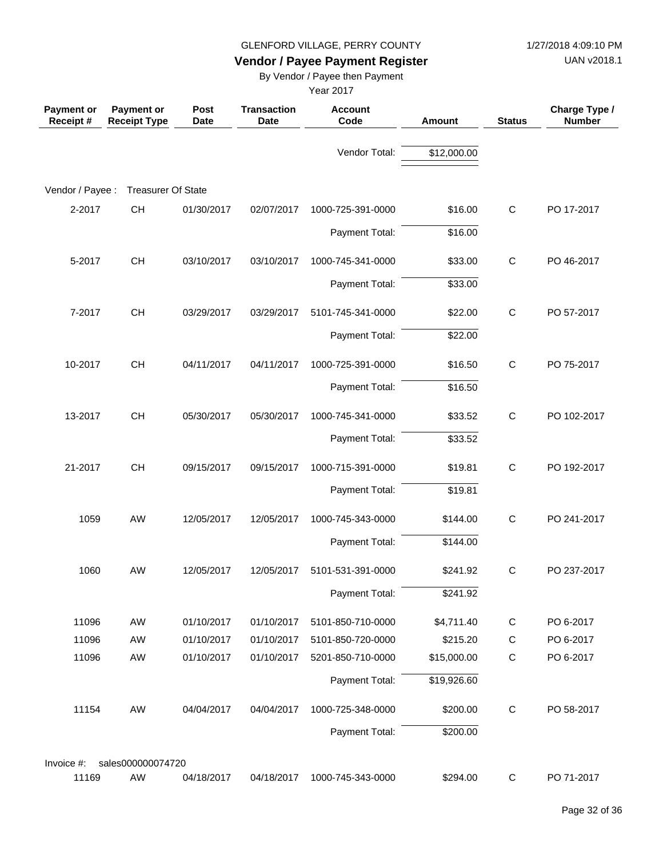UAN v2018.1

# **Vendor / Payee Payment Register**

By Vendor / Payee then Payment

| <b>Payment or</b><br>Receipt# | <b>Payment or</b><br><b>Receipt Type</b> | Post<br><b>Date</b> | <b>Transaction</b><br>Date | <b>Account</b><br>Code | Amount      | <b>Status</b> | Charge Type /<br><b>Number</b> |
|-------------------------------|------------------------------------------|---------------------|----------------------------|------------------------|-------------|---------------|--------------------------------|
|                               |                                          |                     |                            | Vendor Total:          | \$12,000.00 |               |                                |
| Vendor / Payee :              | <b>Treasurer Of State</b>                |                     |                            |                        |             |               |                                |
| 2-2017                        | CH                                       | 01/30/2017          | 02/07/2017                 | 1000-725-391-0000      | \$16.00     | $\mathsf{C}$  | PO 17-2017                     |
|                               |                                          |                     |                            | Payment Total:         | \$16.00     |               |                                |
| 5-2017                        | CH                                       | 03/10/2017          | 03/10/2017                 | 1000-745-341-0000      | \$33.00     | $\mathsf C$   | PO 46-2017                     |
|                               |                                          |                     |                            | Payment Total:         | \$33.00     |               |                                |
| 7-2017                        | CH                                       | 03/29/2017          | 03/29/2017                 | 5101-745-341-0000      | \$22.00     | $\mathsf C$   | PO 57-2017                     |
|                               |                                          |                     |                            | Payment Total:         | \$22.00     |               |                                |
| 10-2017                       | CH                                       | 04/11/2017          | 04/11/2017                 | 1000-725-391-0000      | \$16.50     | $\mathsf{C}$  | PO 75-2017                     |
|                               |                                          |                     |                            | Payment Total:         | \$16.50     |               |                                |
| 13-2017                       | CH                                       | 05/30/2017          | 05/30/2017                 | 1000-745-341-0000      | \$33.52     | $\mathsf{C}$  | PO 102-2017                    |
|                               |                                          |                     |                            | Payment Total:         | \$33.52     |               |                                |
| 21-2017                       | CH                                       | 09/15/2017          | 09/15/2017                 | 1000-715-391-0000      | \$19.81     | $\mathsf{C}$  | PO 192-2017                    |
|                               |                                          |                     |                            | Payment Total:         | \$19.81     |               |                                |
| 1059                          | AW                                       | 12/05/2017          | 12/05/2017                 | 1000-745-343-0000      | \$144.00    | $\mathsf{C}$  | PO 241-2017                    |
|                               |                                          |                     |                            | Payment Total:         | \$144.00    |               |                                |
| 1060                          | AW                                       | 12/05/2017          | 12/05/2017                 | 5101-531-391-0000      | \$241.92    | C             | PO 237-2017                    |
|                               |                                          |                     |                            | Payment Total:         | \$241.92    |               |                                |
| 11096                         | AW                                       | 01/10/2017          | 01/10/2017                 | 5101-850-710-0000      | \$4,711.40  | $\mathsf C$   | PO 6-2017                      |
| 11096                         | AW                                       | 01/10/2017          | 01/10/2017                 | 5101-850-720-0000      | \$215.20    | $\mathsf C$   | PO 6-2017                      |
| 11096                         | AW                                       | 01/10/2017          | 01/10/2017                 | 5201-850-710-0000      | \$15,000.00 | $\mathsf C$   | PO 6-2017                      |
|                               |                                          |                     |                            | Payment Total:         | \$19,926.60 |               |                                |
| 11154                         | AW                                       | 04/04/2017          | 04/04/2017                 | 1000-725-348-0000      | \$200.00    | $\mathsf{C}$  | PO 58-2017                     |
|                               |                                          |                     |                            | Payment Total:         | \$200.00    |               |                                |
| Invoice #:                    | sales000000074720                        |                     |                            |                        |             |               |                                |
| 11169                         | AW                                       | 04/18/2017          | 04/18/2017                 | 1000-745-343-0000      | \$294.00    | $\mathbf C$   | PO 71-2017                     |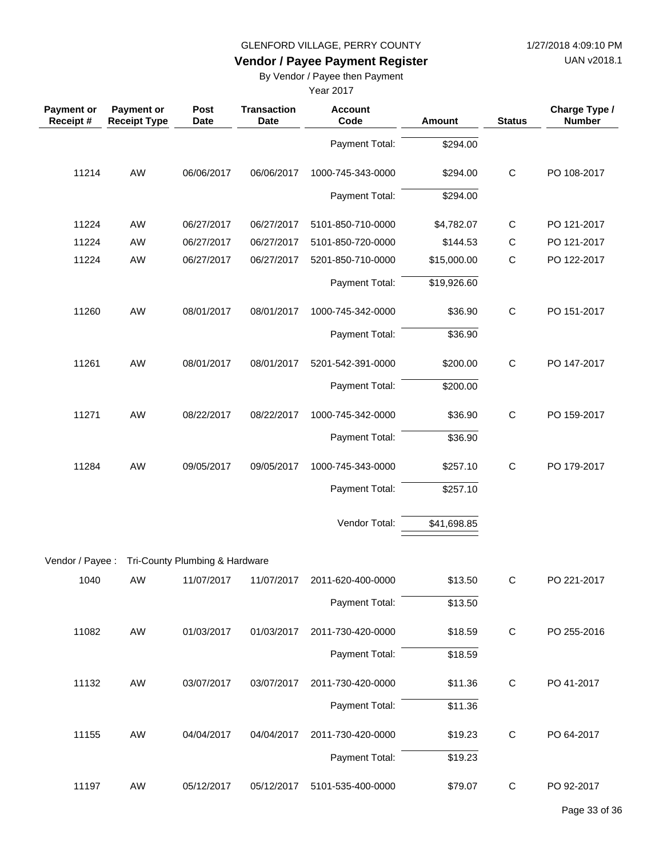UAN v2018.1

# **Vendor / Payee Payment Register**

By Vendor / Payee then Payment

| <b>Payment or</b><br>Receipt # | <b>Payment or</b><br><b>Receipt Type</b> | <b>Post</b><br><b>Date</b>     | <b>Transaction</b><br><b>Date</b> | <b>Account</b><br>Code | <b>Amount</b> | <b>Status</b> | Charge Type /<br><b>Number</b> |
|--------------------------------|------------------------------------------|--------------------------------|-----------------------------------|------------------------|---------------|---------------|--------------------------------|
|                                |                                          |                                |                                   | Payment Total:         | \$294.00      |               |                                |
| 11214                          | AW                                       | 06/06/2017                     | 06/06/2017                        | 1000-745-343-0000      | \$294.00      | $\mathsf{C}$  | PO 108-2017                    |
|                                |                                          |                                |                                   | Payment Total:         | \$294.00      |               |                                |
| 11224                          | AW                                       | 06/27/2017                     | 06/27/2017                        | 5101-850-710-0000      | \$4,782.07    | $\mathsf{C}$  | PO 121-2017                    |
| 11224                          | AW                                       | 06/27/2017                     | 06/27/2017                        | 5101-850-720-0000      | \$144.53      | C             | PO 121-2017                    |
| 11224                          | AW                                       | 06/27/2017                     | 06/27/2017                        | 5201-850-710-0000      | \$15,000.00   | $\mathsf{C}$  | PO 122-2017                    |
|                                |                                          |                                |                                   | Payment Total:         | \$19,926.60   |               |                                |
| 11260                          | AW                                       | 08/01/2017                     | 08/01/2017                        | 1000-745-342-0000      | \$36.90       | $\mathsf C$   | PO 151-2017                    |
|                                |                                          |                                |                                   | Payment Total:         | \$36.90       |               |                                |
| 11261                          | AW                                       | 08/01/2017                     | 08/01/2017                        | 5201-542-391-0000      | \$200.00      | $\mathsf C$   | PO 147-2017                    |
|                                |                                          |                                |                                   | Payment Total:         | \$200.00      |               |                                |
| 11271                          | AW                                       | 08/22/2017                     | 08/22/2017                        | 1000-745-342-0000      | \$36.90       | $\mathsf C$   | PO 159-2017                    |
|                                |                                          |                                |                                   | Payment Total:         | \$36.90       |               |                                |
| 11284                          | AW                                       | 09/05/2017                     | 09/05/2017                        | 1000-745-343-0000      | \$257.10      | $\mathsf{C}$  | PO 179-2017                    |
|                                |                                          |                                |                                   | Payment Total:         | \$257.10      |               |                                |
|                                |                                          |                                |                                   | Vendor Total:          | \$41,698.85   |               |                                |
|                                |                                          |                                |                                   |                        |               |               |                                |
| Vendor / Payee:                |                                          | Tri-County Plumbing & Hardware |                                   |                        |               |               |                                |
| 1040                           | AW                                       | 11/07/2017                     | 11/07/2017                        | 2011-620-400-0000      | \$13.50       | C             | PO 221-2017                    |
|                                |                                          |                                |                                   | Payment Total:         | \$13.50       |               |                                |
| 11082                          | AW                                       | 01/03/2017                     | 01/03/2017                        | 2011-730-420-0000      | \$18.59       | $\mathsf{C}$  | PO 255-2016                    |
|                                |                                          |                                |                                   | Payment Total:         | \$18.59       |               |                                |
| 11132                          | AW                                       | 03/07/2017                     | 03/07/2017                        | 2011-730-420-0000      | \$11.36       | $\mathbf C$   | PO 41-2017                     |
|                                |                                          |                                |                                   | Payment Total:         | \$11.36       |               |                                |
| 11155                          | AW                                       | 04/04/2017                     | 04/04/2017                        | 2011-730-420-0000      | \$19.23       | $\mathbf C$   | PO 64-2017                     |
|                                |                                          |                                |                                   | Payment Total:         | \$19.23       |               |                                |
| 11197                          | AW                                       | 05/12/2017                     | 05/12/2017                        | 5101-535-400-0000      | \$79.07       | $\mathsf C$   | PO 92-2017                     |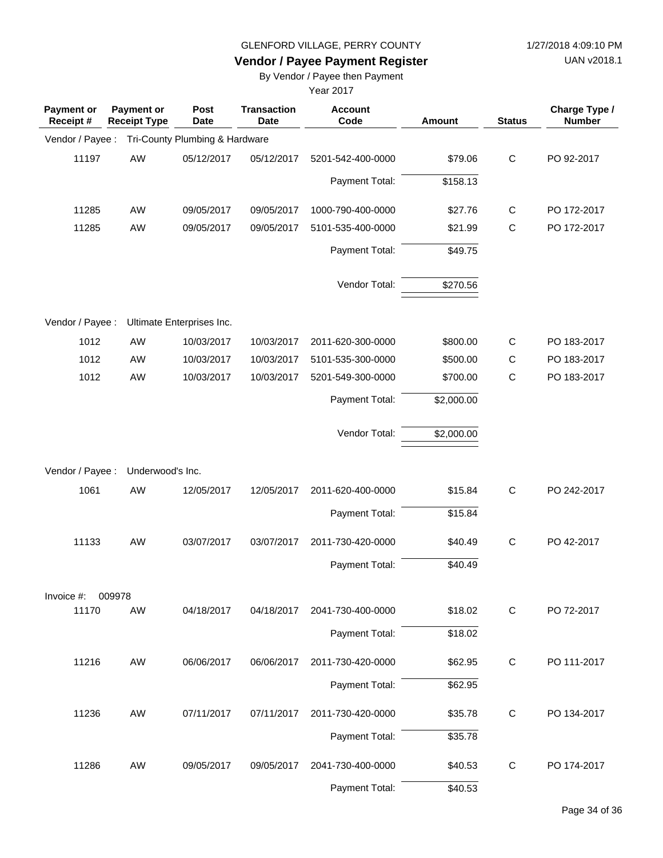UAN v2018.1

# **Vendor / Payee Payment Register**

By Vendor / Payee then Payment

| Payment or<br>Receipt# | <b>Payment or</b><br><b>Receipt Type</b> | Post<br><b>Date</b>            | <b>Transaction</b><br><b>Date</b> | <b>Account</b><br>Code | Amount     | <b>Status</b> | Charge Type /<br><b>Number</b> |
|------------------------|------------------------------------------|--------------------------------|-----------------------------------|------------------------|------------|---------------|--------------------------------|
| Vendor / Payee :       |                                          | Tri-County Plumbing & Hardware |                                   |                        |            |               |                                |
| 11197                  | AW                                       | 05/12/2017                     | 05/12/2017                        | 5201-542-400-0000      | \$79.06    | $\mathsf C$   | PO 92-2017                     |
|                        |                                          |                                |                                   | Payment Total:         | \$158.13   |               |                                |
| 11285                  | AW                                       | 09/05/2017                     | 09/05/2017                        | 1000-790-400-0000      | \$27.76    | $\mathsf{C}$  | PO 172-2017                    |
| 11285                  | AW                                       | 09/05/2017                     | 09/05/2017                        | 5101-535-400-0000      | \$21.99    | $\mathsf{C}$  | PO 172-2017                    |
|                        |                                          |                                |                                   | Payment Total:         | \$49.75    |               |                                |
|                        |                                          |                                |                                   | Vendor Total:          | \$270.56   |               |                                |
| Vendor / Payee :       |                                          | Ultimate Enterprises Inc.      |                                   |                        |            |               |                                |
| 1012                   | AW                                       | 10/03/2017                     | 10/03/2017                        | 2011-620-300-0000      | \$800.00   | $\mathsf C$   | PO 183-2017                    |
| 1012                   | AW                                       | 10/03/2017                     | 10/03/2017                        | 5101-535-300-0000      | \$500.00   | $\mathsf{C}$  | PO 183-2017                    |
| 1012                   | AW                                       | 10/03/2017                     | 10/03/2017                        | 5201-549-300-0000      | \$700.00   | $\mathsf{C}$  | PO 183-2017                    |
|                        |                                          |                                |                                   | Payment Total:         | \$2,000.00 |               |                                |
|                        |                                          |                                |                                   | Vendor Total:          | \$2,000.00 |               |                                |
| Vendor / Payee :       | Underwood's Inc.                         |                                |                                   |                        |            |               |                                |
| 1061                   | AW                                       | 12/05/2017                     | 12/05/2017                        | 2011-620-400-0000      | \$15.84    | $\mathsf C$   | PO 242-2017                    |
|                        |                                          |                                |                                   | Payment Total:         | \$15.84    |               |                                |
| 11133                  | AW                                       | 03/07/2017                     | 03/07/2017                        | 2011-730-420-0000      | \$40.49    | $\mathsf C$   | PO 42-2017                     |
|                        |                                          |                                |                                   | Payment Total:         | \$40.49    |               |                                |
| Invoice #:             | 009978                                   |                                |                                   |                        |            |               |                                |
| 11170                  | AW                                       | 04/18/2017                     | 04/18/2017                        | 2041-730-400-0000      | \$18.02    | $\mathsf{C}$  | PO 72-2017                     |
|                        |                                          |                                |                                   | Payment Total:         | \$18.02    |               |                                |
| 11216                  | AW                                       | 06/06/2017                     | 06/06/2017                        | 2011-730-420-0000      | \$62.95    | $\mathsf{C}$  | PO 111-2017                    |
|                        |                                          |                                |                                   | Payment Total:         | \$62.95    |               |                                |
| 11236                  | AW                                       | 07/11/2017                     | 07/11/2017                        | 2011-730-420-0000      | \$35.78    | $\mathsf{C}$  | PO 134-2017                    |
|                        |                                          |                                |                                   | Payment Total:         | \$35.78    |               |                                |
| 11286                  | AW                                       | 09/05/2017                     | 09/05/2017                        | 2041-730-400-0000      | \$40.53    | $\mathsf{C}$  | PO 174-2017                    |
|                        |                                          |                                |                                   | Payment Total:         | \$40.53    |               |                                |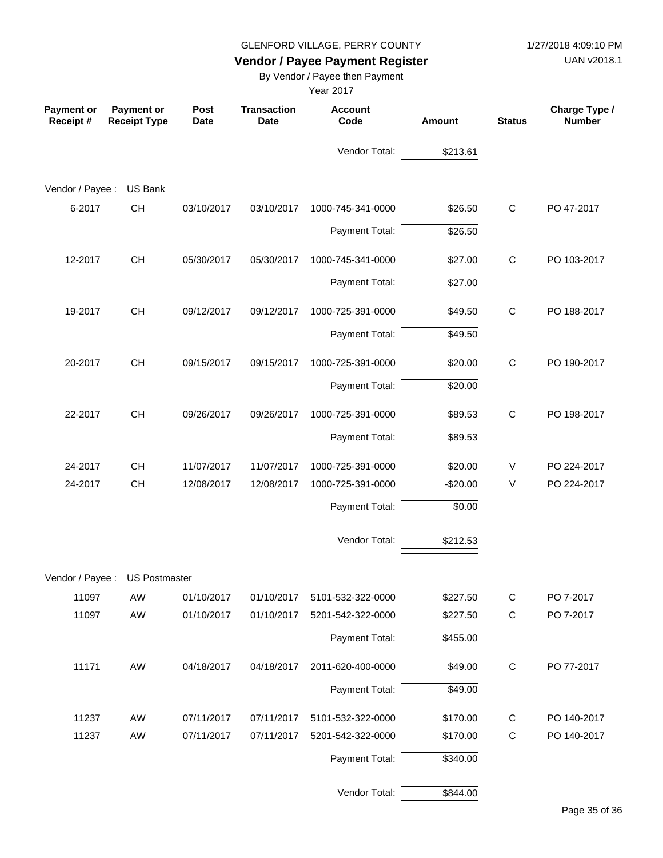UAN v2018.1

# **Vendor / Payee Payment Register**

By Vendor / Payee then Payment

| <b>Payment or</b><br>Receipt # | <b>Payment or</b><br><b>Receipt Type</b> | Post<br><b>Date</b> | <b>Transaction</b><br><b>Date</b> | <b>Account</b><br>Code | <b>Amount</b> | <b>Status</b> | Charge Type /<br><b>Number</b> |
|--------------------------------|------------------------------------------|---------------------|-----------------------------------|------------------------|---------------|---------------|--------------------------------|
|                                |                                          |                     |                                   | Vendor Total:          | \$213.61      |               |                                |
| Vendor / Payee :               | US Bank                                  |                     |                                   |                        |               |               |                                |
| 6-2017                         | CH                                       | 03/10/2017          | 03/10/2017                        | 1000-745-341-0000      | \$26.50       | $\mathbf C$   | PO 47-2017                     |
|                                |                                          |                     |                                   | Payment Total:         | \$26.50       |               |                                |
| 12-2017                        | CH                                       | 05/30/2017          | 05/30/2017                        | 1000-745-341-0000      | \$27.00       | $\mathbf C$   | PO 103-2017                    |
|                                |                                          |                     |                                   | Payment Total:         | \$27.00       |               |                                |
| 19-2017                        | CH                                       | 09/12/2017          | 09/12/2017                        | 1000-725-391-0000      | \$49.50       | $\mathbf C$   | PO 188-2017                    |
|                                |                                          |                     |                                   | Payment Total:         | \$49.50       |               |                                |
| 20-2017                        | CH                                       | 09/15/2017          | 09/15/2017                        | 1000-725-391-0000      | \$20.00       | $\mathbf C$   | PO 190-2017                    |
|                                |                                          |                     |                                   | Payment Total:         | \$20.00       |               |                                |
| 22-2017                        | CH                                       | 09/26/2017          | 09/26/2017                        | 1000-725-391-0000      | \$89.53       | $\mathbf C$   | PO 198-2017                    |
|                                |                                          |                     |                                   | Payment Total:         | \$89.53       |               |                                |
| 24-2017                        | CH                                       | 11/07/2017          | 11/07/2017                        | 1000-725-391-0000      | \$20.00       | V             | PO 224-2017                    |
| 24-2017                        | CH                                       | 12/08/2017          | 12/08/2017                        | 1000-725-391-0000      | $-$20.00$     | V             | PO 224-2017                    |
|                                |                                          |                     |                                   | Payment Total:         | \$0.00        |               |                                |
|                                |                                          |                     |                                   | Vendor Total:          | \$212.53      |               |                                |
|                                | Vendor / Payee : US Postmaster           |                     |                                   |                        |               |               |                                |
| 11097                          | AW                                       | 01/10/2017          | 01/10/2017                        | 5101-532-322-0000      | \$227.50      | $\mathbf C$   | PO 7-2017                      |
| 11097                          | AW                                       | 01/10/2017          | 01/10/2017                        | 5201-542-322-0000      | \$227.50      | $\mathsf C$   | PO 7-2017                      |
|                                |                                          |                     |                                   | Payment Total:         | \$455.00      |               |                                |
| 11171                          | AW                                       | 04/18/2017          | 04/18/2017                        | 2011-620-400-0000      | \$49.00       | $\mathbf C$   | PO 77-2017                     |
|                                |                                          |                     |                                   | Payment Total:         | \$49.00       |               |                                |
| 11237                          | AW                                       | 07/11/2017          | 07/11/2017                        | 5101-532-322-0000      | \$170.00      | $\mathsf C$   | PO 140-2017                    |
| 11237                          | AW                                       | 07/11/2017          | 07/11/2017                        | 5201-542-322-0000      | \$170.00      | ${\bf C}$     | PO 140-2017                    |
|                                |                                          |                     |                                   | Payment Total:         | \$340.00      |               |                                |
|                                |                                          |                     |                                   | Vendor Total:          | \$844.00      |               |                                |